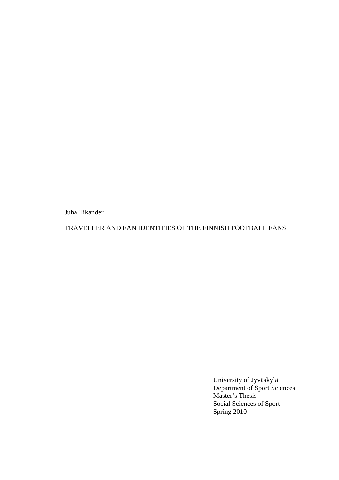Juha Tikander

TRAVELLER AND FAN IDENTITIES OF THE FINNISH FOOTBALL FANS

University of Jyväskylä Department of Sport Sciences Master's Thesis Social Sciences of Sport Spring 2010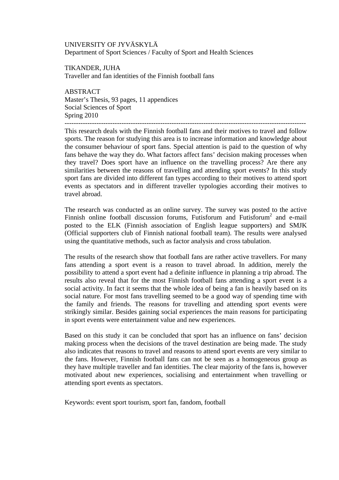UNIVERSITY OF JYVÄSKYLÄ Department of Sport Sciences / Faculty of Sport and Health Sciences

TIKANDER, JUHA Traveller and fan identities of the Finnish football fans

ABSTRACT Master's Thesis, 93 pages, 11 appendices Social Sciences of Sport Spring 2010 ----------------------------------------------------------------------------------------------------------

This research deals with the Finnish football fans and their motives to travel and follow sports. The reason for studying this area is to increase information and knowledge about the consumer behaviour of sport fans. Special attention is paid to the question of why fans behave the way they do. What factors affect fans' decision making processes when they travel? Does sport have an influence on the travelling process? Are there any similarities between the reasons of travelling and attending sport events? In this study sport fans are divided into different fan types according to their motives to attend sport events as spectators and in different traveller typologies according their motives to travel abroad.

The research was conducted as an online survey. The survey was posted to the active Finnish online football discussion forums, Futisforum and Futisforum<sup>2</sup> and e-mail posted to the ELK (Finnish association of English league supporters) and SMJK (Official supporters club of Finnish national football team). The results were analysed using the quantitative methods, such as factor analysis and cross tabulation.

The results of the research show that football fans are rather active travellers. For many fans attending a sport event is a reason to travel abroad. In addition, merely the possibility to attend a sport event had a definite influence in planning a trip abroad. The results also reveal that for the most Finnish football fans attending a sport event is a social activity. In fact it seems that the whole idea of being a fan is heavily based on its social nature. For most fans travelling seemed to be a good way of spending time with the family and friends. The reasons for travelling and attending sport events were strikingly similar. Besides gaining social experiences the main reasons for participating in sport events were entertainment value and new experiences.

Based on this study it can be concluded that sport has an influence on fans' decision making process when the decisions of the travel destination are being made. The study also indicates that reasons to travel and reasons to attend sport events are very similar to the fans. However, Finnish football fans can not be seen as a homogeneous group as they have multiple traveller and fan identities. The clear majority of the fans is, however motivated about new experiences, socialising and entertainment when travelling or attending sport events as spectators.

Keywords: event sport tourism, sport fan, fandom, football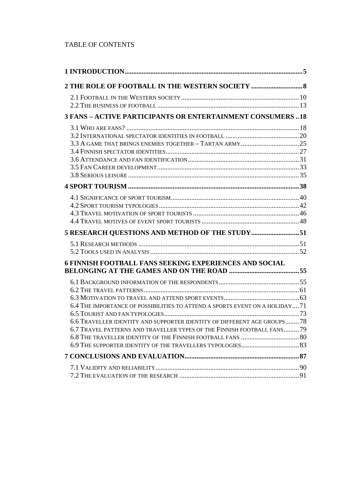# TABLE OF CONTENTS

| <b>3 FANS - ACTIVE PARTICIPANTS OR ENTERTAINMENT CONSUMERS18</b>                                                                                   |  |
|----------------------------------------------------------------------------------------------------------------------------------------------------|--|
|                                                                                                                                                    |  |
|                                                                                                                                                    |  |
|                                                                                                                                                    |  |
|                                                                                                                                                    |  |
| 5 RESEARCH QUESTIONS AND METHOD OF THE STUDY 51                                                                                                    |  |
|                                                                                                                                                    |  |
| <b>6 FINNISH FOOTBALL FANS SEEKING EXPERIENCES AND SOCIAL</b>                                                                                      |  |
|                                                                                                                                                    |  |
| 6.4 THE IMPORTANCE OF POSSIBILITIES TO ATTEND A SPORTS EVENT ON A HOLIDAY 71                                                                       |  |
| 6.6 TRAVELLER IDENTITY AND SUPPORTER IDENTITY OF DIFFERENT AGE GROUPS78<br>6.7 TRAVEL PATTERNS AND TRAVELLER TYPES OF THE FINNISH FOOTBALL FANS 79 |  |
|                                                                                                                                                    |  |
|                                                                                                                                                    |  |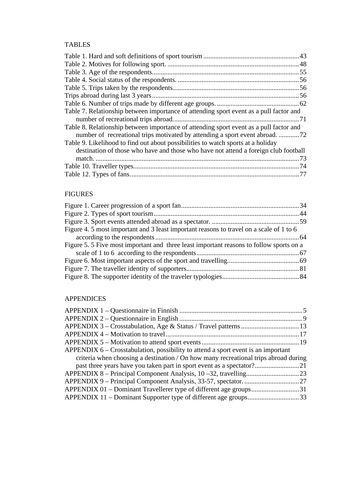# TABLES

| Table 7. Relationship between importance of attending sport event as a pull factor and |  |
|----------------------------------------------------------------------------------------|--|
|                                                                                        |  |
| Table 8. Relationship between importance of attending sport event as a pull factor and |  |
|                                                                                        |  |
| Table 9. Likelihood to find out about possibilities to watch sports at a holiday       |  |
| destination of those who have and those who have not attend a foreign club football    |  |
|                                                                                        |  |
|                                                                                        |  |
|                                                                                        |  |

# FIGURES

| Figure 4. 5 most important and 3 least important reasons to travel on a scale of 1 to 6 |  |
|-----------------------------------------------------------------------------------------|--|
|                                                                                         |  |
| Figure 5.5 Five most important and three least important reasons to follow sports on a  |  |
|                                                                                         |  |
|                                                                                         |  |
|                                                                                         |  |
|                                                                                         |  |

# APPENDICES

| criteria when choosing a destination / On how many recreational trips abroad during |
|-------------------------------------------------------------------------------------|
|                                                                                     |
|                                                                                     |
|                                                                                     |
| APPENDIX 01 – Dominant Travellerer type of different age groups31                   |
| APPENDIX 11 – Dominant Supporter type of different age groups33                     |
|                                                                                     |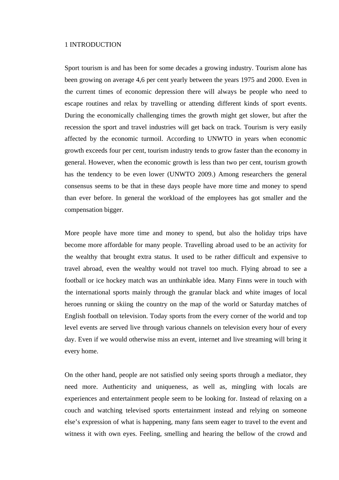## <span id="page-4-1"></span><span id="page-4-0"></span>1 INTRODUCTION

Sport tourism is and has been for some decades a growing industry. Tourism alone has been growing on average 4,6 per cent yearly between the years 1975 and 2000. Even in the current times of economic depression there will always be people who need to escape routines and relax by travelling or attending different kinds of sport events. During the economically challenging times the growth might get slower, but after the recession the sport and travel industries will get back on track. Tourism is very easily affected by the economic turmoil. According to UNWTO in years when economic growth exceeds four per cent, tourism industry tends to grow faster than the economy in general. However, when the economic growth is less than two per cent, tourism growth has the tendency to be even lower (UNWTO 2009.) Among researchers the general consensus seems to be that in these days people have more time and money to spend than ever before. In general the workload of the employees has got smaller and the compensation bigger.

More people have more time and money to spend, but also the holiday trips have become more affordable for many people. Travelling abroad used to be an activity for the wealthy that brought extra status. It used to be rather difficult and expensive to travel abroad, even the wealthy would not travel too much. Flying abroad to see a football or ice hockey match was an unthinkable idea. Many Finns were in touch with the international sports mainly through the granular black and white images of local heroes running or skiing the country on the map of the world or Saturday matches of English football on television. Today sports from the every corner of the world and top level events are served live through various channels on television every hour of every day. Even if we would otherwise miss an event, internet and live streaming will bring it every home.

On the other hand, people are not satisfied only seeing sports through a mediator, they need more. Authenticity and uniqueness, as well as, mingling with locals are experiences and entertainment people seem to be looking for. Instead of relaxing on a couch and watching televised sports entertainment instead and relying on someone else's expression of what is happening, many fans seem eager to travel to the event and witness it with own eyes. Feeling, smelling and hearing the bellow of the crowd and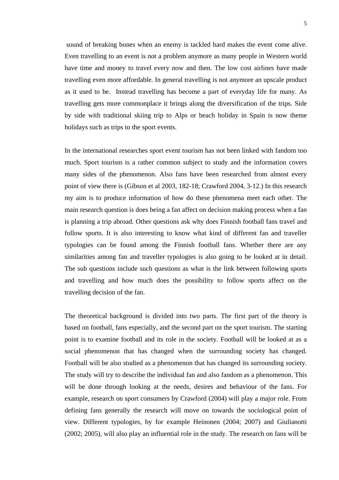sound of breaking bones when an enemy is tackled hard makes the event come alive. Even travelling to an event is not a problem anymore as many people in Western world have time and money to travel every now and then. The low cost airlines have made travelling even more affordable. In general travelling is not anymore an upscale product as it used to be. Instead travelling has become a part of everyday life for many. As travelling gets more commonplace it brings along the diversification of the trips. Side by side with traditional skiing trip to Alps or beach holiday in Spain is now theme holidays such as trips to the sport events.

In the international researches sport event tourism has not been linked with fandom too much. Sport tourism is a rather common subject to study and the information covers many sides of the phenomenon. Also fans have been researched from almost every point of view there is (Gibson et al 2003, 182-18; Crawford 2004, 3-12.) In this research my aim is to produce information of how do these phenomena meet each other. The main research question is does being a fan affect on decision making process when a fan is planning a trip abroad. Other questions ask why does Finnish football fans travel and follow sports. It is also interesting to know what kind of different fan and traveller typologies can be found among the Finnish football fans. Whether there are any similarities among fan and traveller typologies is also going to be looked at in detail. The sub questions include such questions as what is the link between following sports and travelling and how much does the possibility to follow sports affect on the travelling decision of the fan.

The theoretical background is divided into two parts. The first part of the theory is based on football, fans especially, and the second part on the sport tourism. The starting point is to examine football and its role in the society. Football will be looked at as a social phenomenon that has changed when the surrounding society has changed. Football will be also studied as a phenomenon that has changed its surrounding society. The study will try to describe the individual fan and also fandom as a phenomenon. This will be done through looking at the needs, desires and behaviour of the fans. For example, research on sport consumers by Crawford (2004) will play a major role. From defining fans generally the research will move on towards the sociological point of view. Different typologies, by for example Heinonen (2004; 2007) and Giulianotti (2002; 2005), will also play an influential role in the study. The research on fans will be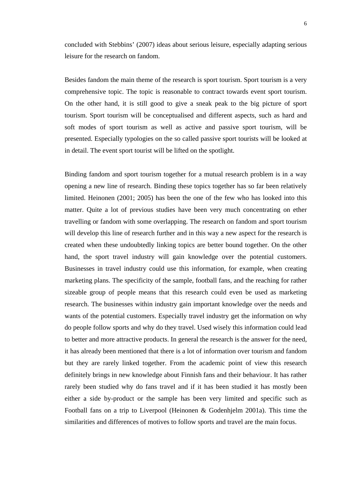concluded with Stebbins' (2007) ideas about serious leisure, especially adapting serious leisure for the research on fandom.

Besides fandom the main theme of the research is sport tourism. Sport tourism is a very comprehensive topic. The topic is reasonable to contract towards event sport tourism. On the other hand, it is still good to give a sneak peak to the big picture of sport tourism. Sport tourism will be conceptualised and different aspects, such as hard and soft modes of sport tourism as well as active and passive sport tourism, will be presented. Especially typologies on the so called passive sport tourists will be looked at in detail. The event sport tourist will be lifted on the spotlight.

Binding fandom and sport tourism together for a mutual research problem is in a way opening a new line of research. Binding these topics together has so far been relatively limited. Heinonen (2001; 2005) has been the one of the few who has looked into this matter. Quite a lot of previous studies have been very much concentrating on ether travelling or fandom with some overlapping. The research on fandom and sport tourism will develop this line of research further and in this way a new aspect for the research is created when these undoubtedly linking topics are better bound together. On the other hand, the sport travel industry will gain knowledge over the potential customers. Businesses in travel industry could use this information, for example, when creating marketing plans. The specificity of the sample, football fans, and the reaching for rather sizeable group of people means that this research could even be used as marketing research. The businesses within industry gain important knowledge over the needs and wants of the potential customers. Especially travel industry get the information on why do people follow sports and why do they travel. Used wisely this information could lead to better and more attractive products. In general the research is the answer for the need, it has already been mentioned that there is a lot of information over tourism and fandom but they are rarely linked together. From the academic point of view this research definitely brings in new knowledge about Finnish fans and their behaviour. It has rather rarely been studied why do fans travel and if it has been studied it has mostly been either a side by-product or the sample has been very limited and specific such as Football fans on a trip to Liverpool (Heinonen & Godenhjelm 2001a). This time the similarities and differences of motives to follow sports and travel are the main focus.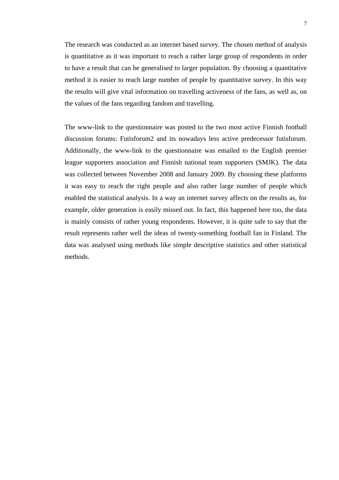The research was conducted as an internet based survey. The chosen method of analysis is quantitative as it was important to reach a rather large group of respondents in order to have a result that can be generalised to larger population. By choosing a quantitative method it is easier to reach large number of people by quantitative survey. In this way the results will give vital information on travelling activeness of the fans, as well as, on the values of the fans regarding fandom and travelling.

The www-link to the questionnaire was posted to the two most active Finnish football discussion forums: Futisforum2 and its nowadays less active predecessor futisforum. Additionally, the www-link to the questionnaire was emailed to the English premier league supporters association and Finnish national team supporters (SMJK). The data was collected between November 2008 and January 2009. By choosing these platforms it was easy to reach the right people and also rather large number of people which enabled the statistical analysis. In a way an internet survey affects on the results as, for example, older generation is easily missed out. In fact, this happened here too, the data is mainly consists of rather young respondents. However, it is quite safe to say that the result represents rather well the ideas of twenty-something football fan in Finland. The data was analysed using methods like simple descriptive statistics and other statistical methods.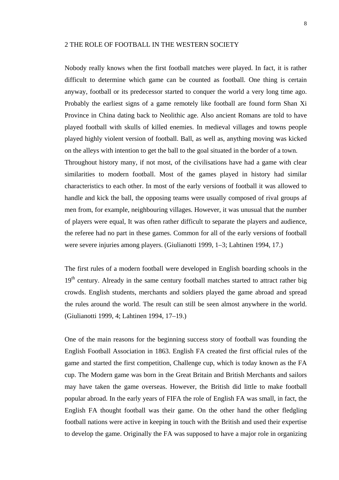# <span id="page-8-1"></span><span id="page-8-0"></span>2 THE ROLE OF FOOTBALL IN THE WESTERN SOCIETY

Nobody really knows when the first football matches were played. In fact, it is rather difficult to determine which game can be counted as football. One thing is certain anyway, football or its predecessor started to conquer the world a very long time ago. Probably the earliest signs of a game remotely like football are found form Shan Xi Province in China dating back to Neolithic age. Also ancient Romans are told to have played football with skulls of killed enemies. In medieval villages and towns people played highly violent version of football. Ball, as well as, anything moving was kicked on the alleys with intention to get the ball to the goal situated in the border of a town. Throughout history many, if not most, of the civilisations have had a game with clear similarities to modern football. Most of the games played in history had similar characteristics to each other. In most of the early versions of football it was allowed to handle and kick the ball, the opposing teams were usually composed of rival groups af men from, for example, neighbouring villages. However, it was unusual that the number of players were equal, It was often rather difficult to separate the players and audience, the referee had no part in these games. Common for all of the early versions of football were severe injuries among players. (Giulianotti 1999, 1–3; Lahtinen 1994, 17.)

The first rules of a modern football were developed in English boarding schools in the 19<sup>th</sup> century. Already in the same century football matches started to attract rather big crowds. English students, merchants and soldiers played the game abroad and spread the rules around the world. The result can still be seen almost anywhere in the world. (Giulianotti 1999, 4; Lahtinen 1994, 17–19.)

One of the main reasons for the beginning success story of football was founding the English Football Association in 1863. English FA created the first official rules of the game and started the first competition, Challenge cup, which is today known as the FA cup. The Modern game was born in the Great Britain and British Merchants and sailors may have taken the game overseas. However, the British did little to make football popular abroad. In the early years of FIFA the role of English FA was small, in fact, the English FA thought football was their game. On the other hand the other fledgling football nations were active in keeping in touch with the British and used their expertise to develop the game. Originally the FA was supposed to have a major role in organizing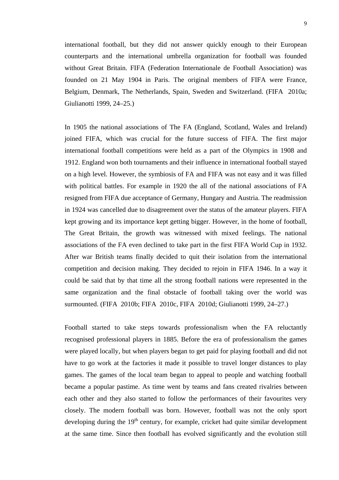international football, but they did not answer quickly enough to their European counterparts and the international umbrella organization for football was founded without Great Britain. FIFA (Federation Internationale de Football Association) was founded on 21 May 1904 in Paris. The original members of FIFA were France, Belgium, Denmark, The Netherlands, Spain, Sweden and Switzerland. (FIFA 2010a; Giulianotti 1999, 24–25.)

In 1905 the national associations of The FA (England, Scotland, Wales and Ireland) joined FIFA, which was crucial for the future success of FIFA. The first major international football competitions were held as a part of the Olympics in 1908 and 1912. England won both tournaments and their influence in international football stayed on a high level. However, the symbiosis of FA and FIFA was not easy and it was filled with political battles. For example in 1920 the all of the national associations of FA resigned from FIFA due acceptance of Germany, Hungary and Austria. The readmission in 1924 was cancelled due to disagreement over the status of the amateur players. FIFA kept growing and its importance kept getting bigger. However, in the home of football, The Great Britain, the growth was witnessed with mixed feelings. The national associations of the FA even declined to take part in the first FIFA World Cup in 1932. After war British teams finally decided to quit their isolation from the international competition and decision making. They decided to rejoin in FIFA 1946. In a way it could be said that by that time all the strong football nations were represented in the same organization and the final obstacle of football taking over the world was surmounted. (FIFA 2010b; FIFA 2010c, FIFA 2010d; Giulianotti 1999, 24–27.)

Football started to take steps towards professionalism when the FA reluctantly recognised professional players in 1885. Before the era of professionalism the games were played locally, but when players began to get paid for playing football and did not have to go work at the factories it made it possible to travel longer distances to play games. The games of the local team began to appeal to people and watching football became a popular pastime. As time went by teams and fans created rivalries between each other and they also started to follow the performances of their favourites very closely. The modern football was born. However, football was not the only sport developing during the  $19<sup>th</sup>$  century, for example, cricket had quite similar development at the same time. Since then football has evolved significantly and the evolution still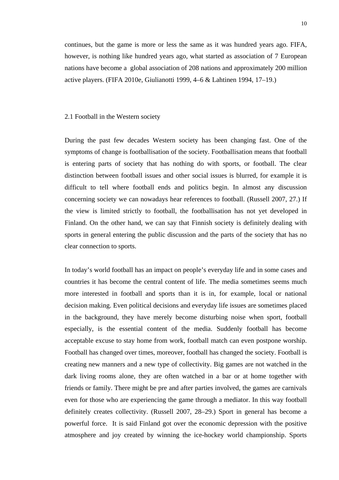<span id="page-10-0"></span>continues, but the game is more or less the same as it was hundred years ago. FIFA, however, is nothing like hundred years ago, what started as association of 7 European nations have become a global association of 208 nations and approximately 200 million active players. (FIFA 2010e, Giulianotti 1999, 4–6 & Lahtinen 1994, 17–19.)

### <span id="page-10-1"></span>2.1 Football in the Western society

During the past few decades Western society has been changing fast. One of the symptoms of change is footballisation of the society. Footballisation means that football is entering parts of society that has nothing do with sports, or football. The clear distinction between football issues and other social issues is blurred, for example it is difficult to tell where football ends and politics begin. In almost any discussion concerning society we can nowadays hear references to football. (Russell 2007, 27.) If the view is limited strictly to football, the footballisation has not yet developed in Finland. On the other hand, we can say that Finnish society is definitely dealing with sports in general entering the public discussion and the parts of the society that has no clear connection to sports.

In today's world football has an impact on people's everyday life and in some cases and countries it has become the central content of life. The media sometimes seems much more interested in football and sports than it is in, for example, local or national decision making. Even political decisions and everyday life issues are sometimes placed in the background, they have merely become disturbing noise when sport, football especially, is the essential content of the media. Suddenly football has become acceptable excuse to stay home from work, football match can even postpone worship. Football has changed over times, moreover, football has changed the society. Football is creating new manners and a new type of collectivity. Big games are not watched in the dark living rooms alone, they are often watched in a bar or at home together with friends or family. There might be pre and after parties involved, the games are carnivals even for those who are experiencing the game through a mediator. In this way football definitely creates collectivity. (Russell 2007, 28–29.) Sport in general has become a powerful force. It is said Finland got over the economic depression with the positive atmosphere and joy created by winning the ice-hockey world championship. Sports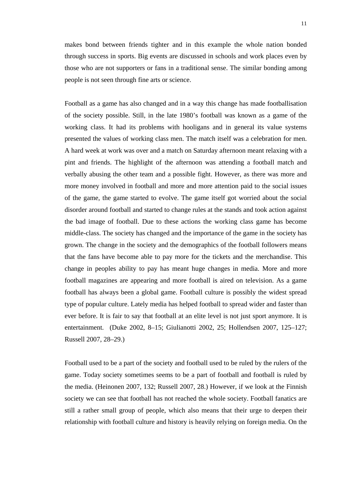makes bond between friends tighter and in this example the whole nation bonded through success in sports. Big events are discussed in schools and work places even by those who are not supporters or fans in a traditional sense. The similar bonding among people is not seen through fine arts or science.

Football as a game has also changed and in a way this change has made footballisation of the society possible. Still, in the late 1980's football was known as a game of the working class. It had its problems with hooligans and in general its value systems presented the values of working class men. The match itself was a celebration for men. A hard week at work was over and a match on Saturday afternoon meant relaxing with a pint and friends. The highlight of the afternoon was attending a football match and verbally abusing the other team and a possible fight. However, as there was more and more money involved in football and more and more attention paid to the social issues of the game, the game started to evolve. The game itself got worried about the social disorder around football and started to change rules at the stands and took action against the bad image of football. Due to these actions the working class game has become middle-class. The society has changed and the importance of the game in the society has grown. The change in the society and the demographics of the football followers means that the fans have become able to pay more for the tickets and the merchandise. This change in peoples ability to pay has meant huge changes in media. More and more football magazines are appearing and more football is aired on television. As a game football has always been a global game. Football culture is possibly the widest spread type of popular culture. Lately media has helped football to spread wider and faster than ever before. It is fair to say that football at an elite level is not just sport anymore. It is entertainment. (Duke 2002, 8–15; Giulianotti 2002, 25; Hollendsen 2007, 125–127; Russell 2007, 28–29.)

Football used to be a part of the society and football used to be ruled by the rulers of the game. Today society sometimes seems to be a part of football and football is ruled by the media. (Heinonen 2007, 132; Russell 2007, 28.) However, if we look at the Finnish society we can see that football has not reached the whole society. Football fanatics are still a rather small group of people, which also means that their urge to deepen their relationship with football culture and history is heavily relying on foreign media. On the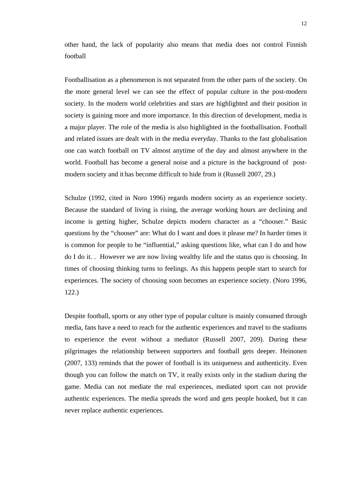other hand, the lack of popularity also means that media does not control Finnish football

Footballisation as a phenomenon is not separated from the other parts of the society. On the more general level we can see the effect of popular culture in the post-modern society. In the modern world celebrities and stars are highlighted and their position in society is gaining more and more importance. In this direction of development, media is a major player. The role of the media is also highlighted in the footballisation. Football and related issues are dealt with in the media everyday. Thanks to the fast globalisation one can watch football on TV almost anytime of the day and almost anywhere in the world. Football has become a general noise and a picture in the background of postmodern society and it has become difficult to hide from it (Russell 2007, 29.)

Schulze (1992, cited in Noro 1996) regards modern society as an experience society. Because the standard of living is rising, the average working hours are declining and income is getting higher, Schulze depicts modern character as a "chooser." Basic questions by the "chooser" are: What do I want and does it please me? In harder times it is common for people to be "influential," asking questions like, what can I do and how do I do it. . However we are now living wealthy life and the status quo is choosing. In times of choosing thinking turns to feelings. As this happens people start to search for experiences. The society of choosing soon becomes an experience society. (Noro 1996, 122.)

Despite football, sports or any other type of popular culture is mainly consumed through media, fans have a need to reach for the authentic experiences and travel to the stadiums to experience the event without a mediator (Russell 2007, 209). During these pilgrimages the relationship between supporters and football gets deeper. Heinonen (2007, 133) reminds that the power of football is its uniqueness and authenticity. Even though you can follow the match on TV, it really exists only in the stadium during the game. Media can not mediate the real experiences, mediated sport can not provide authentic experiences. The media spreads the word and gets people hooked, but it can never replace authentic experiences.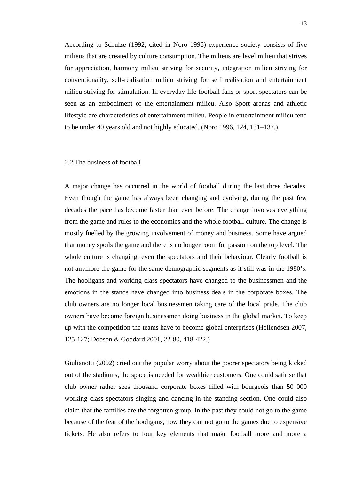<span id="page-13-0"></span>According to Schulze (1992, cited in Noro 1996) experience society consists of five milieus that are created by culture consumption. The milieus are level milieu that strives for appreciation, harmony milieu striving for security, integration milieu striving for conventionality, self-realisation milieu striving for self realisation and entertainment milieu striving for stimulation. In everyday life football fans or sport spectators can be seen as an embodiment of the entertainment milieu. Also Sport arenas and athletic lifestyle are characteristics of entertainment milieu. People in entertainment milieu tend to be under 40 years old and not highly educated. (Noro 1996, 124, 131–137.)

### <span id="page-13-1"></span>2.2 The business of football

A major change has occurred in the world of football during the last three decades. Even though the game has always been changing and evolving, during the past few decades the pace has become faster than ever before. The change involves everything from the game and rules to the economics and the whole football culture. The change is mostly fuelled by the growing involvement of money and business. Some have argued that money spoils the game and there is no longer room for passion on the top level. The whole culture is changing, even the spectators and their behaviour. Clearly football is not anymore the game for the same demographic segments as it still was in the 1980's. The hooligans and working class spectators have changed to the businessmen and the emotions in the stands have changed into business deals in the corporate boxes. The club owners are no longer local businessmen taking care of the local pride. The club owners have become foreign businessmen doing business in the global market. To keep up with the competition the teams have to become global enterprises (Hollendsen 2007, 125-127; Dobson & Goddard 2001, 22-80, 418-422.)

Giulianotti (2002) cried out the popular worry about the poorer spectators being kicked out of the stadiums, the space is needed for wealthier customers. One could satirise that club owner rather sees thousand corporate boxes filled with bourgeois than 50 000 working class spectators singing and dancing in the standing section. One could also claim that the families are the forgotten group. In the past they could not go to the game because of the fear of the hooligans, now they can not go to the games due to expensive tickets. He also refers to four key elements that make football more and more a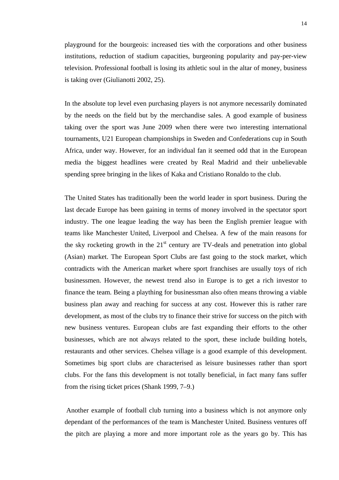playground for the bourgeois: increased ties with the corporations and other business institutions, reduction of stadium capacities, burgeoning popularity and pay-per-view television. Professional football is losing its athletic soul in the altar of money, business is taking over (Giulianotti 2002, 25).

In the absolute top level even purchasing players is not anymore necessarily dominated by the needs on the field but by the merchandise sales. A good example of business taking over the sport was June 2009 when there were two interesting international tournaments, U21 European championships in Sweden and Confederations cup in South Africa, under way. However, for an individual fan it seemed odd that in the European media the biggest headlines were created by Real Madrid and their unbelievable spending spree bringing in the likes of Kaka and Cristiano Ronaldo to the club.

The United States has traditionally been the world leader in sport business. During the last decade Europe has been gaining in terms of money involved in the spectator sport industry. The one league leading the way has been the English premier league with teams like Manchester United, Liverpool and Chelsea. A few of the main reasons for the sky rocketing growth in the  $21<sup>st</sup>$  century are TV-deals and penetration into global (Asian) market. The European Sport Clubs are fast going to the stock market, which contradicts with the American market where sport franchises are usually toys of rich businessmen. However, the newest trend also in Europe is to get a rich investor to finance the team. Being a plaything for businessman also often means throwing a viable business plan away and reaching for success at any cost. However this is rather rare development, as most of the clubs try to finance their strive for success on the pitch with new business ventures. European clubs are fast expanding their efforts to the other businesses, which are not always related to the sport, these include building hotels, restaurants and other services. Chelsea village is a good example of this development. Sometimes big sport clubs are characterised as leisure businesses rather than sport clubs. For the fans this development is not totally beneficial, in fact many fans suffer from the rising ticket prices (Shank 1999, 7–9.)

 Another example of football club turning into a business which is not anymore only dependant of the performances of the team is Manchester United. Business ventures off the pitch are playing a more and more important role as the years go by. This has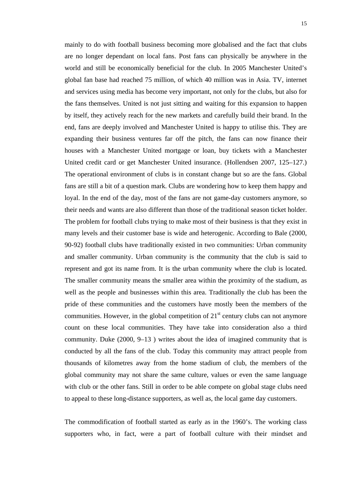mainly to do with football business becoming more globalised and the fact that clubs are no longer dependant on local fans. Post fans can physically be anywhere in the world and still be economically beneficial for the club. In 2005 Manchester United's global fan base had reached 75 million, of which 40 million was in Asia. TV, internet and services using media has become very important, not only for the clubs, but also for the fans themselves. United is not just sitting and waiting for this expansion to happen by itself, they actively reach for the new markets and carefully build their brand. In the end, fans are deeply involved and Manchester United is happy to utilise this. They are expanding their business ventures far off the pitch, the fans can now finance their houses with a Manchester United mortgage or loan, buy tickets with a Manchester United credit card or get Manchester United insurance. (Hollendsen 2007, 125–127.) The operational environment of clubs is in constant change but so are the fans. Global fans are still a bit of a question mark. Clubs are wondering how to keep them happy and loyal. In the end of the day, most of the fans are not game-day customers anymore, so their needs and wants are also different than those of the traditional season ticket holder. The problem for football clubs trying to make most of their business is that they exist in many levels and their customer base is wide and heterogenic. According to Bale (2000, 90-92) football clubs have traditionally existed in two communities: Urban community and smaller community. Urban community is the community that the club is said to represent and got its name from. It is the urban community where the club is located. The smaller community means the smaller area within the proximity of the stadium, as well as the people and businesses within this area. Traditionally the club has been the pride of these communities and the customers have mostly been the members of the communities. However, in the global competition of  $21<sup>st</sup>$  century clubs can not anymore count on these local communities. They have take into consideration also a third community. Duke (2000, 9–13 ) writes about the idea of imagined community that is conducted by all the fans of the club. Today this community may attract people from thousands of kilometres away from the home stadium of club, the members of the global community may not share the same culture, values or even the same language with club or the other fans. Still in order to be able compete on global stage clubs need to appeal to these long-distance supporters, as well as, the local game day customers.

The commodification of football started as early as in the 1960's. The working class supporters who, in fact, were a part of football culture with their mindset and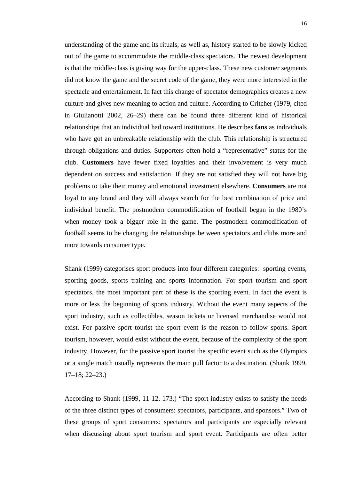understanding of the game and its rituals, as well as, history started to be slowly kicked out of the game to accommodate the middle-class spectators. The newest development is that the middle-class is giving way for the upper-class. These new customer segments did not know the game and the secret code of the game, they were more interested in the spectacle and entertainment. In fact this change of spectator demographics creates a new culture and gives new meaning to action and culture. According to Critcher (1979, cited in Giulianotti 2002, 26–29) there can be found three different kind of historical relationships that an individual had toward institutions. He describes **fans** as individuals who have got an unbreakable relationship with the club. This relationship is structured through obligations and duties. Supporters often hold a "representative" status for the club. **Customers** have fewer fixed loyalties and their involvement is very much dependent on success and satisfaction. If they are not satisfied they will not have big problems to take their money and emotional investment elsewhere. **Consumers** are not loyal to any brand and they will always search for the best combination of price and individual benefit. The postmodern commodification of football began in the 1980's when money took a bigger role in the game. The postmodern commodification of football seems to be changing the relationships between spectators and clubs more and more towards consumer type.

Shank (1999) categorises sport products into four different categories: sporting events, sporting goods, sports training and sports information. For sport tourism and sport spectators, the most important part of these is the sporting event. In fact the event is more or less the beginning of sports industry. Without the event many aspects of the sport industry, such as collectibles, season tickets or licensed merchandise would not exist. For passive sport tourist the sport event is the reason to follow sports. Sport tourism, however, would exist without the event, because of the complexity of the sport industry. However, for the passive sport tourist the specific event such as the Olympics or a single match usually represents the main pull factor to a destination. (Shank 1999, 17–18; 22–23.)

According to Shank (1999, 11-12, 173.) "The sport industry exists to satisfy the needs of the three distinct types of consumers: spectators, participants, and sponsors." Two of these groups of sport consumers: spectators and participants are especially relevant when discussing about sport tourism and sport event. Participants are often better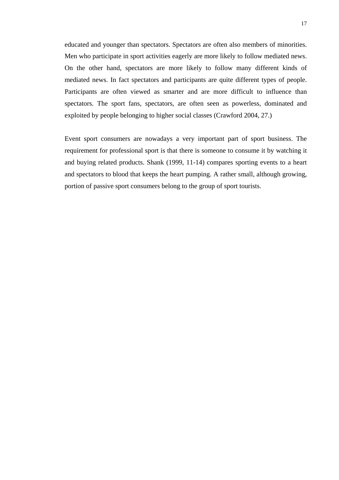educated and younger than spectators. Spectators are often also members of minorities. Men who participate in sport activities eagerly are more likely to follow mediated news. On the other hand, spectators are more likely to follow many different kinds of mediated news. In fact spectators and participants are quite different types of people. Participants are often viewed as smarter and are more difficult to influence than spectators. The sport fans, spectators, are often seen as powerless, dominated and exploited by people belonging to higher social classes (Crawford 2004, 27.)

Event sport consumers are nowadays a very important part of sport business. The requirement for professional sport is that there is someone to consume it by watching it and buying related products. Shank (1999, 11-14) compares sporting events to a heart and spectators to blood that keeps the heart pumping. A rather small, although growing, portion of passive sport consumers belong to the group of sport tourists.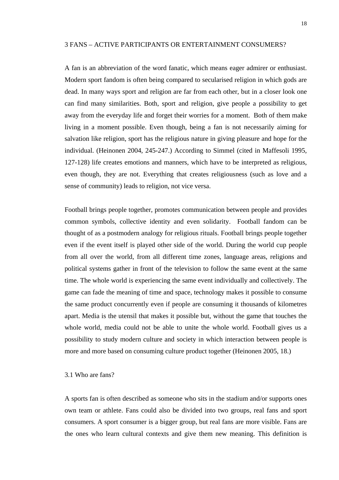### <span id="page-18-1"></span><span id="page-18-0"></span>3 FANS – ACTIVE PARTICIPANTS OR ENTERTAINMENT CONSUMERS?

A fan is an abbreviation of the word fanatic, which means eager admirer or enthusiast. Modern sport fandom is often being compared to secularised religion in which gods are dead. In many ways sport and religion are far from each other, but in a closer look one can find many similarities. Both, sport and religion, give people a possibility to get away from the everyday life and forget their worries for a moment. Both of them make living in a moment possible. Even though, being a fan is not necessarily aiming for salvation like religion, sport has the religious nature in giving pleasure and hope for the individual. (Heinonen 2004, 245-247.) According to Simmel (cited in Maffesoli 1995, 127-128) life creates emotions and manners, which have to be interpreted as religious, even though, they are not. Everything that creates religiousness (such as love and a sense of community) leads to religion, not vice versa.

Football brings people together, promotes communication between people and provides common symbols, collective identity and even solidarity. Football fandom can be thought of as a postmodern analogy for religious rituals. Football brings people together even if the event itself is played other side of the world. During the world cup people from all over the world, from all different time zones, language areas, religions and political systems gather in front of the television to follow the same event at the same time. The whole world is experiencing the same event individually and collectively. The game can fade the meaning of time and space, technology makes it possible to consume the same product concurrently even if people are consuming it thousands of kilometres apart. Media is the utensil that makes it possible but, without the game that touches the whole world, media could not be able to unite the whole world. Football gives us a possibility to study modern culture and society in which interaction between people is more and more based on consuming culture product together (Heinonen 2005, 18.)

### <span id="page-18-2"></span>3.1 Who are fans?

A sports fan is often described as someone who sits in the stadium and/or supports ones own team or athlete. Fans could also be divided into two groups, real fans and sport consumers. A sport consumer is a bigger group, but real fans are more visible. Fans are the ones who learn cultural contexts and give them new meaning. This definition is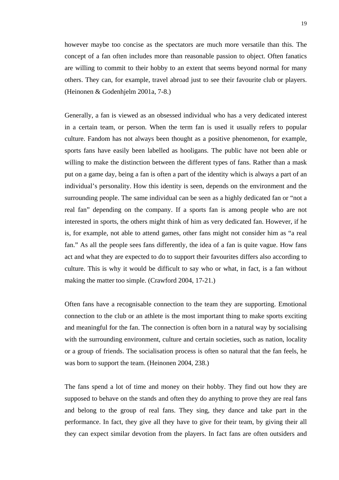however maybe too concise as the spectators are much more versatile than this. The concept of a fan often includes more than reasonable passion to object. Often fanatics are willing to commit to their hobby to an extent that seems beyond normal for many others. They can, for example, travel abroad just to see their favourite club or players. (Heinonen & Godenhjelm 2001a, 7-8.)

Generally, a fan is viewed as an obsessed individual who has a very dedicated interest in a certain team, or person. When the term fan is used it usually refers to popular culture. Fandom has not always been thought as a positive phenomenon, for example, sports fans have easily been labelled as hooligans. The public have not been able or willing to make the distinction between the different types of fans. Rather than a mask put on a game day, being a fan is often a part of the identity which is always a part of an individual's personality. How this identity is seen, depends on the environment and the surrounding people. The same individual can be seen as a highly dedicated fan or "not a real fan" depending on the company. If a sports fan is among people who are not interested in sports, the others might think of him as very dedicated fan. However, if he is, for example, not able to attend games, other fans might not consider him as "a real fan." As all the people sees fans differently, the idea of a fan is quite vague. How fans act and what they are expected to do to support their favourites differs also according to culture. This is why it would be difficult to say who or what, in fact, is a fan without making the matter too simple. (Crawford 2004, 17-21.)

Often fans have a recognisable connection to the team they are supporting. Emotional connection to the club or an athlete is the most important thing to make sports exciting and meaningful for the fan. The connection is often born in a natural way by socialising with the surrounding environment, culture and certain societies, such as nation, locality or a group of friends. The socialisation process is often so natural that the fan feels, he was born to support the team. (Heinonen 2004, 238.)

The fans spend a lot of time and money on their hobby. They find out how they are supposed to behave on the stands and often they do anything to prove they are real fans and belong to the group of real fans. They sing, they dance and take part in the performance. In fact, they give all they have to give for their team, by giving their all they can expect similar devotion from the players. In fact fans are often outsiders and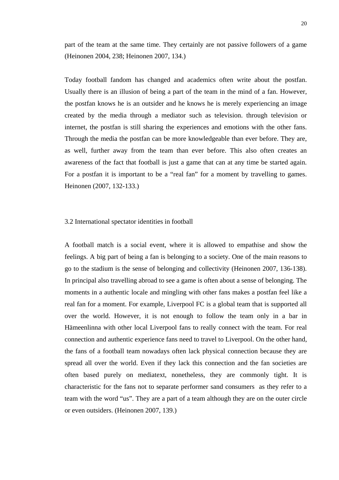<span id="page-20-0"></span>part of the team at the same time. They certainly are not passive followers of a game (Heinonen 2004, 238; Heinonen 2007, 134.)

Today football fandom has changed and academics often write about the postfan. Usually there is an illusion of being a part of the team in the mind of a fan. However, the postfan knows he is an outsider and he knows he is merely experiencing an image created by the media through a mediator such as television. through television or internet, the postfan is still sharing the experiences and emotions with the other fans. Through the media the postfan can be more knowledgeable than ever before. They are, as well, further away from the team than ever before. This also often creates an awareness of the fact that football is just a game that can at any time be started again. For a postfan it is important to be a "real fan" for a moment by travelling to games. Heinonen (2007, 132-133.)

## <span id="page-20-1"></span>3.2 International spectator identities in football

A football match is a social event, where it is allowed to empathise and show the feelings. A big part of being a fan is belonging to a society. One of the main reasons to go to the stadium is the sense of belonging and collectivity (Heinonen 2007, 136-138). In principal also travelling abroad to see a game is often about a sense of belonging. The moments in a authentic locale and mingling with other fans makes a postfan feel like a real fan for a moment. For example, Liverpool FC is a global team that is supported all over the world. However, it is not enough to follow the team only in a bar in Hämeenlinna with other local Liverpool fans to really connect with the team. For real connection and authentic experience fans need to travel to Liverpool. On the other hand, the fans of a football team nowadays often lack physical connection because they are spread all over the world. Even if they lack this connection and the fan societies are often based purely on mediatext, nonetheless, they are commonly tight. It is characteristic for the fans not to separate performer sand consumers as they refer to a team with the word "us". They are a part of a team although they are on the outer circle or even outsiders. (Heinonen 2007, 139.)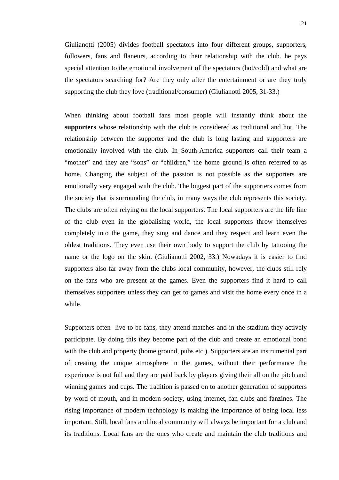Giulianotti (2005) divides football spectators into four different groups, supporters, followers, fans and flaneurs, according to their relationship with the club. he pays special attention to the emotional involvement of the spectators (hot/cold) and what are the spectators searching for? Are they only after the entertainment or are they truly supporting the club they love (traditional/consumer) (Giulianotti 2005, 31-33.)

When thinking about football fans most people will instantly think about the **supporters** whose relationship with the club is considered as traditional and hot. The relationship between the supporter and the club is long lasting and supporters are emotionally involved with the club. In South-America supporters call their team a "mother" and they are "sons" or "children," the home ground is often referred to as home. Changing the subject of the passion is not possible as the supporters are emotionally very engaged with the club. The biggest part of the supporters comes from the society that is surrounding the club, in many ways the club represents this society. The clubs are often relying on the local supporters. The local supporters are the life line of the club even in the globalising world, the local supporters throw themselves completely into the game, they sing and dance and they respect and learn even the oldest traditions. They even use their own body to support the club by tattooing the name or the logo on the skin. (Giulianotti 2002, 33.) Nowadays it is easier to find supporters also far away from the clubs local community, however, the clubs still rely on the fans who are present at the games. Even the supporters find it hard to call themselves supporters unless they can get to games and visit the home every once in a while.

Supporters often live to be fans, they attend matches and in the stadium they actively participate. By doing this they become part of the club and create an emotional bond with the club and property (home ground, pubs etc.). Supporters are an instrumental part of creating the unique atmosphere in the games, without their performance the experience is not full and they are paid back by players giving their all on the pitch and winning games and cups. The tradition is passed on to another generation of supporters by word of mouth, and in modern society, using internet, fan clubs and fanzines. The rising importance of modern technology is making the importance of being local less important. Still, local fans and local community will always be important for a club and its traditions. Local fans are the ones who create and maintain the club traditions and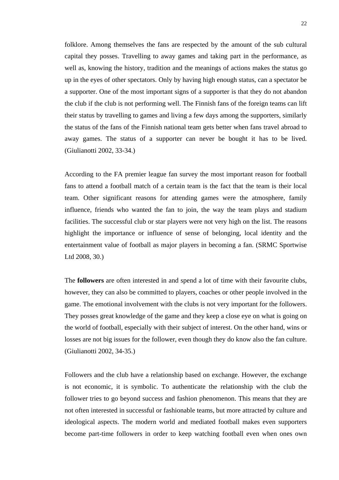folklore. Among themselves the fans are respected by the amount of the sub cultural capital they posses. Travelling to away games and taking part in the performance, as well as, knowing the history, tradition and the meanings of actions makes the status go up in the eyes of other spectators. Only by having high enough status, can a spectator be a supporter. One of the most important signs of a supporter is that they do not abandon the club if the club is not performing well. The Finnish fans of the foreign teams can lift their status by travelling to games and living a few days among the supporters, similarly the status of the fans of the Finnish national team gets better when fans travel abroad to away games. The status of a supporter can never be bought it has to be lived. (Giulianotti 2002, 33-34.)

According to the FA premier league fan survey the most important reason for football fans to attend a football match of a certain team is the fact that the team is their local team. Other significant reasons for attending games were the atmosphere, family influence, friends who wanted the fan to join, the way the team plays and stadium facilities. The successful club or star players were not very high on the list. The reasons highlight the importance or influence of sense of belonging, local identity and the entertainment value of football as major players in becoming a fan. (SRMC Sportwise Ltd 2008, 30.)

The **followers** are often interested in and spend a lot of time with their favourite clubs, however, they can also be committed to players, coaches or other people involved in the game. The emotional involvement with the clubs is not very important for the followers. They posses great knowledge of the game and they keep a close eye on what is going on the world of football, especially with their subject of interest. On the other hand, wins or losses are not big issues for the follower, even though they do know also the fan culture. (Giulianotti 2002, 34-35.)

Followers and the club have a relationship based on exchange. However, the exchange is not economic, it is symbolic. To authenticate the relationship with the club the follower tries to go beyond success and fashion phenomenon. This means that they are not often interested in successful or fashionable teams, but more attracted by culture and ideological aspects. The modern world and mediated football makes even supporters become part-time followers in order to keep watching football even when ones own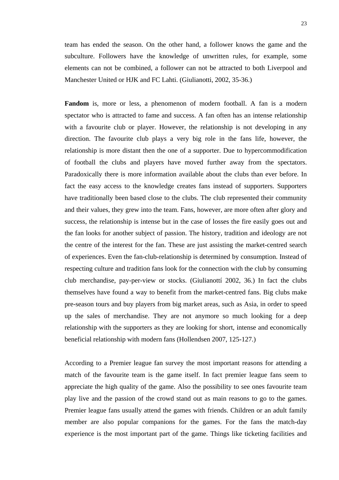team has ended the season. On the other hand, a follower knows the game and the subculture. Followers have the knowledge of unwritten rules, for example, some elements can not be combined, a follower can not be attracted to both Liverpool and Manchester United or HJK and FC Lahti. (Giulianotti, 2002, 35-36.)

Fandom is, more or less, a phenomenon of modern football. A fan is a modern spectator who is attracted to fame and success. A fan often has an intense relationship with a favourite club or player. However, the relationship is not developing in any direction. The favourite club plays a very big role in the fans life, however, the relationship is more distant then the one of a supporter. Due to hypercommodification of football the clubs and players have moved further away from the spectators. Paradoxically there is more information available about the clubs than ever before. In fact the easy access to the knowledge creates fans instead of supporters. Supporters have traditionally been based close to the clubs. The club represented their community and their values, they grew into the team. Fans, however, are more often after glory and success, the relationship is intense but in the case of losses the fire easily goes out and the fan looks for another subject of passion. The history, tradition and ideology are not the centre of the interest for the fan. These are just assisting the market-centred search of experiences. Even the fan-club-relationship is determined by consumption. Instead of respecting culture and tradition fans look for the connection with the club by consuming club merchandise, pay-per-view or stocks. (Giulianottí 2002, 36.) In fact the clubs themselves have found a way to benefit from the market-centred fans. Big clubs make pre-season tours and buy players from big market areas, such as Asia, in order to speed up the sales of merchandise. They are not anymore so much looking for a deep relationship with the supporters as they are looking for short, intense and economically beneficial relationship with modern fans (Hollendsen 2007, 125-127.)

According to a Premier league fan survey the most important reasons for attending a match of the favourite team is the game itself. In fact premier league fans seem to appreciate the high quality of the game. Also the possibility to see ones favourite team play live and the passion of the crowd stand out as main reasons to go to the games. Premier league fans usually attend the games with friends. Children or an adult family member are also popular companions for the games. For the fans the match-day experience is the most important part of the game. Things like ticketing facilities and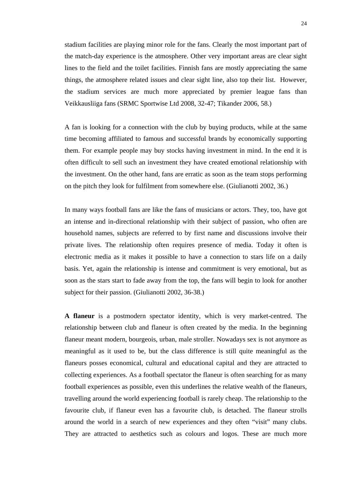stadium facilities are playing minor role for the fans. Clearly the most important part of the match-day experience is the atmosphere. Other very important areas are clear sight lines to the field and the toilet facilities. Finnish fans are mostly appreciating the same things, the atmosphere related issues and clear sight line, also top their list. However, the stadium services are much more appreciated by premier league fans than Veikkausliiga fans (SRMC Sportwise Ltd 2008, 32-47; Tikander 2006, 58.)

A fan is looking for a connection with the club by buying products, while at the same time becoming affiliated to famous and successful brands by economically supporting them. For example people may buy stocks having investment in mind. In the end it is often difficult to sell such an investment they have created emotional relationship with the investment. On the other hand, fans are erratic as soon as the team stops performing on the pitch they look for fulfilment from somewhere else. (Giulianotti 2002, 36.)

In many ways football fans are like the fans of musicians or actors. They, too, have got an intense and in-directional relationship with their subject of passion, who often are household names, subjects are referred to by first name and discussions involve their private lives. The relationship often requires presence of media. Today it often is electronic media as it makes it possible to have a connection to stars life on a daily basis. Yet, again the relationship is intense and commitment is very emotional, but as soon as the stars start to fade away from the top, the fans will begin to look for another subject for their passion. (Giulianotti 2002, 36-38.)

**A flaneur** is a postmodern spectator identity, which is very market-centred. The relationship between club and flaneur is often created by the media. In the beginning flaneur meant modern, bourgeois, urban, male stroller. Nowadays sex is not anymore as meaningful as it used to be, but the class difference is still quite meaningful as the flaneurs posses economical, cultural and educational capital and they are attracted to collecting experiences. As a football spectator the flaneur is often searching for as many football experiences as possible, even this underlines the relative wealth of the flaneurs, travelling around the world experiencing football is rarely cheap. The relationship to the favourite club, if flaneur even has a favourite club, is detached. The flaneur strolls around the world in a search of new experiences and they often "visit" many clubs. They are attracted to aesthetics such as colours and logos. These are much more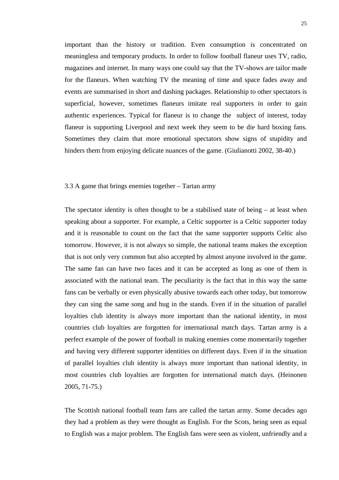<span id="page-25-0"></span>important than the history or tradition. Even consumption is concentrated on meaningless and temporary products. In order to follow football flaneur uses TV, radio, magazines and internet. In many ways one could say that the TV-shows are tailor made for the flaneurs. When watching TV the meaning of time and space fades away and events are summarised in short and dashing packages. Relationship to other spectators is superficial, however, sometimes flaneurs imitate real supporters in order to gain authentic experiences. Typical for flaneur is to change the subject of interest, today flaneur is supporting Liverpool and next week they seem to be die hard boxing fans. Sometimes they claim that more emotional spectators show signs of stupidity and hinders them from enjoying delicate nuances of the game. (Giulianotti 2002, 38-40.)

# <span id="page-25-1"></span>3.3 A game that brings enemies together – Tartan army

The spectator identity is often thought to be a stabilised state of being  $-$  at least when speaking about a supporter. For example, a Celtic supporter is a Celtic supporter today and it is reasonable to count on the fact that the same supporter supports Celtic also tomorrow. However, it is not always so simple, the national teams makes the exception that is not only very common but also accepted by almost anyone involved in the game. The same fan can have two faces and it can be accepted as long as one of them is associated with the national team. The peculiarity is the fact that in this way the same fans can be verbally or even physically abusive towards each other today, but tomorrow they can sing the same song and hug in the stands. Even if in the situation of parallel loyalties club identity is always more important than the national identity, in most countries club loyalties are forgotten for international match days. Tartan army is a perfect example of the power of football in making enemies come momentarily together and having very different supporter identities on different days. Even if in the situation of parallel loyalties club identity is always more important than national identity, in most countries club loyalties are forgotten for international match days. (Heinonen 2005, 71-75.)

The Scottish national football team fans are called the tartan army. Some decades ago they had a problem as they were thought as English. For the Scots, being seen as equal to English was a major problem. The English fans were seen as violent, unfriendly and a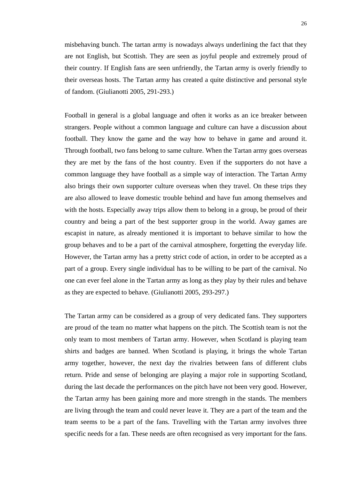misbehaving bunch. The tartan army is nowadays always underlining the fact that they are not English, but Scottish. They are seen as joyful people and extremely proud of their country. If English fans are seen unfriendly, the Tartan army is overly friendly to their overseas hosts. The Tartan army has created a quite distinctive and personal style of fandom. (Giulianotti 2005, 291-293.)

Football in general is a global language and often it works as an ice breaker between strangers. People without a common language and culture can have a discussion about football. They know the game and the way how to behave in game and around it. Through football, two fans belong to same culture. When the Tartan army goes overseas they are met by the fans of the host country. Even if the supporters do not have a common language they have football as a simple way of interaction. The Tartan Army also brings their own supporter culture overseas when they travel. On these trips they are also allowed to leave domestic trouble behind and have fun among themselves and with the hosts. Especially away trips allow them to belong in a group, be proud of their country and being a part of the best supporter group in the world. Away games are escapist in nature, as already mentioned it is important to behave similar to how the group behaves and to be a part of the carnival atmosphere, forgetting the everyday life. However, the Tartan army has a pretty strict code of action, in order to be accepted as a part of a group. Every single individual has to be willing to be part of the carnival. No one can ever feel alone in the Tartan army as long as they play by their rules and behave as they are expected to behave. (Giulianotti 2005, 293-297.)

The Tartan army can be considered as a group of very dedicated fans. They supporters are proud of the team no matter what happens on the pitch. The Scottish team is not the only team to most members of Tartan army. However, when Scotland is playing team shirts and badges are banned. When Scotland is playing, it brings the whole Tartan army together, however, the next day the rivalries between fans of different clubs return. Pride and sense of belonging are playing a major role in supporting Scotland, during the last decade the performances on the pitch have not been very good. However, the Tartan army has been gaining more and more strength in the stands. The members are living through the team and could never leave it. They are a part of the team and the team seems to be a part of the fans. Travelling with the Tartan army involves three specific needs for a fan. These needs are often recognised as very important for the fans.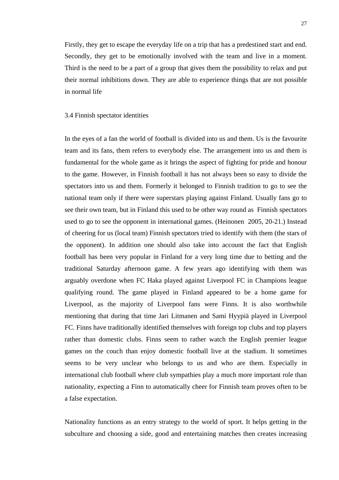<span id="page-27-0"></span>Firstly, they get to escape the everyday life on a trip that has a predestined start and end. Secondly, they get to be emotionally involved with the team and live in a moment. Third is the need to be a part of a group that gives them the possibility to relax and put their normal inhibitions down. They are able to experience things that are not possible in normal life

### <span id="page-27-1"></span>3.4 Finnish spectator identities

In the eyes of a fan the world of football is divided into us and them. Us is the favourite team and its fans, them refers to everybody else. The arrangement into us and them is fundamental for the whole game as it brings the aspect of fighting for pride and honour to the game. However, in Finnish football it has not always been so easy to divide the spectators into us and them. Formerly it belonged to Finnish tradition to go to see the national team only if there were superstars playing against Finland. Usually fans go to see their own team, but in Finland this used to be other way round as Finnish spectators used to go to see the opponent in international games. (Heinonen 2005, 20-21.) Instead of cheering for us (local team) Finnish spectators tried to identify with them (the stars of the opponent). In addition one should also take into account the fact that English football has been very popular in Finland for a very long time due to betting and the traditional Saturday afternoon game. A few years ago identifying with them was arguably overdone when FC Haka played against Liverpool FC in Champions league qualifying round. The game played in Finland appeared to be a home game for Liverpool, as the majority of Liverpool fans were Finns. It is also worthwhile mentioning that during that time Jari Litmanen and Sami Hyypiä played in Liverpool FC. Finns have traditionally identified themselves with foreign top clubs and top players rather than domestic clubs. Finns seem to rather watch the English premier league games on the couch than enjoy domestic football live at the stadium. It sometimes seems to be very unclear who belongs to us and who are them. Especially in international club football where club sympathies play a much more important role than nationality, expecting a Finn to automatically cheer for Finnish team proves often to be a false expectation.

Nationality functions as an entry strategy to the world of sport. It helps getting in the subculture and choosing a side, good and entertaining matches then creates increasing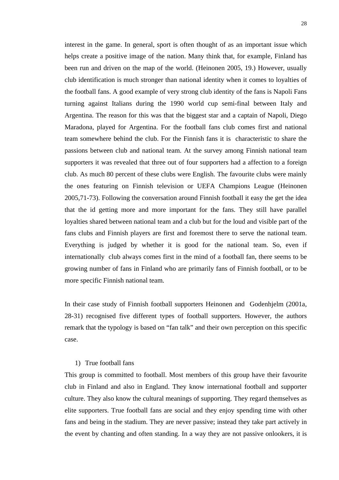interest in the game. In general, sport is often thought of as an important issue which helps create a positive image of the nation. Many think that, for example, Finland has been run and driven on the map of the world. (Heinonen 2005, 19.) However, usually club identification is much stronger than national identity when it comes to loyalties of the football fans. A good example of very strong club identity of the fans is Napoli Fans turning against Italians during the 1990 world cup semi-final between Italy and Argentina. The reason for this was that the biggest star and a captain of Napoli, Diego Maradona, played for Argentina. For the football fans club comes first and national team somewhere behind the club. For the Finnish fans it is characteristic to share the passions between club and national team. At the survey among Finnish national team supporters it was revealed that three out of four supporters had a affection to a foreign club. As much 80 percent of these clubs were English. The favourite clubs were mainly the ones featuring on Finnish television or UEFA Champions League (Heinonen 2005,71-73). Following the conversation around Finnish football it easy the get the idea that the id getting more and more important for the fans. They still have parallel loyalties shared between national team and a club but for the loud and visible part of the fans clubs and Finnish players are first and foremost there to serve the national team. Everything is judged by whether it is good for the national team. So, even if internationally club always comes first in the mind of a football fan, there seems to be growing number of fans in Finland who are primarily fans of Finnish football, or to be more specific Finnish national team.

In their case study of Finnish football supporters Heinonen and Godenhjelm (2001a, 28-31) recognised five different types of football supporters. However, the authors remark that the typology is based on "fan talk" and their own perception on this specific case.

## 1) True football fans

This group is committed to football. Most members of this group have their favourite club in Finland and also in England. They know international football and supporter culture. They also know the cultural meanings of supporting. They regard themselves as elite supporters. True football fans are social and they enjoy spending time with other fans and being in the stadium. They are never passive; instead they take part actively in the event by chanting and often standing. In a way they are not passive onlookers, it is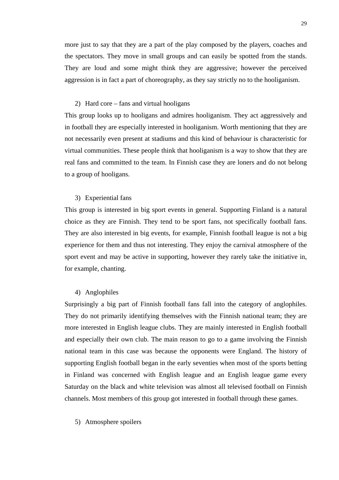more just to say that they are a part of the play composed by the players, coaches and the spectators. They move in small groups and can easily be spotted from the stands. They are loud and some might think they are aggressive; however the perceived aggression is in fact a part of choreography, as they say strictly no to the hooliganism.

# 2) Hard core – fans and virtual hooligans

This group looks up to hooligans and admires hooliganism. They act aggressively and in football they are especially interested in hooliganism. Worth mentioning that they are not necessarily even present at stadiums and this kind of behaviour is characteristic for virtual communities. These people think that hooliganism is a way to show that they are real fans and committed to the team. In Finnish case they are loners and do not belong to a group of hooligans.

### 3) Experiential fans

This group is interested in big sport events in general. Supporting Finland is a natural choice as they are Finnish. They tend to be sport fans, not specifically football fans. They are also interested in big events, for example, Finnish football league is not a big experience for them and thus not interesting. They enjoy the carnival atmosphere of the sport event and may be active in supporting, however they rarely take the initiative in, for example, chanting.

### 4) Anglophiles

Surprisingly a big part of Finnish football fans fall into the category of anglophiles. They do not primarily identifying themselves with the Finnish national team; they are more interested in English league clubs. They are mainly interested in English football and especially their own club. The main reason to go to a game involving the Finnish national team in this case was because the opponents were England. The history of supporting English football began in the early seventies when most of the sports betting in Finland was concerned with English league and an English league game every Saturday on the black and white television was almost all televised football on Finnish channels. Most members of this group got interested in football through these games.

### 5) Atmosphere spoilers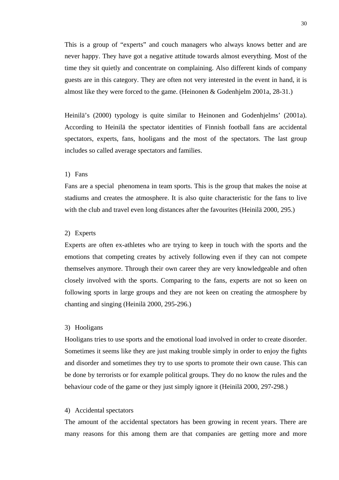This is a group of "experts" and couch managers who always knows better and are never happy. They have got a negative attitude towards almost everything. Most of the time they sit quietly and concentrate on complaining. Also different kinds of company guests are in this category. They are often not very interested in the event in hand, it is almost like they were forced to the game. (Heinonen & Godenhjelm 2001a, 28-31.)

Heinilä's (2000) typology is quite similar to Heinonen and Godenhjelms' (2001a). According to Heinilä the spectator identities of Finnish football fans are accidental spectators, experts, fans, hooligans and the most of the spectators. The last group includes so called average spectators and families.

### 1) Fans

Fans are a special phenomena in team sports. This is the group that makes the noise at stadiums and creates the atmosphere. It is also quite characteristic for the fans to live with the club and travel even long distances after the favourites (Heinilä 2000, 295.)

## 2) Experts

Experts are often ex-athletes who are trying to keep in touch with the sports and the emotions that competing creates by actively following even if they can not compete themselves anymore. Through their own career they are very knowledgeable and often closely involved with the sports. Comparing to the fans, experts are not so keen on following sports in large groups and they are not keen on creating the atmosphere by chanting and singing (Heinilä 2000, 295-296.)

# 3) Hooligans

Hooligans tries to use sports and the emotional load involved in order to create disorder. Sometimes it seems like they are just making trouble simply in order to enjoy the fights and disorder and sometimes they try to use sports to promote their own cause. This can be done by terrorists or for example political groups. They do no know the rules and the behaviour code of the game or they just simply ignore it (Heinilä 2000, 297-298.)

#### 4) Accidental spectators

The amount of the accidental spectators has been growing in recent years. There are many reasons for this among them are that companies are getting more and more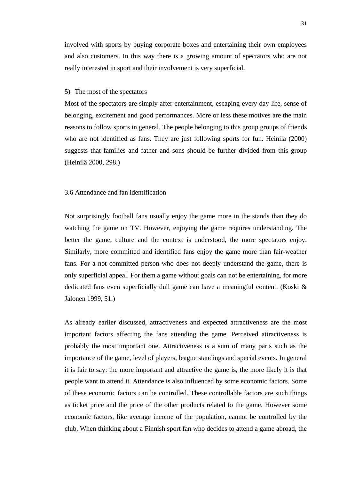<span id="page-31-0"></span>involved with sports by buying corporate boxes and entertaining their own employees and also customers. In this way there is a growing amount of spectators who are not really interested in sport and their involvement is very superficial.

## 5) The most of the spectators

Most of the spectators are simply after entertainment, escaping every day life, sense of belonging, excitement and good performances. More or less these motives are the main reasons to follow sports in general. The people belonging to this group groups of friends who are not identified as fans. They are just following sports for fun. Heinilä (2000) suggests that families and father and sons should be further divided from this group (Heinilä 2000, 298.)

# <span id="page-31-1"></span>3.6 Attendance and fan identification

Not surprisingly football fans usually enjoy the game more in the stands than they do watching the game on TV. However, enjoying the game requires understanding. The better the game, culture and the context is understood, the more spectators enjoy. Similarly, more committed and identified fans enjoy the game more than fair-weather fans. For a not committed person who does not deeply understand the game, there is only superficial appeal. For them a game without goals can not be entertaining, for more dedicated fans even superficially dull game can have a meaningful content. (Koski & Jalonen 1999, 51.)

As already earlier discussed, attractiveness and expected attractiveness are the most important factors affecting the fans attending the game. Perceived attractiveness is probably the most important one. Attractiveness is a sum of many parts such as the importance of the game, level of players, league standings and special events. In general it is fair to say: the more important and attractive the game is, the more likely it is that people want to attend it. Attendance is also influenced by some economic factors. Some of these economic factors can be controlled. These controllable factors are such things as ticket price and the price of the other products related to the game. However some economic factors, like average income of the population, cannot be controlled by the club. When thinking about a Finnish sport fan who decides to attend a game abroad, the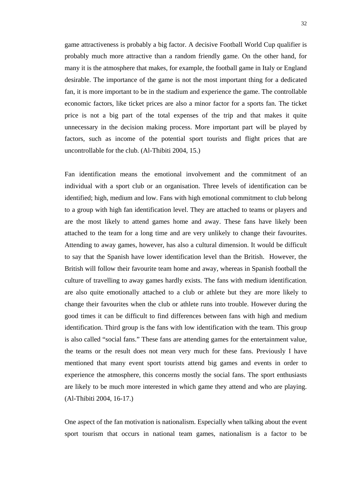game attractiveness is probably a big factor. A decisive Football World Cup qualifier is probably much more attractive than a random friendly game. On the other hand, for many it is the atmosphere that makes, for example, the football game in Italy or England desirable. The importance of the game is not the most important thing for a dedicated fan, it is more important to be in the stadium and experience the game. The controllable economic factors, like ticket prices are also a minor factor for a sports fan. The ticket price is not a big part of the total expenses of the trip and that makes it quite unnecessary in the decision making process. More important part will be played by factors, such as income of the potential sport tourists and flight prices that are uncontrollable for the club. (Al-Thibiti 2004, 15.)

Fan identification means the emotional involvement and the commitment of an individual with a sport club or an organisation. Three levels of identification can be identified; high, medium and low. Fans with high emotional commitment to club belong to a group with high fan identification level. They are attached to teams or players and are the most likely to attend games home and away. These fans have likely been attached to the team for a long time and are very unlikely to change their favourites. Attending to away games, however, has also a cultural dimension. It would be difficult to say that the Spanish have lower identification level than the British. However, the British will follow their favourite team home and away, whereas in Spanish football the culture of travelling to away games hardly exists. The fans with medium identification, are also quite emotionally attached to a club or athlete but they are more likely to change their favourites when the club or athlete runs into trouble. However during the good times it can be difficult to find differences between fans with high and medium identification. Third group is the fans with low identification with the team. This group is also called "social fans." These fans are attending games for the entertainment value, the teams or the result does not mean very much for these fans. Previously I have mentioned that many event sport tourists attend big games and events in order to experience the atmosphere, this concerns mostly the social fans. The sport enthusiasts are likely to be much more interested in which game they attend and who are playing. (Al-Thibiti 2004, 16-17.)

One aspect of the fan motivation is nationalism. Especially when talking about the event sport tourism that occurs in national team games, nationalism is a factor to be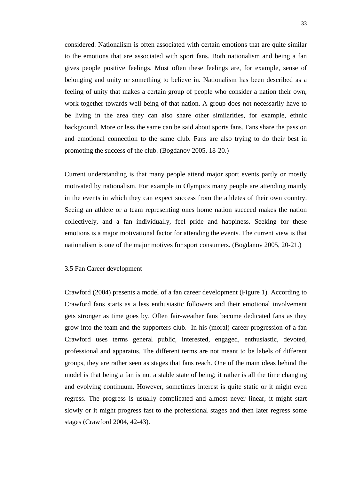<span id="page-33-0"></span>considered. Nationalism is often associated with certain emotions that are quite similar to the emotions that are associated with sport fans. Both nationalism and being a fan gives people positive feelings. Most often these feelings are, for example, sense of belonging and unity or something to believe in. Nationalism has been described as a feeling of unity that makes a certain group of people who consider a nation their own, work together towards well-being of that nation. A group does not necessarily have to be living in the area they can also share other similarities, for example, ethnic background. More or less the same can be said about sports fans. Fans share the passion and emotional connection to the same club. Fans are also trying to do their best in promoting the success of the club. (Bogdanov 2005, 18-20.)

Current understanding is that many people attend major sport events partly or mostly motivated by nationalism. For example in Olympics many people are attending mainly in the events in which they can expect success from the athletes of their own country. Seeing an athlete or a team representing ones home nation succeed makes the nation collectively, and a fan individually, feel pride and happiness. Seeking for these emotions is a major motivational factor for attending the events. The current view is that nationalism is one of the major motives for sport consumers. (Bogdanov 2005, 20-21.)

# <span id="page-33-1"></span>3.5 Fan Career development

Crawford (2004) presents a model of a fan career development (Figure 1). According to Crawford fans starts as a less enthusiastic followers and their emotional involvement gets stronger as time goes by. Often fair-weather fans become dedicated fans as they grow into the team and the supporters club. In his (moral) career progression of a fan Crawford uses terms general public, interested, engaged, enthusiastic, devoted, professional and apparatus. The different terms are not meant to be labels of different groups, they are rather seen as stages that fans reach. One of the main ideas behind the model is that being a fan is not a stable state of being; it rather is all the time changing and evolving continuum. However, sometimes interest is quite static or it might even regress. The progress is usually complicated and almost never linear, it might start slowly or it might progress fast to the professional stages and then later regress some stages (Crawford 2004, 42-43).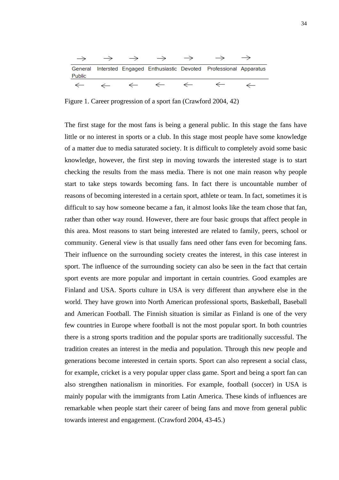<span id="page-34-0"></span>

| $\rightarrow$ |  | $\rightarrow$ |                                                                       |  |
|---------------|--|---------------|-----------------------------------------------------------------------|--|
| Public        |  |               | General Intersted Engaged Enthusiastic Devoted Professional Apparatus |  |
|               |  |               |                                                                       |  |

<span id="page-34-1"></span>Figure 1. Career progression of a sport fan (Crawford 2004, 42)

The first stage for the most fans is being a general public. In this stage the fans have little or no interest in sports or a club. In this stage most people have some knowledge of a matter due to media saturated society. It is difficult to completely avoid some basic knowledge, however, the first step in moving towards the interested stage is to start checking the results from the mass media. There is not one main reason why people start to take steps towards becoming fans. In fact there is uncountable number of reasons of becoming interested in a certain sport, athlete or team. In fact, sometimes it is difficult to say how someone became a fan, it almost looks like the team chose that fan, rather than other way round. However, there are four basic groups that affect people in this area. Most reasons to start being interested are related to family, peers, school or community. General view is that usually fans need other fans even for becoming fans. Their influence on the surrounding society creates the interest, in this case interest in sport. The influence of the surrounding society can also be seen in the fact that certain sport events are more popular and important in certain countries. Good examples are Finland and USA. Sports culture in USA is very different than anywhere else in the world. They have grown into North American professional sports, Basketball, Baseball and American Football. The Finnish situation is similar as Finland is one of the very few countries in Europe where football is not the most popular sport. In both countries there is a strong sports tradition and the popular sports are traditionally successful. The tradition creates an interest in the media and population. Through this new people and generations become interested in certain sports. Sport can also represent a social class, for example, cricket is a very popular upper class game. Sport and being a sport fan can also strengthen nationalism in minorities. For example, football (soccer) in USA is mainly popular with the immigrants from Latin America. These kinds of influences are remarkable when people start their career of being fans and move from general public towards interest and engagement. (Crawford 2004, 43-45.)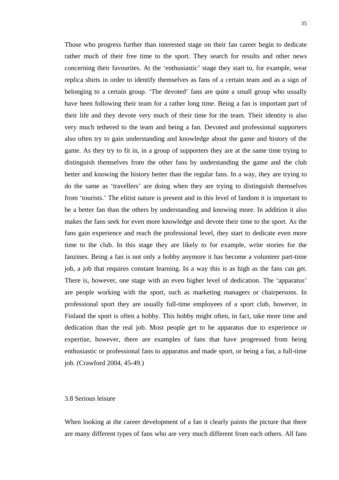<span id="page-35-0"></span>Those who progress further than interested stage on their fan career begin to dedicate rather much of their free time to the sport. They search for results and other news concerning their favourites. At the 'enthusiastic' stage they start to, for example, wear replica shirts in order to identify themselves as fans of a certain team and as a sign of belonging to a certain group. 'The devoted' fans are quite a small group who usually have been following their team for a rather long time. Being a fan is important part of their life and they devote very much of their time for the team. Their identity is also very much tethered to the team and being a fan. Devoted and professional supporters also often try to gain understanding and knowledge about the game and history of the game. As they try to fit in, in a group of supporters they are at the same time trying to distinguish themselves from the other fans by understanding the game and the club better and knowing the history better than the regular fans. In a way, they are trying to do the same as 'travellers' are doing when they are trying to distinguish themselves from 'tourists.' The elitist nature is present and in this level of fandom it is important to be a better fan than the others by understanding and knowing more. In addition it also makes the fans seek for even more knowledge and devote their time to the sport. As the fans gain experience and reach the professional level, they start to dedicate even more time to the club. In this stage they are likely to for example, write stories for the fanzines. Being a fan is not only a hobby anymore it has become a volunteer part-time job, a job that requires constant learning. In a way this is as high as the fans can get. There is, however, one stage with an even higher level of dedication. The 'apparatus' are people working with the sport, such as marketing managers or chairpersons. In professional sport they are usually full-time employees of a sport club, however, in Finland the sport is often a hobby. This hobby might often, in fact, take more time and dedication than the real job. Most people get to be apparatus due to experience or expertise, however, there are examples of fans that have progressed from being enthusiastic or professional fans to apparatus and made sport, or being a fan, a full-time job. (Crawford 2004, 45-49.)

# <span id="page-35-1"></span>3.8 Serious leisure

When looking at the career development of a fan it clearly paints the picture that there are many different types of fans who are very much different from each others. All fans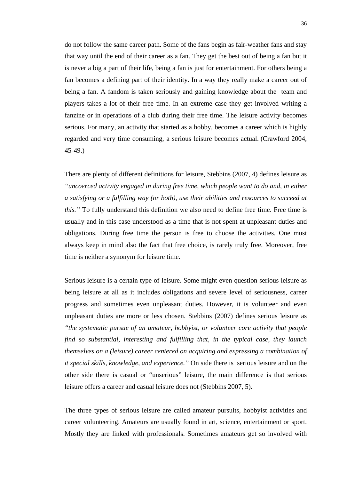do not follow the same career path. Some of the fans begin as fair-weather fans and stay that way until the end of their career as a fan. They get the best out of being a fan but it is never a big a part of their life, being a fan is just for entertainment. For others being a fan becomes a defining part of their identity. In a way they really make a career out of being a fan. A fandom is taken seriously and gaining knowledge about the team and players takes a lot of their free time. In an extreme case they get involved writing a fanzine or in operations of a club during their free time. The leisure activity becomes serious. For many, an activity that started as a hobby, becomes a career which is highly regarded and very time consuming, a serious leisure becomes actual. (Crawford 2004, 45-49.)

There are plenty of different definitions for leisure, Stebbins (2007, 4) defines leisure as *"uncoerced activity engaged in during free time, which people want to do and, in either a satisfying or a fulfilling way (or both), use their abilities and resources to succeed at this.*" To fully understand this definition we also need to define free time. Free time is usually and in this case understood as a time that is not spent at unpleasant duties and obligations. During free time the person is free to choose the activities. One must always keep in mind also the fact that free choice, is rarely truly free. Moreover, free time is neither a synonym for leisure time.

Serious leisure is a certain type of leisure. Some might even question serious leisure as being leisure at all as it includes obligations and severe level of seriousness, career progress and sometimes even unpleasant duties. However, it is volunteer and even unpleasant duties are more or less chosen. Stebbins (2007) defines serious leisure as *"the systematic pursue of an amateur, hobbyist, or volunteer core activity that people find so substantial, interesting and fulfilling that, in the typical case, they launch themselves on a (leisure) career centered on acquiring and expressing a combination of it special skills, knowledge, and experience."* On side there is serious leisure and on the other side there is casual or "unserious" leisure, the main difference is that serious leisure offers a career and casual leisure does not (Stebbins 2007, 5).

The three types of serious leisure are called amateur pursuits, hobbyist activities and career volunteering. Amateurs are usually found in art, science, entertainment or sport. Mostly they are linked with professionals. Sometimes amateurs get so involved with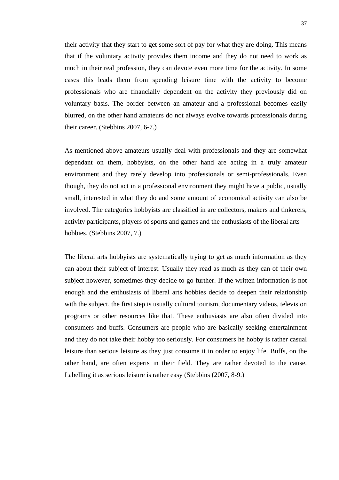their activity that they start to get some sort of pay for what they are doing. This means that if the voluntary activity provides them income and they do not need to work as much in their real profession, they can devote even more time for the activity. In some cases this leads them from spending leisure time with the activity to become professionals who are financially dependent on the activity they previously did on voluntary basis. The border between an amateur and a professional becomes easily blurred, on the other hand amateurs do not always evolve towards professionals during their career. (Stebbins 2007, 6-7.)

As mentioned above amateurs usually deal with professionals and they are somewhat dependant on them, hobbyists, on the other hand are acting in a truly amateur environment and they rarely develop into professionals or semi-professionals. Even though, they do not act in a professional environment they might have a public, usually small, interested in what they do and some amount of economical activity can also be involved. The categories hobbyists are classified in are collectors, makers and tinkerers, activity participants, players of sports and games and the enthusiasts of the liberal arts hobbies. (Stebbins 2007, 7.)

The liberal arts hobbyists are systematically trying to get as much information as they can about their subject of interest. Usually they read as much as they can of their own subject however, sometimes they decide to go further. If the written information is not enough and the enthusiasts of liberal arts hobbies decide to deepen their relationship with the subject, the first step is usually cultural tourism, documentary videos, television programs or other resources like that. These enthusiasts are also often divided into consumers and buffs. Consumers are people who are basically seeking entertainment and they do not take their hobby too seriously. For consumers he hobby is rather casual leisure than serious leisure as they just consume it in order to enjoy life. Buffs, on the other hand, are often experts in their field. They are rather devoted to the cause. Labelling it as serious leisure is rather easy (Stebbins (2007, 8-9.)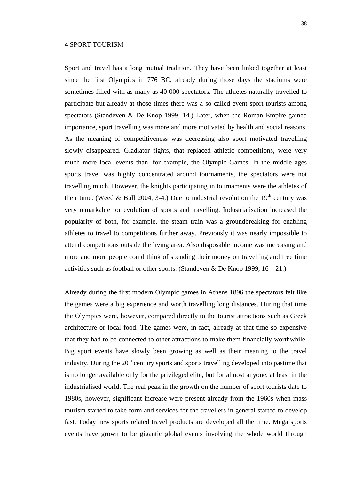## 4 SPORT TOURISM

Sport and travel has a long mutual tradition. They have been linked together at least since the first Olympics in 776 BC, already during those days the stadiums were sometimes filled with as many as 40 000 spectators. The athletes naturally travelled to participate but already at those times there was a so called event sport tourists among spectators (Standeven & De Knop 1999, 14.) Later, when the Roman Empire gained importance, sport travelling was more and more motivated by health and social reasons. As the meaning of competitiveness was decreasing also sport motivated travelling slowly disappeared. Gladiator fights, that replaced athletic competitions, were very much more local events than, for example, the Olympic Games. In the middle ages sports travel was highly concentrated around tournaments, the spectators were not travelling much. However, the knights participating in tournaments were the athletes of their time. (Weed & Bull 2004, 3-4.) Due to industrial revolution the  $19<sup>th</sup>$  century was very remarkable for evolution of sports and travelling. Industrialisation increased the popularity of both, for example, the steam train was a groundbreaking for enabling athletes to travel to competitions further away. Previously it was nearly impossible to attend competitions outside the living area. Also disposable income was increasing and more and more people could think of spending their money on travelling and free time activities such as football or other sports. (Standeven & De Knop 1999,  $16 - 21$ .)

Already during the first modern Olympic games in Athens 1896 the spectators felt like the games were a big experience and worth travelling long distances. During that time the Olympics were, however, compared directly to the tourist attractions such as Greek architecture or local food. The games were, in fact, already at that time so expensive that they had to be connected to other attractions to make them financially worthwhile. Big sport events have slowly been growing as well as their meaning to the travel industry. During the  $20<sup>th</sup>$  century sports and sports travelling developed into pastime that is no longer available only for the privileged elite, but for almost anyone, at least in the industrialised world. The real peak in the growth on the number of sport tourists date to 1980s, however, significant increase were present already from the 1960s when mass tourism started to take form and services for the travellers in general started to develop fast. Today new sports related travel products are developed all the time. Mega sports events have grown to be gigantic global events involving the whole world through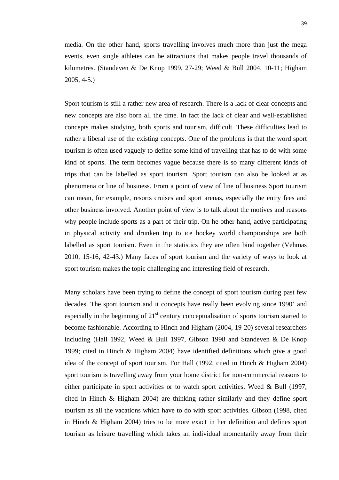media. On the other hand, sports travelling involves much more than just the mega events, even single athletes can be attractions that makes people travel thousands of kilometres. (Standeven & De Knop 1999, 27-29; Weed & Bull 2004, 10-11; Higham 2005, 4-5.)

Sport tourism is still a rather new area of research. There is a lack of clear concepts and new concepts are also born all the time. In fact the lack of clear and well-established concepts makes studying, both sports and tourism, difficult. These difficulties lead to rather a liberal use of the existing concepts. One of the problems is that the word sport tourism is often used vaguely to define some kind of travelling that has to do with some kind of sports. The term becomes vague because there is so many different kinds of trips that can be labelled as sport tourism. Sport tourism can also be looked at as phenomena or line of business. From a point of view of line of business Sport tourism can mean, for example, resorts cruises and sport arenas, especially the entry fees and other business involved. Another point of view is to talk about the motives and reasons why people include sports as a part of their trip. On he other hand, active participating in physical activity and drunken trip to ice hockey world championships are both labelled as sport tourism. Even in the statistics they are often bind together (Vehmas 2010, 15-16, 42-43.) Many faces of sport tourism and the variety of ways to look at sport tourism makes the topic challenging and interesting field of research.

Many scholars have been trying to define the concept of sport tourism during past few decades. The sport tourism and it concepts have really been evolving since 1990' and especially in the beginning of  $21<sup>st</sup>$  century conceptualisation of sports tourism started to become fashionable. According to Hinch and Higham (2004, 19-20) several researchers including (Hall 1992, Weed & Bull 1997, Gibson 1998 and Standeven & De Knop 1999; cited in Hinch & Higham 2004) have identified definitions which give a good idea of the concept of sport tourism. For Hall (1992, cited in Hinch & Higham 2004) sport tourism is travelling away from your home district for non-commercial reasons to either participate in sport activities or to watch sport activities. Weed & Bull (1997, cited in Hinch & Higham 2004) are thinking rather similarly and they define sport tourism as all the vacations which have to do with sport activities. Gibson (1998, cited in Hinch & Higham 2004) tries to be more exact in her definition and defines sport tourism as leisure travelling which takes an individual momentarily away from their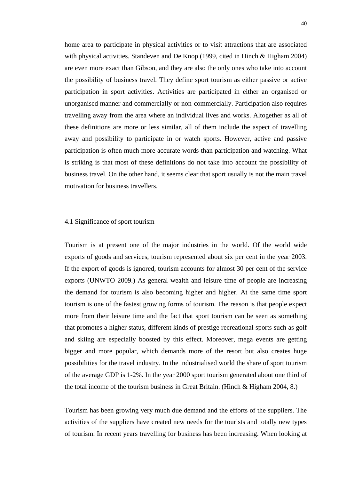home area to participate in physical activities or to visit attractions that are associated with physical activities. Standeven and De Knop (1999, cited in Hinch & Higham 2004) are even more exact than Gibson, and they are also the only ones who take into account the possibility of business travel. They define sport tourism as either passive or active participation in sport activities. Activities are participated in either an organised or unorganised manner and commercially or non-commercially. Participation also requires travelling away from the area where an individual lives and works. Altogether as all of these definitions are more or less similar, all of them include the aspect of travelling away and possibility to participate in or watch sports. However, active and passive participation is often much more accurate words than participation and watching. What is striking is that most of these definitions do not take into account the possibility of business travel. On the other hand, it seems clear that sport usually is not the main travel motivation for business travellers.

## 4.1 Significance of sport tourism

Tourism is at present one of the major industries in the world. Of the world wide exports of goods and services, tourism represented about six per cent in the year 2003. If the export of goods is ignored, tourism accounts for almost 30 per cent of the service exports (UNWTO 2009.) As general wealth and leisure time of people are increasing the demand for tourism is also becoming higher and higher. At the same time sport tourism is one of the fastest growing forms of tourism. The reason is that people expect more from their leisure time and the fact that sport tourism can be seen as something that promotes a higher status, different kinds of prestige recreational sports such as golf and skiing are especially boosted by this effect. Moreover, mega events are getting bigger and more popular, which demands more of the resort but also creates huge possibilities for the travel industry. In the industrialised world the share of sport tourism of the average GDP is 1-2%. In the year 2000 sport tourism generated about one third of the total income of the tourism business in Great Britain. (Hinch & Higham 2004, 8.)

Tourism has been growing very much due demand and the efforts of the suppliers. The activities of the suppliers have created new needs for the tourists and totally new types of tourism. In recent years travelling for business has been increasing. When looking at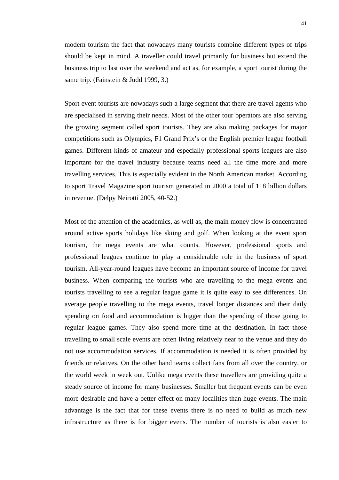modern tourism the fact that nowadays many tourists combine different types of trips should be kept in mind. A traveller could travel primarily for business but extend the business trip to last over the weekend and act as, for example, a sport tourist during the same trip. (Fainstein & Judd 1999, 3.)

Sport event tourists are nowadays such a large segment that there are travel agents who are specialised in serving their needs. Most of the other tour operators are also serving the growing segment called sport tourists. They are also making packages for major competitions such as Olympics, F1 Grand Prix's or the English premier league football games. Different kinds of amateur and especially professional sports leagues are also important for the travel industry because teams need all the time more and more travelling services. This is especially evident in the North American market. According to sport Travel Magazine sport tourism generated in 2000 a total of 118 billion dollars in revenue. (Delpy Neirotti 2005, 40-52.)

Most of the attention of the academics, as well as, the main money flow is concentrated around active sports holidays like skiing and golf. When looking at the event sport tourism, the mega events are what counts. However, professional sports and professional leagues continue to play a considerable role in the business of sport tourism. All-year-round leagues have become an important source of income for travel business. When comparing the tourists who are travelling to the mega events and tourists travelling to see a regular league game it is quite easy to see differences. On average people travelling to the mega events, travel longer distances and their daily spending on food and accommodation is bigger than the spending of those going to regular league games. They also spend more time at the destination. In fact those travelling to small scale events are often living relatively near to the venue and they do not use accommodation services. If accommodation is needed it is often provided by friends or relatives. On the other hand teams collect fans from all over the country, or the world week in week out. Unlike mega events these travellers are providing quite a steady source of income for many businesses. Smaller but frequent events can be even more desirable and have a better effect on many localities than huge events. The main advantage is the fact that for these events there is no need to build as much new infrastructure as there is for bigger evens. The number of tourists is also easier to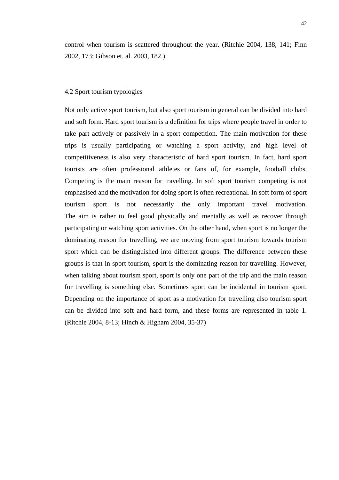control when tourism is scattered throughout the year. (Ritchie 2004, 138, 141; Finn 2002, 173; Gibson et. al. 2003, 182.)

## 4.2 Sport tourism typologies

Not only active sport tourism, but also sport tourism in general can be divided into hard and soft form. Hard sport tourism is a definition for trips where people travel in order to take part actively or passively in a sport competition. The main motivation for these trips is usually participating or watching a sport activity, and high level of competitiveness is also very characteristic of hard sport tourism. In fact, hard sport tourists are often professional athletes or fans of, for example, football clubs. Competing is the main reason for travelling. In soft sport tourism competing is not emphasised and the motivation for doing sport is often recreational. In soft form of sport tourism sport is not necessarily the only important travel motivation. The aim is rather to feel good physically and mentally as well as recover through participating or watching sport activities. On the other hand, when sport is no longer the dominating reason for travelling, we are moving from sport tourism towards tourism sport which can be distinguished into different groups. The difference between these groups is that in sport tourism, sport is the dominating reason for travelling. However, when talking about tourism sport, sport is only one part of the trip and the main reason for travelling is something else. Sometimes sport can be incidental in tourism sport. Depending on the importance of sport as a motivation for travelling also tourism sport can be divided into soft and hard form, and these forms are represented in table 1. (Ritchie 2004, 8-13; Hinch & Higham 2004, 35-37)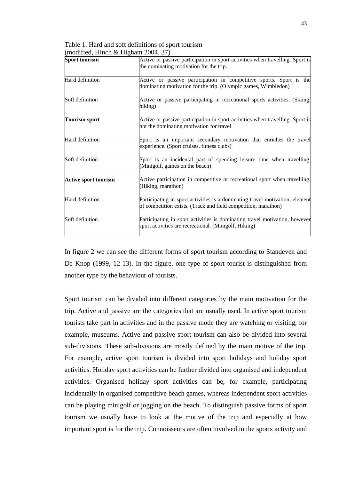| <b>Sport tourism</b>        | Active or passive participation in sport activities when travelling. Sport is<br>the dominating motivation for the trip.                       |  |  |  |  |  |
|-----------------------------|------------------------------------------------------------------------------------------------------------------------------------------------|--|--|--|--|--|
| Hard definition             | Active or passive participation in competitive sports. Sport is the<br>dominating motivation for the trip. (Olympic games, Wimbledon)          |  |  |  |  |  |
| Soft definition             | Active or passive participating in recreational sports activities. (Skiing,<br>hiking)                                                         |  |  |  |  |  |
| <b>Tourism sport</b>        | Active or passive participation in sport activities when travelling. Sport is<br>not the dominating motivation for travel                      |  |  |  |  |  |
| Hard definition             | Sport is an important secondary motivation that enriches the travel<br>experience. (Sport cruises, fitness clubs)                              |  |  |  |  |  |
| Soft definition             | Sport is an incidental part of spending leisure time when travelling.<br>(Minigolf, games on the beach)                                        |  |  |  |  |  |
| <b>Active sport tourism</b> | Active participation in competitive or recreational sport when travelling.<br>(Hiking, marathon)                                               |  |  |  |  |  |
| Hard definition             | Participating in sport activities is a dominating travel motivation, element<br>of competition exists. (Track and field competition, marathon) |  |  |  |  |  |
| Soft definition             | Participating in sport activities is dominating travel motivation, however<br>sport activities are recreational. (Minigolf, Hiking)            |  |  |  |  |  |

Table 1. Hard and soft definitions of sport tourism (modified, Hinch & Higham 2004, 37)

In figure 2 we can see the different forms of sport tourism according to Standeven and De Knop (1999, 12-13). In the figure, one type of sport tourist is distinguished from another type by the behaviour of tourists.

Sport tourism can be divided into different categories by the main motivation for the trip. Active and passive are the categories that are usually used. In active sport tourism tourists take part in activities and in the passive mode they are watching or visiting, for example, museums. Active and passive sport tourism can also be divided into several sub-divisions. These sub-divisions are mostly defined by the main motive of the trip. For example, active sport tourism is divided into sport holidays and holiday sport activities. Holiday sport activities can be further divided into organised and independent activities. Organised holiday sport activities can be, for example, participating incidentally in organised competitive beach games, whereas independent sport activities can be playing minigolf or jogging on the beach. To distinguish passive forms of sport tourism we usually have to look at the motive of the trip and especially at how important sport is for the trip. Connoisseurs are often involved in the sports activity and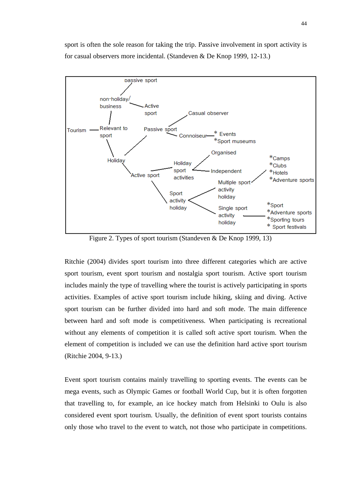sport is often the sole reason for taking the trip. Passive involvement in sport activity is for casual observers more incidental. (Standeven & De Knop 1999, 12-13.)



Figure 2. Types of sport tourism (Standeven & De Knop 1999, 13)

Ritchie (2004) divides sport tourism into three different categories which are active sport tourism, event sport tourism and nostalgia sport tourism. Active sport tourism includes mainly the type of travelling where the tourist is actively participating in sports activities. Examples of active sport tourism include hiking, skiing and diving. Active sport tourism can be further divided into hard and soft mode. The main difference between hard and soft mode is competitiveness. When participating is recreational without any elements of competition it is called soft active sport tourism. When the element of competition is included we can use the definition hard active sport tourism (Ritchie 2004, 9-13.)

Event sport tourism contains mainly travelling to sporting events. The events can be mega events, such as Olympic Games or football World Cup, but it is often forgotten that travelling to, for example, an ice hockey match from Helsinki to Oulu is also considered event sport tourism. Usually, the definition of event sport tourists contains only those who travel to the event to watch, not those who participate in competitions.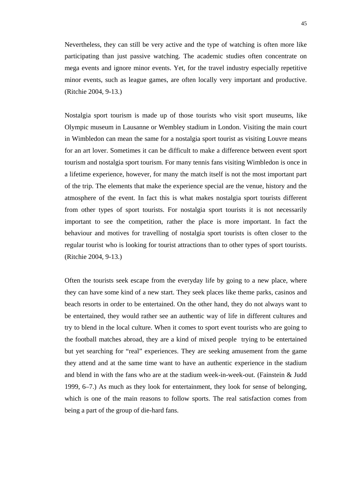Nevertheless, they can still be very active and the type of watching is often more like participating than just passive watching. The academic studies often concentrate on mega events and ignore minor events. Yet, for the travel industry especially repetitive minor events, such as league games, are often locally very important and productive. (Ritchie 2004, 9-13.)

Nostalgia sport tourism is made up of those tourists who visit sport museums, like Olympic museum in Lausanne or Wembley stadium in London. Visiting the main court in Wimbledon can mean the same for a nostalgia sport tourist as visiting Louvre means for an art lover. Sometimes it can be difficult to make a difference between event sport tourism and nostalgia sport tourism. For many tennis fans visiting Wimbledon is once in a lifetime experience, however, for many the match itself is not the most important part of the trip. The elements that make the experience special are the venue, history and the atmosphere of the event. In fact this is what makes nostalgia sport tourists different from other types of sport tourists. For nostalgia sport tourists it is not necessarily important to see the competition, rather the place is more important. In fact the behaviour and motives for travelling of nostalgia sport tourists is often closer to the regular tourist who is looking for tourist attractions than to other types of sport tourists. (Ritchie 2004, 9-13.)

Often the tourists seek escape from the everyday life by going to a new place, where they can have some kind of a new start. They seek places like theme parks, casinos and beach resorts in order to be entertained. On the other hand, they do not always want to be entertained, they would rather see an authentic way of life in different cultures and try to blend in the local culture. When it comes to sport event tourists who are going to the football matches abroad, they are a kind of mixed people trying to be entertained but yet searching for "real" experiences. They are seeking amusement from the game they attend and at the same time want to have an authentic experience in the stadium and blend in with the fans who are at the stadium week-in-week-out. (Fainstein & Judd 1999, 6–7.) As much as they look for entertainment, they look for sense of belonging, which is one of the main reasons to follow sports. The real satisfaction comes from being a part of the group of die-hard fans.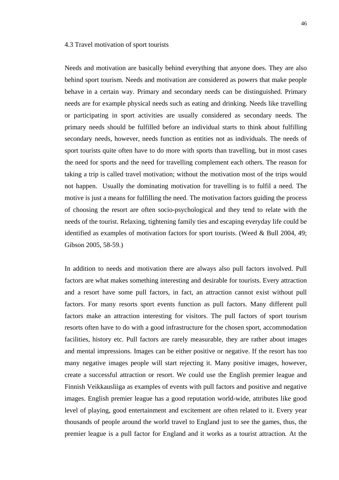#### 4.3 Travel motivation of sport tourists

Needs and motivation are basically behind everything that anyone does. They are also behind sport tourism. Needs and motivation are considered as powers that make people behave in a certain way. Primary and secondary needs can be distinguished. Primary needs are for example physical needs such as eating and drinking. Needs like travelling or participating in sport activities are usually considered as secondary needs. The primary needs should be fulfilled before an individual starts to think about fulfilling secondary needs, however, needs function as entities not as individuals. The needs of sport tourists quite often have to do more with sports than travelling, but in most cases the need for sports and the need for travelling complement each others. The reason for taking a trip is called travel motivation; without the motivation most of the trips would not happen. Usually the dominating motivation for travelling is to fulfil a need. The motive is just a means for fulfilling the need. The motivation factors guiding the process of choosing the resort are often socio-psychological and they tend to relate with the needs of the tourist. Relaxing, tightening family ties and escaping everyday life could be identified as examples of motivation factors for sport tourists. (Weed & Bull 2004, 49; Gibson 2005, 58-59.)

In addition to needs and motivation there are always also pull factors involved. Pull factors are what makes something interesting and desirable for tourists. Every attraction and a resort have some pull factors, in fact, an attraction cannot exist without pull factors. For many resorts sport events function as pull factors. Many different pull factors make an attraction interesting for visitors. The pull factors of sport tourism resorts often have to do with a good infrastructure for the chosen sport, accommodation facilities, history etc. Pull factors are rarely measurable, they are rather about images and mental impressions. Images can be either positive or negative. If the resort has too many negative images people will start rejecting it. Many positive images, however, create a successful attraction or resort. We could use the English premier league and Finnish Veikkausliiga as examples of events with pull factors and positive and negative images. English premier league has a good reputation world-wide, attributes like good level of playing, good entertainment and excitement are often related to it. Every year thousands of people around the world travel to England just to see the games, thus, the premier league is a pull factor for England and it works as a tourist attraction. At the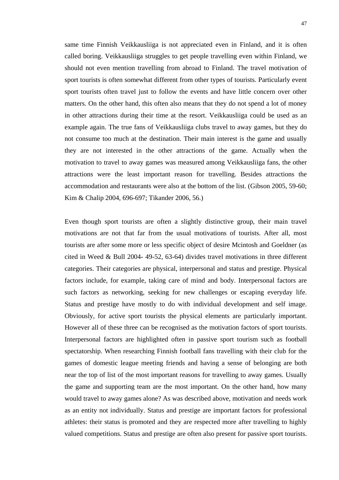same time Finnish Veikkausliiga is not appreciated even in Finland, and it is often called boring. Veikkausliiga struggles to get people travelling even within Finland, we should not even mention travelling from abroad to Finland. The travel motivation of sport tourists is often somewhat different from other types of tourists. Particularly event sport tourists often travel just to follow the events and have little concern over other matters. On the other hand, this often also means that they do not spend a lot of money in other attractions during their time at the resort. Veikkausliiga could be used as an example again. The true fans of Veikkausliiga clubs travel to away games, but they do not consume too much at the destination. Their main interest is the game and usually they are not interested in the other attractions of the game. Actually when the motivation to travel to away games was measured among Veikkausliiga fans, the other attractions were the least important reason for travelling. Besides attractions the accommodation and restaurants were also at the bottom of the list. (Gibson 2005, 59-60; Kim & Chalip 2004, 696-697; Tikander 2006, 56.)

Even though sport tourists are often a slightly distinctive group, their main travel motivations are not that far from the usual motivations of tourists. After all, most tourists are after some more or less specific object of desire Mcintosh and Goeldner (as cited in Weed & Bull 2004- 49-52, 63-64) divides travel motivations in three different categories. Their categories are physical, interpersonal and status and prestige. Physical factors include, for example, taking care of mind and body. Interpersonal factors are such factors as networking, seeking for new challenges or escaping everyday life. Status and prestige have mostly to do with individual development and self image. Obviously, for active sport tourists the physical elements are particularly important. However all of these three can be recognised as the motivation factors of sport tourists. Interpersonal factors are highlighted often in passive sport tourism such as football spectatorship. When researching Finnish football fans travelling with their club for the games of domestic league meeting friends and having a sense of belonging are both near the top of list of the most important reasons for travelling to away games. Usually the game and supporting team are the most important. On the other hand, how many would travel to away games alone? As was described above, motivation and needs work as an entity not individually. Status and prestige are important factors for professional athletes: their status is promoted and they are respected more after travelling to highly valued competitions. Status and prestige are often also present for passive sport tourists.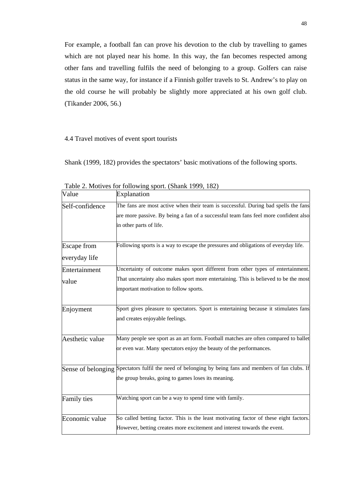For example, a football fan can prove his devotion to the club by travelling to games which are not played near his home. In this way, the fan becomes respected among other fans and travelling fulfils the need of belonging to a group. Golfers can raise status in the same way, for instance if a Finnish golfer travels to St. Andrew's to play on the old course he will probably be slightly more appreciated at his own golf club. (Tikander 2006, 56.)

## 4.4 Travel motives of event sport tourists

Shank (1999, 182) provides the spectators' basic motivations of the following sports.

| Value                               | Explanation                                                                                                                                                                                          |
|-------------------------------------|------------------------------------------------------------------------------------------------------------------------------------------------------------------------------------------------------|
| Self-confidence                     | The fans are most active when their team is successful. During bad spells the fans<br>are more passive. By being a fan of a successful team fans feel more confident also<br>in other parts of life. |
| <b>Escape</b> from<br>everyday life | Following sports is a way to escape the pressures and obligations of everyday life.                                                                                                                  |
| Entertainment                       | Uncertainty of outcome makes sport different from other types of entertainment.                                                                                                                      |
| value                               | That uncertainty also makes sport more entertaining. This is believed to be the most<br>important motivation to follow sports.                                                                       |
| Enjoyment                           | Sport gives pleasure to spectators. Sport is entertaining because it stimulates fans<br>and creates enjoyable feelings.                                                                              |
| Aesthetic value                     | Many people see sport as an art form. Football matches are often compared to ballet<br>or even war. Many spectators enjoy the beauty of the performances.                                            |
|                                     | Sense of belonging Spectators fulfil the need of belonging by being fans and members of fan clubs. If<br>the group breaks, going to games loses its meaning.                                         |
| Family ties                         | Watching sport can be a way to spend time with family.                                                                                                                                               |
| Economic value                      | So called betting factor. This is the least motivating factor of these eight factors.<br>However, betting creates more excitement and interest towards the event.                                    |

Table 2. Motives for following sport. (Shank 1999, 182)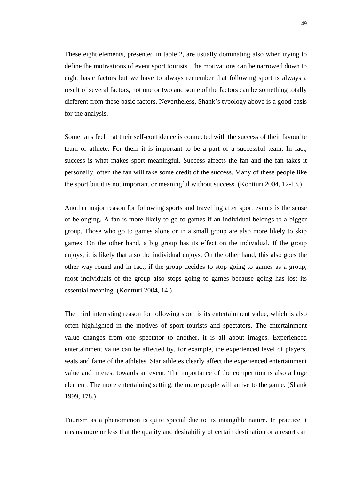These eight elements, presented in table 2, are usually dominating also when trying to define the motivations of event sport tourists. The motivations can be narrowed down to eight basic factors but we have to always remember that following sport is always a result of several factors, not one or two and some of the factors can be something totally different from these basic factors. Nevertheless, Shank's typology above is a good basis for the analysis.

Some fans feel that their self-confidence is connected with the success of their favourite team or athlete. For them it is important to be a part of a successful team. In fact, success is what makes sport meaningful. Success affects the fan and the fan takes it personally, often the fan will take some credit of the success. Many of these people like the sport but it is not important or meaningful without success. (Kontturi 2004, 12-13.)

Another major reason for following sports and travelling after sport events is the sense of belonging. A fan is more likely to go to games if an individual belongs to a bigger group. Those who go to games alone or in a small group are also more likely to skip games. On the other hand, a big group has its effect on the individual. If the group enjoys, it is likely that also the individual enjoys. On the other hand, this also goes the other way round and in fact, if the group decides to stop going to games as a group, most individuals of the group also stops going to games because going has lost its essential meaning. (Kontturi 2004, 14.)

The third interesting reason for following sport is its entertainment value, which is also often highlighted in the motives of sport tourists and spectators. The entertainment value changes from one spectator to another, it is all about images. Experienced entertainment value can be affected by, for example, the experienced level of players, seats and fame of the athletes. Star athletes clearly affect the experienced entertainment value and interest towards an event. The importance of the competition is also a huge element. The more entertaining setting, the more people will arrive to the game. (Shank 1999, 178.)

Tourism as a phenomenon is quite special due to its intangible nature. In practice it means more or less that the quality and desirability of certain destination or a resort can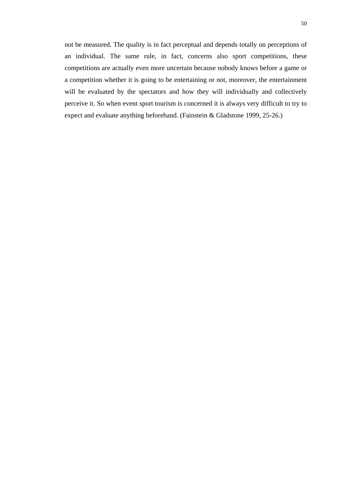not be measured. The quality is in fact perceptual and depends totally on perceptions of an individual. The same rule, in fact, concerns also sport competitions, these competitions are actually even more uncertain because nobody knows before a game or a competition whether it is going to be entertaining or not, moreover, the entertainment will be evaluated by the spectators and how they will individually and collectively perceive it. So when event sport tourism is concerned it is always very difficult to try to expect and evaluate anything beforehand. (Fainstein & Gladstone 1999, 25-26.)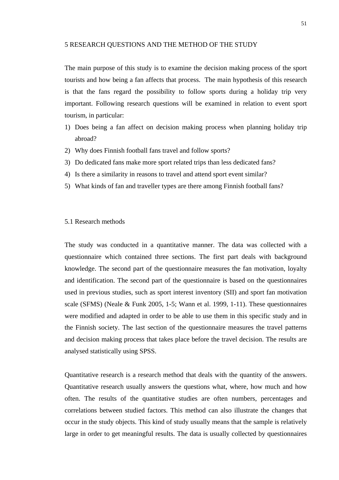## 5 RESEARCH QUESTIONS AND THE METHOD OF THE STUDY

The main purpose of this study is to examine the decision making process of the sport tourists and how being a fan affects that process. The main hypothesis of this research is that the fans regard the possibility to follow sports during a holiday trip very important. Following research questions will be examined in relation to event sport tourism, in particular:

- 1) Does being a fan affect on decision making process when planning holiday trip abroad?
- 2) Why does Finnish football fans travel and follow sports?
- 3) Do dedicated fans make more sport related trips than less dedicated fans?
- 4) Is there a similarity in reasons to travel and attend sport event similar?
- 5) What kinds of fan and traveller types are there among Finnish football fans?

## 5.1 Research methods

The study was conducted in a quantitative manner. The data was collected with a questionnaire which contained three sections. The first part deals with background knowledge. The second part of the questionnaire measures the fan motivation, loyalty and identification. The second part of the questionnaire is based on the questionnaires used in previous studies, such as sport interest inventory (SII) and sport fan motivation scale (SFMS) (Neale & Funk 2005, 1-5; Wann et al. 1999, 1-11). These questionnaires were modified and adapted in order to be able to use them in this specific study and in the Finnish society. The last section of the questionnaire measures the travel patterns and decision making process that takes place before the travel decision. The results are analysed statistically using SPSS.

Quantitative research is a research method that deals with the quantity of the answers. Quantitative research usually answers the questions what, where, how much and how often. The results of the quantitative studies are often numbers, percentages and correlations between studied factors. This method can also illustrate the changes that occur in the study objects. This kind of study usually means that the sample is relatively large in order to get meaningful results. The data is usually collected by questionnaires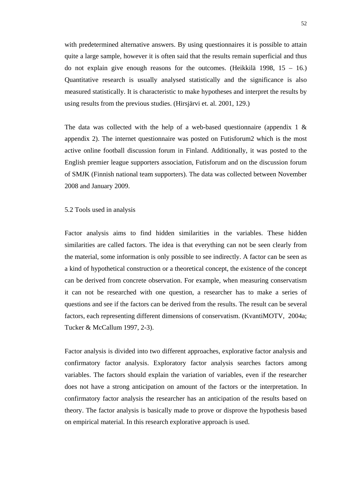with predetermined alternative answers. By using questionnaires it is possible to attain quite a large sample, however it is often said that the results remain superficial and thus do not explain give enough reasons for the outcomes. (Heikkilä 1998,  $15 - 16$ .) Quantitative research is usually analysed statistically and the significance is also measured statistically. It is characteristic to make hypotheses and interpret the results by using results from the previous studies. (Hirsjärvi et. al. 2001, 129.)

The data was collected with the help of a web-based questionnaire (appendix  $1 \&$ appendix 2). The internet questionnaire was posted on Futisforum2 which is the most active online football discussion forum in Finland. Additionally, it was posted to the English premier league supporters association, Futisforum and on the discussion forum of SMJK (Finnish national team supporters). The data was collected between November 2008 and January 2009.

5.2 Tools used in analysis

Factor analysis aims to find hidden similarities in the variables. These hidden similarities are called factors. The idea is that everything can not be seen clearly from the material, some information is only possible to see indirectly. A factor can be seen as a kind of hypothetical construction or a theoretical concept, the existence of the concept can be derived from concrete observation. For example, when measuring conservatism it can not be researched with one question, a researcher has to make a series of questions and see if the factors can be derived from the results. The result can be several factors, each representing different dimensions of conservatism. (KvantiMOTV, 2004a; Tucker & McCallum 1997, 2-3).

Factor analysis is divided into two different approaches, explorative factor analysis and confirmatory factor analysis. Exploratory factor analysis searches factors among variables. The factors should explain the variation of variables, even if the researcher does not have a strong anticipation on amount of the factors or the interpretation. In confirmatory factor analysis the researcher has an anticipation of the results based on theory. The factor analysis is basically made to prove or disprove the hypothesis based on empirical material. In this research explorative approach is used.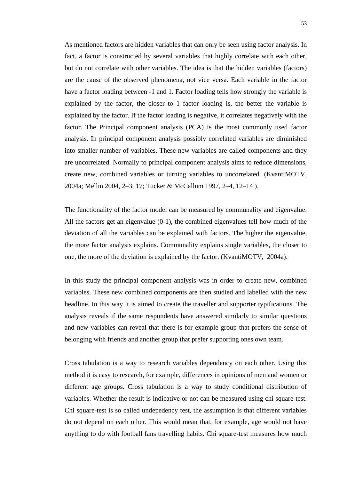As mentioned factors are hidden variables that can only be seen using factor analysis. In fact, a factor is constructed by several variables that highly correlate with each other, but do not correlate with other variables. The idea is that the hidden variables (factors) are the cause of the observed phenomena, not vice versa. Each variable in the factor have a factor loading between -1 and 1. Factor loading tells how strongly the variable is explained by the factor, the closer to 1 factor loading is, the better the variable is explained by the factor. If the factor loading is negative, it correlates negatively with the factor. The Principal component analysis (PCA) is the most commonly used factor analysis. In principal component analysis possibly correlated variables are diminished into smaller number of variables. These new variables are called components and they are uncorrelated. Normally to principal component analysis aims to reduce dimensions, create new, combined variables or turning variables to uncorrelated. (KvantiMOTV, 2004a; Mellin 2004, 2–3, 17; Tucker & McCallum 1997, 2–4, 12–14 ).

The functionality of the factor model can be measured by communality and eigenvalue. All the factors get an eigenvalue (0-1), the combined eigenvalues tell how much of the deviation of all the variables can be explained with factors. The higher the eigenvalue, the more factor analysis explains. Communality explains single variables, the closer to one, the more of the deviation is explained by the factor. (KvantiMOTV, 2004a).

In this study the principal component analysis was in order to create new, combined variables. These new combined components are then studied and labelled with the new headline. In this way it is aimed to create the traveller and supporter typifications. The analysis reveals if the same respondents have answered similarly to similar questions and new variables can reveal that there is for example group that prefers the sense of belonging with friends and another group that prefer supporting ones own team.

Cross tabulation is a way to research variables dependency on each other. Using this method it is easy to research, for example, differences in opinions of men and women or different age groups. Cross tabulation is a way to study conditional distribution of variables. Whether the result is indicative or not can be measured using chi square-test. Chi square-test is so called undepedency test, the assumption is that different variables do not depend on each other. This would mean that, for example, age would not have anything to do with football fans travelling habits. Chi square-test measures how much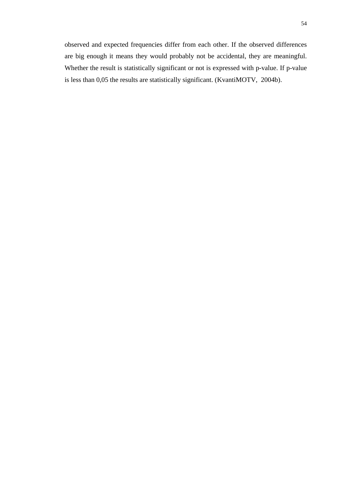observed and expected frequencies differ from each other. If the observed differences are big enough it means they would probably not be accidental, they are meaningful. Whether the result is statistically significant or not is expressed with p-value. If p-value is less than 0,05 the results are statistically significant. (KvantiMOTV, 2004b).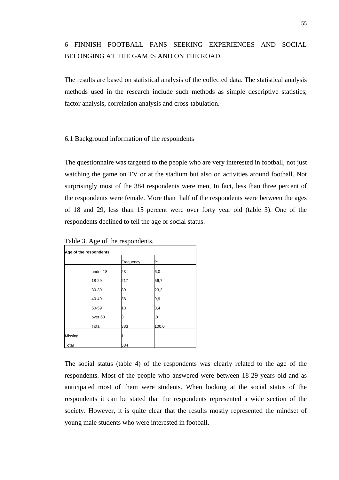# 6 FINNISH FOOTBALL FANS SEEKING EXPERIENCES AND SOCIAL BELONGING AT THE GAMES AND ON THE ROAD

The results are based on statistical analysis of the collected data. The statistical analysis methods used in the research include such methods as simple descriptive statistics, factor analysis, correlation analysis and cross-tabulation.

#### 6.1 Background information of the respondents

The questionnaire was targeted to the people who are very interested in football, not just watching the game on TV or at the stadium but also on activities around football. Not surprisingly most of the 384 respondents were men, In fact, less than three percent of the respondents were female. More than half of the respondents were between the ages of 18 and 29, less than 15 percent were over forty year old (table 3). One of the respondents declined to tell the age or social status.

| Age of the respondents |                    |           |       |  |  |  |  |
|------------------------|--------------------|-----------|-------|--|--|--|--|
|                        |                    | Frequency | ℅     |  |  |  |  |
|                        | under 18           | 23        | 6,0   |  |  |  |  |
|                        | 18-29              | 217       | 56,7  |  |  |  |  |
|                        | 30-39              | 89        | 23,2  |  |  |  |  |
|                        | 40-49              | 38        | 9,9   |  |  |  |  |
|                        | 50-59              | 13        | 3,4   |  |  |  |  |
|                        | over <sub>60</sub> | 3         | 8     |  |  |  |  |
|                        | Total              | 383       | 100,0 |  |  |  |  |
| Missing                |                    |           |       |  |  |  |  |
| Total                  |                    | 384       |       |  |  |  |  |

Table 3. Age of the respondents.

The social status (table 4) of the respondents was clearly related to the age of the respondents. Most of the people who answered were between 18-29 years old and as anticipated most of them were students. When looking at the social status of the respondents it can be stated that the respondents represented a wide section of the society. However, it is quite clear that the results mostly represented the mindset of young male students who were interested in football.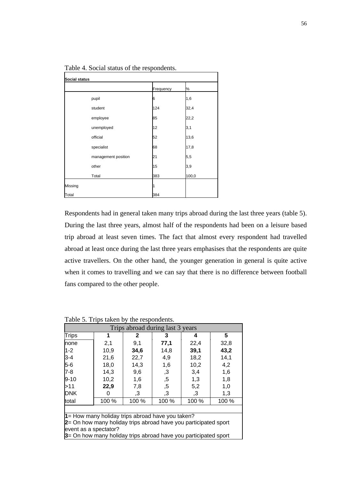|         |                     | Frequency | %     |
|---------|---------------------|-----------|-------|
|         | pupil               | 6         | 1,6   |
|         | student             | 124       | 32,4  |
|         | employee            | 85        | 22,2  |
|         | unemployed          | 12        | 3,1   |
|         | official            | 52        | 13,6  |
|         | specialist          | 68        | 17,8  |
|         | management position | 21        | 5,5   |
|         | other               | 15        | 3,9   |
|         | Total               | 383       | 100,0 |
| Missing |                     | 1         |       |
| Total   |                     | 384       |       |

Table 4. Social status of the respondents.

Respondents had in general taken many trips abroad during the last three years (table 5). During the last three years, almost half of the respondents had been on a leisure based trip abroad at least seven times. The fact that almost every respondent had travelled abroad at least once during the last three years emphasises that the respondents are quite active travellers. On the other hand, the younger generation in general is quite active when it comes to travelling and we can say that there is no difference between football fans compared to the other people.

| Trips abroad during last 3 years                                |       |              |               |       |       |  |  |  |
|-----------------------------------------------------------------|-------|--------------|---------------|-------|-------|--|--|--|
| <b>Trips</b>                                                    | 1     | $\mathbf{2}$ | 3             | 4     | 5     |  |  |  |
| none                                                            | 2,1   | 9,1          | 77,1          | 22,4  | 32,8  |  |  |  |
| $1 - 2$                                                         | 10,9  | 34,6         | 14,8          | 39,1  | 43,2  |  |  |  |
| 3-4                                                             | 21,6  | 22,7         | 4,9           | 18,2  | 14,1  |  |  |  |
| $5-6$                                                           | 18,0  | 14,3         | 1,6           | 10,2  | 4,2   |  |  |  |
| $7-8$                                                           | 14,3  | 9,6          | ,3            | 3,4   | 1,6   |  |  |  |
| $9 - 10$                                                        | 10,2  | 1,6          | , 5           | 1,3   | 1,8   |  |  |  |
| >11                                                             | 22,9  | 7,8          | , 5           | 5,2   | 1,0   |  |  |  |
| <b>DNK</b>                                                      | 0     | ,3           | $\mathbf{.3}$ | ,3    | 1,3   |  |  |  |
| total                                                           | 100 % | 100 %        | 100 %         | 100 % | 100 % |  |  |  |
|                                                                 |       |              |               |       |       |  |  |  |
| $\uparrow$ = How many holiday trips abroad have you taken?      |       |              |               |       |       |  |  |  |
| 2= On how many holiday trips abroad have you participated sport |       |              |               |       |       |  |  |  |
| event as a spectator?                                           |       |              |               |       |       |  |  |  |
| 3= On how many holiday trips abroad have you participated sport |       |              |               |       |       |  |  |  |

Table 5. Trips taken by the respondents.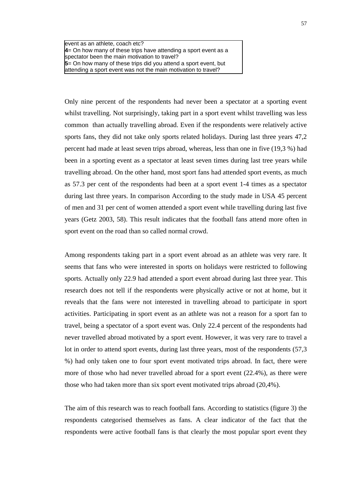event as an athlete, coach etc? **4**= On how many of these trips have attending a sport event as a spectator been the main motivation to travel? **5**= On how many of these trips did you attend a sport event, but attending a sport event was not the main motivation to travel?

Only nine percent of the respondents had never been a spectator at a sporting event whilst travelling. Not surprisingly, taking part in a sport event whilst travelling was less common than actually travelling abroad. Even if the respondents were relatively active sports fans, they did not take only sports related holidays. During last three years 47,2 percent had made at least seven trips abroad, whereas, less than one in five (19,3 %) had been in a sporting event as a spectator at least seven times during last tree years while travelling abroad. On the other hand, most sport fans had attended sport events, as much as 57.3 per cent of the respondents had been at a sport event 1-4 times as a spectator during last three years. In comparison According to the study made in USA 45 percent of men and 31 per cent of women attended a sport event while travelling during last five years (Getz 2003, 58). This result indicates that the football fans attend more often in sport event on the road than so called normal crowd.

Among respondents taking part in a sport event abroad as an athlete was very rare. It seems that fans who were interested in sports on holidays were restricted to following sports. Actually only 22.9 had attended a sport event abroad during last three year. This research does not tell if the respondents were physically active or not at home, but it reveals that the fans were not interested in travelling abroad to participate in sport activities. Participating in sport event as an athlete was not a reason for a sport fan to travel, being a spectator of a sport event was. Only 22.4 percent of the respondents had never travelled abroad motivated by a sport event. However, it was very rare to travel a lot in order to attend sport events, during last three years, most of the respondents (57,3 %) had only taken one to four sport event motivated trips abroad. In fact, there were more of those who had never travelled abroad for a sport event (22.4%), as there were those who had taken more than six sport event motivated trips abroad (20,4%).

The aim of this research was to reach football fans. According to statistics (figure 3) the respondents categorised themselves as fans. A clear indicator of the fact that the respondents were active football fans is that clearly the most popular sport event they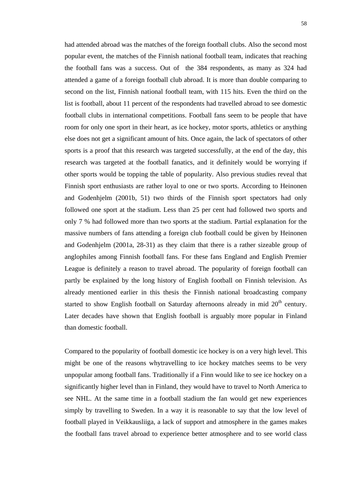had attended abroad was the matches of the foreign football clubs. Also the second most popular event, the matches of the Finnish national football team, indicates that reaching the football fans was a success. Out of the 384 respondents, as many as 324 had attended a game of a foreign football club abroad. It is more than double comparing to second on the list, Finnish national football team, with 115 hits. Even the third on the list is football, about 11 percent of the respondents had travelled abroad to see domestic football clubs in international competitions. Football fans seem to be people that have room for only one sport in their heart, as ice hockey, motor sports, athletics or anything else does not get a significant amount of hits. Once again, the lack of spectators of other sports is a proof that this research was targeted successfully, at the end of the day, this research was targeted at the football fanatics, and it definitely would be worrying if other sports would be topping the table of popularity. Also previous studies reveal that Finnish sport enthusiasts are rather loyal to one or two sports. According to Heinonen and Godenhjelm (2001b, 51) two thirds of the Finnish sport spectators had only followed one sport at the stadium. Less than 25 per cent had followed two sports and only 7 % had followed more than two sports at the stadium. Partial explanation for the massive numbers of fans attending a foreign club football could be given by Heinonen and Godenhjelm (2001a, 28-31) as they claim that there is a rather sizeable group of anglophiles among Finnish football fans. For these fans England and English Premier League is definitely a reason to travel abroad. The popularity of foreign football can partly be explained by the long history of English football on Finnish television. As already mentioned earlier in this thesis the Finnish national broadcasting company started to show English football on Saturday afternoons already in mid  $20<sup>th</sup>$  century. Later decades have shown that English football is arguably more popular in Finland than domestic football.

Compared to the popularity of football domestic ice hockey is on a very high level. This might be one of the reasons whytravelling to ice hockey matches seems to be very unpopular among football fans. Traditionally if a Finn would like to see ice hockey on a significantly higher level than in Finland, they would have to travel to North America to see NHL. At the same time in a football stadium the fan would get new experiences simply by travelling to Sweden. In a way it is reasonable to say that the low level of football played in Veikkausliiga, a lack of support and atmosphere in the games makes the football fans travel abroad to experience better atmosphere and to see world class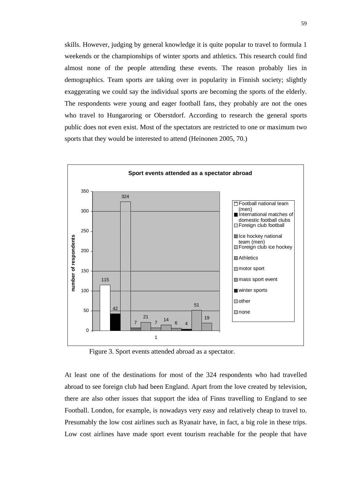skills. However, judging by general knowledge it is quite popular to travel to formula 1 weekends or the championships of winter sports and athletics. This research could find almost none of the people attending these events. The reason probably lies in demographics. Team sports are taking over in popularity in Finnish society; slightly exaggerating we could say the individual sports are becoming the sports of the elderly. The respondents were young and eager football fans, they probably are not the ones who travel to Hungaroring or Oberstdorf. According to research the general sports public does not even exist. Most of the spectators are restricted to one or maximum two sports that they would be interested to attend (Heinonen 2005, 70.)



Figure 3. Sport events attended abroad as a spectator.

At least one of the destinations for most of the 324 respondents who had travelled abroad to see foreign club had been England. Apart from the love created by television, there are also other issues that support the idea of Finns travelling to England to see Football. London, for example, is nowadays very easy and relatively cheap to travel to. Presumably the low cost airlines such as Ryanair have, in fact, a big role in these trips. Low cost airlines have made sport event tourism reachable for the people that have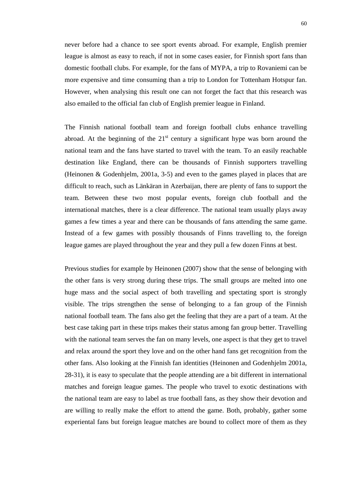never before had a chance to see sport events abroad. For example, English premier league is almost as easy to reach, if not in some cases easier, for Finnish sport fans than domestic football clubs. For example, for the fans of MYPA, a trip to Rovaniemi can be more expensive and time consuming than a trip to London for Tottenham Hotspur fan. However, when analysing this result one can not forget the fact that this research was also emailed to the official fan club of English premier league in Finland.

The Finnish national football team and foreign football clubs enhance travelling abroad. At the beginning of the  $21<sup>st</sup>$  century a significant hype was born around the national team and the fans have started to travel with the team. To an easily reachable destination like England, there can be thousands of Finnish supporters travelling (Heinonen & Godenhjelm, 2001a, 3-5) and even to the games played in places that are difficult to reach, such as Länkäran in Azerbaijan, there are plenty of fans to support the team. Between these two most popular events, foreign club football and the international matches, there is a clear difference. The national team usually plays away games a few times a year and there can be thousands of fans attending the same game. Instead of a few games with possibly thousands of Finns travelling to, the foreign league games are played throughout the year and they pull a few dozen Finns at best.

Previous studies for example by Heinonen (2007) show that the sense of belonging with the other fans is very strong during these trips. The small groups are melted into one huge mass and the social aspect of both travelling and spectating sport is strongly visible. The trips strengthen the sense of belonging to a fan group of the Finnish national football team. The fans also get the feeling that they are a part of a team. At the best case taking part in these trips makes their status among fan group better. Travelling with the national team serves the fan on many levels, one aspect is that they get to travel and relax around the sport they love and on the other hand fans get recognition from the other fans. Also looking at the Finnish fan identities (Heinonen and Godenhjelm 2001a, 28-31), it is easy to speculate that the people attending are a bit different in international matches and foreign league games. The people who travel to exotic destinations with the national team are easy to label as true football fans, as they show their devotion and are willing to really make the effort to attend the game. Both, probably, gather some experiental fans but foreign league matches are bound to collect more of them as they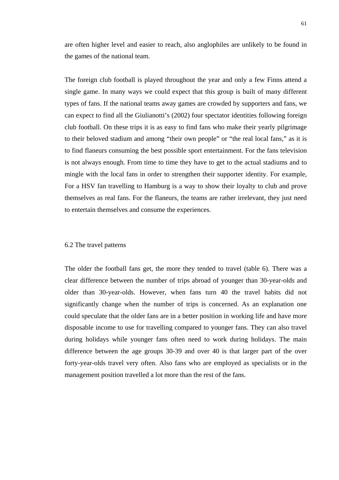are often higher level and easier to reach, also anglophiles are unlikely to be found in the games of the national team.

The foreign club football is played throughout the year and only a few Finns attend a single game. In many ways we could expect that this group is built of many different types of fans. If the national teams away games are crowded by supporters and fans, we can expect to find all the Giulianotti's (2002) four spectator identities following foreign club football. On these trips it is as easy to find fans who make their yearly pilgrimage to their beloved stadium and among "their own people" or "the real local fans," as it is to find flaneurs consuming the best possible sport entertainment. For the fans television is not always enough. From time to time they have to get to the actual stadiums and to mingle with the local fans in order to strengthen their supporter identity. For example, For a HSV fan travelling to Hamburg is a way to show their loyalty to club and prove themselves as real fans. For the flaneurs, the teams are rather irrelevant, they just need to entertain themselves and consume the experiences.

#### 6.2 The travel patterns

The older the football fans get, the more they tended to travel (table 6). There was a clear difference between the number of trips abroad of younger than 30-year-olds and older than 30-year-olds. However, when fans turn 40 the travel habits did not significantly change when the number of trips is concerned. As an explanation one could speculate that the older fans are in a better position in working life and have more disposable income to use for travelling compared to younger fans. They can also travel during holidays while younger fans often need to work during holidays. The main difference between the age groups 30-39 and over 40 is that larger part of the over forty-year-olds travel very often. Also fans who are employed as specialists or in the management position travelled a lot more than the rest of the fans.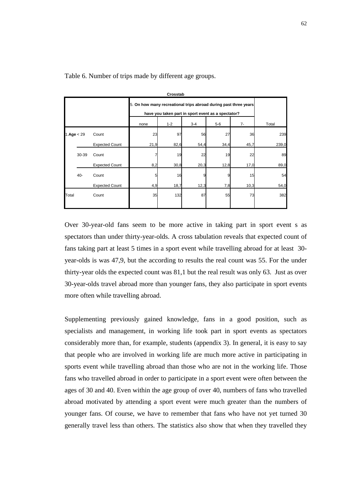| Crosstab     |       |                       |                                                                                                                        |         |         |       |       |       |
|--------------|-------|-----------------------|------------------------------------------------------------------------------------------------------------------------|---------|---------|-------|-------|-------|
|              |       |                       | 5. On how many recreational trips abroad during past three years<br>have you taken part in sport event as a spectator? |         |         |       |       |       |
|              |       |                       | none                                                                                                                   | $1 - 2$ | $3 - 4$ | $5-6$ | $7 -$ | Total |
| 1.Age $<$ 29 |       | Count                 | 23                                                                                                                     | 97      | 56      | 27    | 36    | 239   |
|              |       | <b>Expected Count</b> | 21,9                                                                                                                   | 82,6    | 54,4    | 34,4  | 45,7  | 239,0 |
|              | 30-39 | Count                 |                                                                                                                        | 19      | 22      | 19    | 22    | 89    |
|              |       | <b>Expected Count</b> | 8,2                                                                                                                    | 30,8    | 20,3    | 12,8  | 17,0  | 89,0  |
|              | 40-   | Count                 | 5                                                                                                                      | 16      |         |       | 15    | 54    |
|              |       | <b>Expected Count</b> | 4,9                                                                                                                    | 18,7    | 12,3    | 7,8   | 10,3  | 54,0  |
| Total        |       | Count                 | 35                                                                                                                     | 132     | 87      | 55    | 73    | 382   |
|              |       |                       |                                                                                                                        |         |         |       |       |       |

Table 6. Number of trips made by different age groups.

Over 30-year-old fans seem to be more active in taking part in sport event s as spectators than under thirty-year-olds. A cross tabulation reveals that expected count of fans taking part at least 5 times in a sport event while travelling abroad for at least 30 year-olds is was 47,9, but the according to results the real count was 55. For the under thirty-year olds the expected count was 81,1 but the real result was only 63. Just as over 30-year-olds travel abroad more than younger fans, they also participate in sport events more often while travelling abroad.

Supplementing previously gained knowledge, fans in a good position, such as specialists and management, in working life took part in sport events as spectators considerably more than, for example, students (appendix 3). In general, it is easy to say that people who are involved in working life are much more active in participating in sports event while travelling abroad than those who are not in the working life. Those fans who travelled abroad in order to participate in a sport event were often between the ages of 30 and 40. Even within the age group of over 40, numbers of fans who travelled abroad motivated by attending a sport event were much greater than the numbers of younger fans. Of course, we have to remember that fans who have not yet turned 30 generally travel less than others. The statistics also show that when they travelled they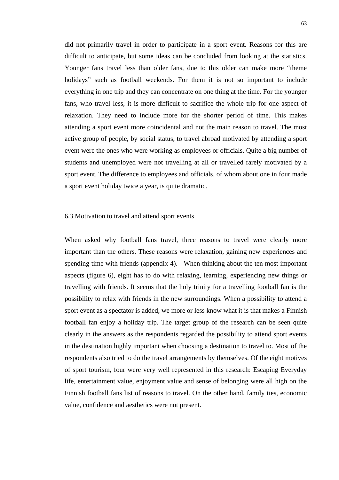did not primarily travel in order to participate in a sport event. Reasons for this are difficult to anticipate, but some ideas can be concluded from looking at the statistics. Younger fans travel less than older fans, due to this older can make more "theme holidays" such as football weekends. For them it is not so important to include everything in one trip and they can concentrate on one thing at the time. For the younger fans, who travel less, it is more difficult to sacrifice the whole trip for one aspect of relaxation. They need to include more for the shorter period of time. This makes attending a sport event more coincidental and not the main reason to travel. The most active group of people, by social status, to travel abroad motivated by attending a sport event were the ones who were working as employees or officials. Quite a big number of students and unemployed were not travelling at all or travelled rarely motivated by a sport event. The difference to employees and officials, of whom about one in four made a sport event holiday twice a year, is quite dramatic.

## 6.3 Motivation to travel and attend sport events

When asked why football fans travel, three reasons to travel were clearly more important than the others. These reasons were relaxation, gaining new experiences and spending time with friends (appendix 4). When thinking about the ten most important aspects (figure 6), eight has to do with relaxing, learning, experiencing new things or travelling with friends. It seems that the holy trinity for a travelling football fan is the possibility to relax with friends in the new surroundings. When a possibility to attend a sport event as a spectator is added, we more or less know what it is that makes a Finnish football fan enjoy a holiday trip. The target group of the research can be seen quite clearly in the answers as the respondents regarded the possibility to attend sport events in the destination highly important when choosing a destination to travel to. Most of the respondents also tried to do the travel arrangements by themselves. Of the eight motives of sport tourism, four were very well represented in this research: Escaping Everyday life, entertainment value, enjoyment value and sense of belonging were all high on the Finnish football fans list of reasons to travel. On the other hand, family ties, economic value, confidence and aesthetics were not present.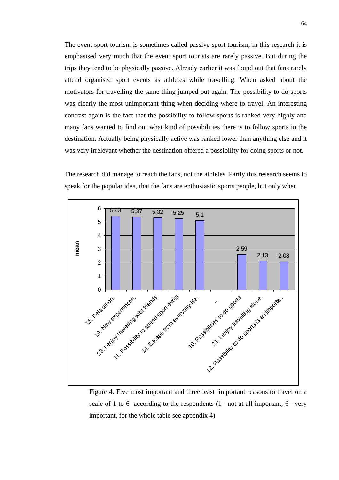The event sport tourism is sometimes called passive sport tourism, in this research it is emphasised very much that the event sport tourists are rarely passive. But during the trips they tend to be physically passive. Already earlier it was found out that fans rarely attend organised sport events as athletes while travelling. When asked about the motivators for travelling the same thing jumped out again. The possibility to do sports was clearly the most unimportant thing when deciding where to travel. An interesting contrast again is the fact that the possibility to follow sports is ranked very highly and many fans wanted to find out what kind of possibilities there is to follow sports in the destination. Actually being physically active was ranked lower than anything else and it was very irrelevant whether the destination offered a possibility for doing sports or not.

The research did manage to reach the fans, not the athletes. Partly this research seems to speak for the popular idea, that the fans are enthusiastic sports people, but only when



Figure 4. Five most important and three least important reasons to travel on a scale of 1 to 6 according to the respondents (1= not at all important, 6= very important, for the whole table see appendix 4)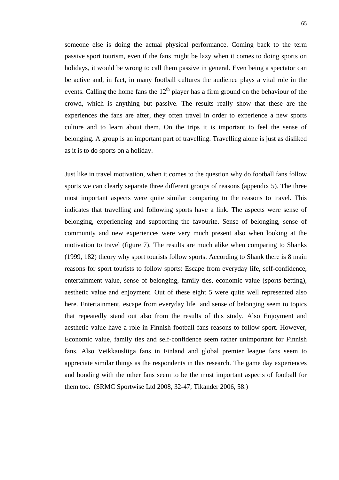someone else is doing the actual physical performance. Coming back to the term passive sport tourism, even if the fans might be lazy when it comes to doing sports on holidays, it would be wrong to call them passive in general. Even being a spectator can be active and, in fact, in many football cultures the audience plays a vital role in the events. Calling the home fans the  $12<sup>th</sup>$  player has a firm ground on the behaviour of the crowd, which is anything but passive. The results really show that these are the experiences the fans are after, they often travel in order to experience a new sports culture and to learn about them. On the trips it is important to feel the sense of belonging. A group is an important part of travelling. Travelling alone is just as disliked as it is to do sports on a holiday.

Just like in travel motivation, when it comes to the question why do football fans follow sports we can clearly separate three different groups of reasons (appendix 5). The three most important aspects were quite similar comparing to the reasons to travel. This indicates that travelling and following sports have a link. The aspects were sense of belonging, experiencing and supporting the favourite. Sense of belonging, sense of community and new experiences were very much present also when looking at the motivation to travel (figure 7). The results are much alike when comparing to Shanks (1999, 182) theory why sport tourists follow sports. According to Shank there is 8 main reasons for sport tourists to follow sports: Escape from everyday life, self-confidence, entertainment value, sense of belonging, family ties, economic value (sports betting), aesthetic value and enjoyment. Out of these eight 5 were quite well represented also here. Entertainment, escape from everyday life and sense of belonging seem to topics that repeatedly stand out also from the results of this study. Also Enjoyment and aesthetic value have a role in Finnish football fans reasons to follow sport. However, Economic value, family ties and self-confidence seem rather unimportant for Finnish fans. Also Veikkausliiga fans in Finland and global premier league fans seem to appreciate similar things as the respondents in this research. The game day experiences and bonding with the other fans seem to be the most important aspects of football for them too. (SRMC Sportwise Ltd 2008, 32-47; Tikander 2006, 58.)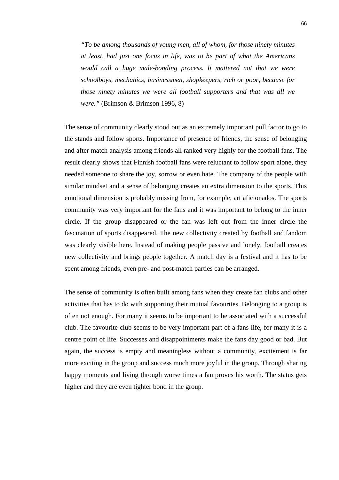*"To be among thousands of young men, all of whom, for those ninety minutes at least, had just one focus in life, was to be part of what the Americans would call a huge male-bonding process. It mattered not that we were schoolboys, mechanics, businessmen, shopkeepers, rich or poor, because for those ninety minutes we were all football supporters and that was all we were."* (Brimson & Brimson 1996, 8)

The sense of community clearly stood out as an extremely important pull factor to go to the stands and follow sports. Importance of presence of friends, the sense of belonging and after match analysis among friends all ranked very highly for the football fans. The result clearly shows that Finnish football fans were reluctant to follow sport alone, they needed someone to share the joy, sorrow or even hate. The company of the people with similar mindset and a sense of belonging creates an extra dimension to the sports. This emotional dimension is probably missing from, for example, art aficionados. The sports community was very important for the fans and it was important to belong to the inner circle. If the group disappeared or the fan was left out from the inner circle the fascination of sports disappeared. The new collectivity created by football and fandom was clearly visible here. Instead of making people passive and lonely, football creates new collectivity and brings people together. A match day is a festival and it has to be spent among friends, even pre- and post-match parties can be arranged.

The sense of community is often built among fans when they create fan clubs and other activities that has to do with supporting their mutual favourites. Belonging to a group is often not enough. For many it seems to be important to be associated with a successful club. The favourite club seems to be very important part of a fans life, for many it is a centre point of life. Successes and disappointments make the fans day good or bad. But again, the success is empty and meaningless without a community, excitement is far more exciting in the group and success much more joyful in the group. Through sharing happy moments and living through worse times a fan proves his worth. The status gets higher and they are even tighter bond in the group.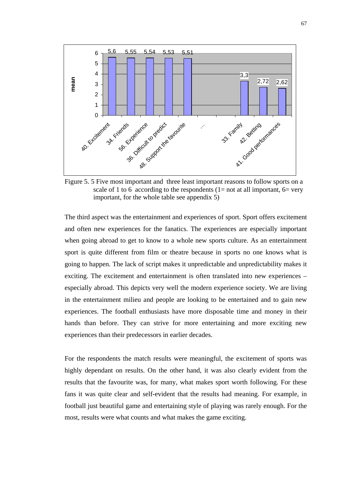

Figure 5. 5 Five most important and three least important reasons to follow sports on a scale of 1 to 6 according to the respondents (1= not at all important, 6= very important, for the whole table see appendix 5)

The third aspect was the entertainment and experiences of sport. Sport offers excitement and often new experiences for the fanatics. The experiences are especially important when going abroad to get to know to a whole new sports culture. As an entertainment sport is quite different from film or theatre because in sports no one knows what is going to happen. The lack of script makes it unpredictable and unpredictability makes it exciting. The excitement and entertainment is often translated into new experiences – especially abroad. This depicts very well the modern experience society. We are living in the entertainment milieu and people are looking to be entertained and to gain new experiences. The football enthusiasts have more disposable time and money in their hands than before. They can strive for more entertaining and more exciting new experiences than their predecessors in earlier decades.

For the respondents the match results were meaningful, the excitement of sports was highly dependant on results. On the other hand, it was also clearly evident from the results that the favourite was, for many, what makes sport worth following. For these fans it was quite clear and self-evident that the results had meaning. For example, in football just beautiful game and entertaining style of playing was rarely enough. For the most, results were what counts and what makes the game exciting.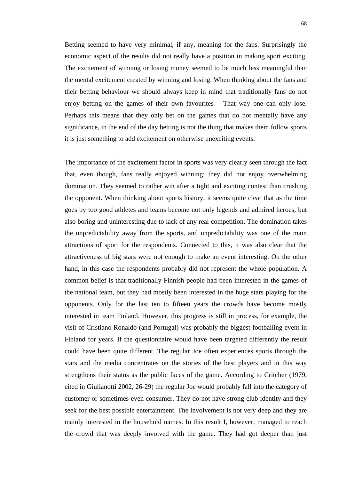Betting seemed to have very minimal, if any, meaning for the fans. Surprisingly the economic aspect of the results did not really have a position in making sport exciting. The excitement of winning or losing money seemed to be much less meaningful than the mental excitement created by winning and losing. When thinking about the fans and their betting behaviour we should always keep in mind that traditionally fans do not enjoy betting on the games of their own favourites – That way one can only lose. Perhaps this means that they only bet on the games that do not mentally have any significance, in the end of the day betting is not the thing that makes them follow sports it is just something to add excitement on otherwise unexciting events.

The importance of the excitement factor in sports was very clearly seen through the fact that, even though, fans really enjoyed winning; they did not enjoy overwhelming domination. They seemed to rather win after a tight and exciting contest than crushing the opponent. When thinking about sports history, it seems quite clear that as the time goes by too good athletes and teams become not only legends and admired heroes, but also boring and uninteresting due to lack of any real competition. The domination takes the unpredictability away from the sports, and unpredictability was one of the main attractions of sport for the respondents. Connected to this, it was also clear that the attractiveness of big stars were not enough to make an event interesting. On the other hand, in this case the respondents probably did not represent the whole population. A common belief is that traditionally Finnish people had been interested in the games of the national team, but they had mostly been interested in the huge stars playing for the opponents. Only for the last ten to fifteen years the crowds have become mostly interested in team Finland. However, this progress is still in process, for example, the visit of Cristiano Ronaldo (and Portugal) was probably the biggest footballing event in Finland for years. If the questionnaire would have been targeted differently the result could have been quite different. The regular Joe often experiences sports through the stars and the media concentrates on the stories of the best players and in this way strengthens their status as the public faces of the game. According to Critcher (1979, cited in Giulianotti 2002, 26-29) the regular Joe would probably fall into the category of customer or sometimes even consumer. They do not have strong club identity and they seek for the best possible entertainment. The involvement is not very deep and they are mainly interested in the household names. In this result I, however, managed to reach the crowd that was deeply involved with the game. They had got deeper than just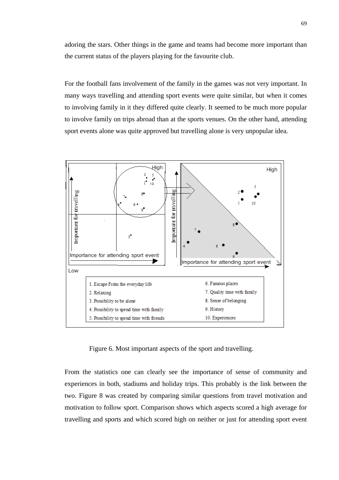adoring the stars. Other things in the game and teams had become more important than the current status of the players playing for the favourite club.

For the football fans involvement of the family in the games was not very important. In many ways travelling and attending sport events were quite similar, but when it comes to involving family in it they differed quite clearly. It seemed to be much more popular to involve family on trips abroad than at the sports venues. On the other hand, attending sport events alone was quite approved but travelling alone is very unpopular idea.



Figure 6. Most important aspects of the sport and travelling.

From the statistics one can clearly see the importance of sense of community and experiences in both, stadiums and holiday trips. This probably is the link between the two. Figure 8 was created by comparing similar questions from travel motivation and motivation to follow sport. Comparison shows which aspects scored a high average for travelling and sports and which scored high on neither or just for attending sport event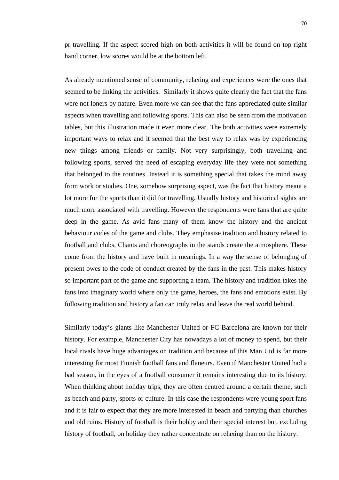pr travelling. If the aspect scored high on both activities it will be found on top right hand corner, low scores would be at the bottom left.

As already mentioned sense of community, relaxing and experiences were the ones that seemed to be linking the activities. Similarly it shows quite clearly the fact that the fans were not loners by nature. Even more we can see that the fans appreciated quite similar aspects when travelling and following sports. This can also be seen from the motivation tables, but this illustration made it even more clear. The both activities were extremely important ways to relax and it seemed that the best way to relax was by experiencing new things among friends or family. Not very surprisingly, both travelling and following sports, served the need of escaping everyday life they were not something that belonged to the routines. Instead it is something special that takes the mind away from work or studies. One, somehow surprising aspect, was the fact that history meant a lot more for the sports than it did for travelling. Usually history and historical sights are much more associated with travelling. However the respondents were fans that are quite deep in the game. As avid fans many of them know the history and the ancient behaviour codes of the game and clubs. They emphasise tradition and history related to football and clubs. Chants and choreographs in the stands create the atmosphere. These come from the history and have built in meanings. In a way the sense of belonging of present owes to the code of conduct created by the fans in the past. This makes history so important part of the game and supporting a team. The history and tradition takes the fans into imaginary world where only the game, heroes, the fans and emotions exist. By following tradition and history a fan can truly relax and leave the real world behind.

Similarly today's giants like Manchester United or FC Barcelona are known for their history. For example, Manchester City has nowadays a lot of money to spend, but their local rivals have huge advantages on tradition and because of this Man Utd is far more interesting for most Finnish football fans and flaneurs. Even if Manchester United had a bad season, in the eyes of a football consumer it remains interesting due to its history. When thinking about holiday trips, they are often centred around a certain theme, such as beach and party, sports or culture. In this case the respondents were young sport fans and it is fair to expect that they are more interested in beach and partying than churches and old ruins. History of football is their hobby and their special interest but, excluding history of football, on holiday they rather concentrate on relaxing than on the history.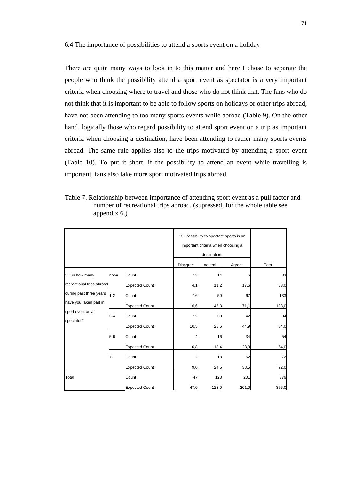6.4 The importance of possibilities to attend a sports event on a holiday

There are quite many ways to look in to this matter and here I chose to separate the people who think the possibility attend a sport event as spectator is a very important criteria when choosing where to travel and those who do not think that. The fans who do not think that it is important to be able to follow sports on holidays or other trips abroad, have not been attending to too many sports events while abroad (Table 9). On the other hand, logically those who regard possibility to attend sport event on a trip as important criteria when choosing a destination, have been attending to rather many sports events abroad. The same rule applies also to the trips motivated by attending a sport event (Table 10). To put it short, if the possibility to attend an event while travelling is important, fans also take more sport motivated trips abroad.

Table 7. Relationship between importance of attending sport event as a pull factor and number of recreational trips abroad. (supressed, for the whole table see appendix 6.)

|                           |         |                       | 13. Possibility to spectate sports is an<br>important criteria when choosing a<br>destination. |         |       |       |
|---------------------------|---------|-----------------------|------------------------------------------------------------------------------------------------|---------|-------|-------|
|                           |         |                       | Disagree                                                                                       | neutral | Agree | Total |
| 5. On how many            | none    | Count                 | 13                                                                                             | 14      | 6     | 33    |
| recreational trips abroad |         | <b>Expected Count</b> | 4,1                                                                                            | 11,2    | 17,6  | 33,0  |
| during past three years   | $1 - 2$ | Count                 | 16                                                                                             | 50      | 67    | 133   |
| have you taken part in    |         | <b>Expected Count</b> | 16,6                                                                                           | 45,3    | 71,1  | 133,0 |
| sport event as a          | $3 - 4$ | Count                 | 12                                                                                             | 30      | 42    | 84    |
| spectator?                |         | <b>Expected Count</b> | 10,5                                                                                           | 28,6    | 44,9  | 84,0  |
|                           | $5-6$   | Count                 | 4                                                                                              | 16      | 34    | 54    |
|                           |         | <b>Expected Count</b> | 6,8                                                                                            | 18,4    | 28,9  | 54,0  |
|                           | $7-$    | Count                 | 2                                                                                              | 18      | 52    | 72    |
|                           |         | <b>Expected Count</b> | 9,0                                                                                            | 24,5    | 38,5  | 72,0  |
| Total                     |         | Count                 | 47                                                                                             | 128     | 201   | 376   |
|                           |         | <b>Expected Count</b> | 47,0                                                                                           | 128,0   | 201,0 | 376,0 |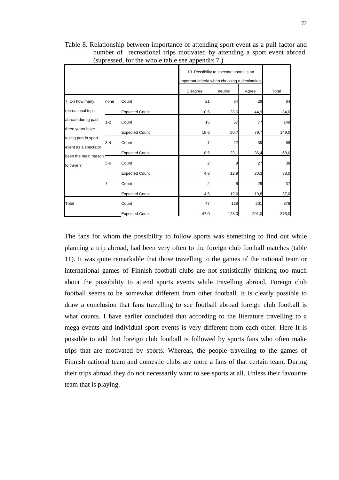|                                    |         |                       | 13. Possibility to spectate sports is an<br>important criteria when choosing a destination. |         |       |       |
|------------------------------------|---------|-----------------------|---------------------------------------------------------------------------------------------|---------|-------|-------|
|                                    |         |                       | Disagree                                                                                    | neutral | Agree | Total |
| 7. On how many                     | none    | Count                 | 21                                                                                          | 34      | 29    | 84    |
| recreational trips                 |         | <b>Expected Count</b> | 10,5                                                                                        | 28,6    | 44,9  | 84,0  |
| abroad during past                 | $1 - 2$ | Count                 | 15                                                                                          | 57      | 77    | 149   |
| three years have                   |         | <b>Expected Count</b> | 18,6                                                                                        | 50,7    | 79,7  | 149,0 |
| taking part in sport               | $3 - 4$ | Count                 |                                                                                             | 22      | 39    | 68    |
| event as a spectator               |         | <b>Expected Count</b> | 8,5                                                                                         | 23,1    | 36,4  | 68,0  |
| been the main reason<br>to travel? | $5-6$   | Count                 |                                                                                             |         | 27    | 38    |
|                                    |         | <b>Expected Count</b> | 4,8                                                                                         | 12,9    | 20,3  | 38,0  |
|                                    | $7-$    | Count                 |                                                                                             |         | 29    | 37    |
|                                    |         | <b>Expected Count</b> | 4,6                                                                                         | 12,6    | 19,8  | 37,0  |
| Total                              |         | Count                 | 47                                                                                          | 128     | 201   | 376   |
|                                    |         | <b>Expected Count</b> | 47,0                                                                                        | 128,0   | 201,0 | 376,0 |

Table 8. Relationship between importance of attending sport event as a pull factor and number of recreational trips motivated by attending a sport event abroad. (supressed, for the whole table see appendix 7.)

The fans for whom the possibility to follow sports was something to find out while planning a trip abroad, had been very often to the foreign club football matches (table 11). It was quite remarkable that those travelling to the games of the national team or international games of Finnish football clubs are not statistically thinking too much about the possibility to attend sports events while travelling abroad. Foreign club football seems to be somewhat different from other football. It is clearly possible to draw a conclusion that fans travelling to see football abroad foreign club football is what counts. I have earlier concluded that according to the literature travelling to a mega events and individual sport events is very different from each other. Here It is possible to add that foreign club football is followed by sports fans who often make trips that are motivated by sports. Whereas, the people travelling to the games of Finnish national team and domestic clubs are more a fans of that certain team. During their trips abroad they do not necessarily want to see sports at all. Unless their favourite team that is playing.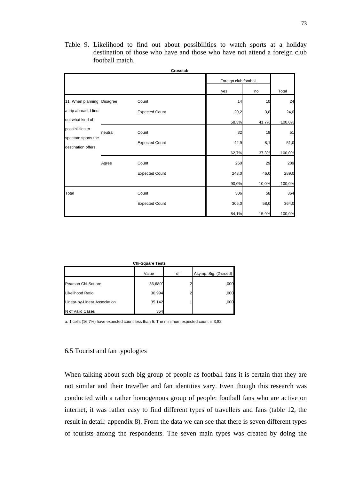Table 9. Likelihood to find out about possibilities to watch sports at a holiday destination of those who have and those who have not attend a foreign club football match.

|                                            |         |                       | Crosstab |                       |       |        |
|--------------------------------------------|---------|-----------------------|----------|-----------------------|-------|--------|
|                                            |         |                       |          | Foreign club football |       |        |
|                                            |         |                       |          | yes                   | no    | Total  |
| 11. When planning Disagree                 |         | Count                 |          | 14                    | 10    | 24     |
| a trip abroad, I find                      |         | <b>Expected Count</b> |          | 20,2                  | 3,8   | 24,0   |
| out what kind of                           |         |                       |          | 58,3%                 | 41,7% | 100,0% |
| possibilities to                           | neutral | Count                 |          | 32                    | 19    | 51     |
| spectate sports the<br>destination offers. |         | <b>Expected Count</b> |          | 42,9                  | 8,1   | 51,0   |
|                                            |         |                       |          | 62,7%                 | 37,3% | 100,0% |
|                                            | Agree   | Count                 |          | 260                   | 29    | 289    |
|                                            |         | <b>Expected Count</b> |          | 243,0                 | 46,0  | 289,0  |
|                                            |         |                       |          | 90,0%                 | 10,0% | 100,0% |
| Total                                      |         | Count                 |          | 306                   | 58    | 364    |
|                                            |         | <b>Expected Count</b> |          | 306,0                 | 58,0  | 364,0  |
|                                            |         |                       |          | 84,1%                 | 15,9% | 100,0% |

| <b>Chi-Square Tests</b>      |              |    |                       |  |  |  |  |
|------------------------------|--------------|----|-----------------------|--|--|--|--|
|                              | Value        | df | Asymp. Sig. (2-sided) |  |  |  |  |
| Pearson Chi-Square           | $36,680^{a}$ |    | ,000                  |  |  |  |  |
| Likelihood Ratio             | 30,994       |    | ,000                  |  |  |  |  |
| Linear-by-Linear Association | 35,142       |    | ,000                  |  |  |  |  |
| N of Valid Cases             | 364          |    |                       |  |  |  |  |

a. 1 cells (16,7%) have expected count less than 5. The minimum expected count is 3,82.

## 6.5 Tourist and fan typologies

When talking about such big group of people as football fans it is certain that they are not similar and their traveller and fan identities vary. Even though this research was conducted with a rather homogenous group of people: football fans who are active on internet, it was rather easy to find different types of travellers and fans (table 12, the result in detail: appendix 8). From the data we can see that there is seven different types of tourists among the respondents. The seven main types was created by doing the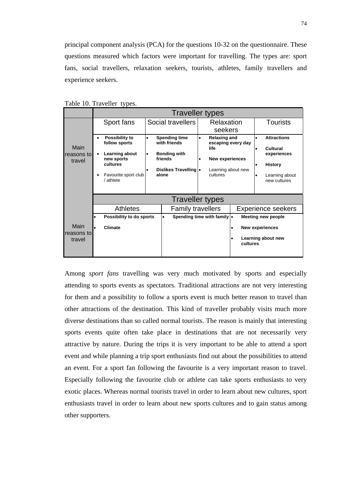principal component analysis (PCA) for the questions 10-32 on the questionnaire. These questions measured which factors were important for travelling. The types are: sport fans, social travellers, relaxation seekers, tourists, athletes, family travellers and experience seekers.

|                       |           | <b>Traveller types</b>                   |           |                                          |           |                                                   |           |                        |                                |
|-----------------------|-----------|------------------------------------------|-----------|------------------------------------------|-----------|---------------------------------------------------|-----------|------------------------|--------------------------------|
|                       |           | Sport fans                               |           | Social travellers                        |           | Relaxation                                        |           |                        | <b>Tourists</b>                |
|                       |           |                                          |           |                                          |           | seekers                                           |           |                        |                                |
| Main                  | $\bullet$ | <b>Possibility to</b><br>follow sports   | $\bullet$ | <b>Spending time</b><br>with friends     | $\bullet$ | <b>Relaxing and</b><br>escaping every day<br>life |           | $\bullet$<br>$\bullet$ | <b>Attractions</b><br>Cultural |
| reasons tol<br>travel | $\bullet$ | Learning about<br>new sports<br>cultures | $\bullet$ | <b>Bonding with</b><br>friends           |           | <b>New experiences</b>                            |           | ٠                      | experiences<br><b>History</b>  |
|                       | ٠         | Favourite sport club<br>/ athlete        |           | Dislikes Travelling  .<br>alone          |           | Learning about new<br>cultures                    |           | $\bullet$              | Learning about<br>new cultures |
|                       |           |                                          |           | <b>Traveller types</b>                   |           |                                                   |           |                        |                                |
|                       |           | <b>Athletes</b>                          |           | <b>Family travellers</b>                 |           |                                                   |           |                        | <b>Experience seekers</b>      |
|                       |           | Possibility to do sports                 |           | Spending time with family .<br>$\bullet$ |           |                                                   |           |                        | <b>Meeting new people</b>      |
| Main<br>reasons to    |           | Climate                                  |           |                                          |           |                                                   | $\bullet$ |                        | <b>New experiences</b>         |
| travel                |           |                                          |           |                                          |           |                                                   | cultures  |                        | Learning about new             |
|                       |           |                                          |           |                                          |           |                                                   |           |                        |                                |

Table 10. Traveller types.

Among *sport fans* travelling was very much motivated by sports and especially attending to sports events as spectators. Traditional attractions are not very interesting for them and a possibility to follow a sports event is much better reason to travel than other attractions of the destination. This kind of traveller probably visits much more diverse destinations than so called normal tourists. The reason is mainly that interesting sports events quite often take place in destinations that are not necessarily very attractive by nature. During the trips it is very important to be able to attend a sport event and while planning a trip sport enthusiasts find out about the possibilities to attend an event. For a sport fan following the favourite is a very important reason to travel. Especially following the favourite club or athlete can take sports enthusiasts to very exotic places. Whereas normal tourists travel in order to learn about new cultures, sport enthusiasts travel in order to learn about new sports cultures and to gain status among other supporters.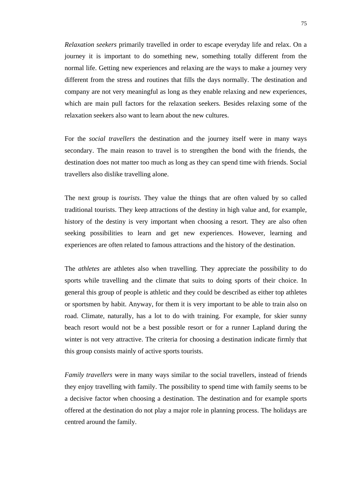*Relaxation seekers* primarily travelled in order to escape everyday life and relax. On a journey it is important to do something new, something totally different from the normal life. Getting new experiences and relaxing are the ways to make a journey very different from the stress and routines that fills the days normally. The destination and company are not very meaningful as long as they enable relaxing and new experiences, which are main pull factors for the relaxation seekers. Besides relaxing some of the relaxation seekers also want to learn about the new cultures.

For the *social travellers* the destination and the journey itself were in many ways secondary. The main reason to travel is to strengthen the bond with the friends, the destination does not matter too much as long as they can spend time with friends. Social travellers also dislike travelling alone.

The next group is *tourists*. They value the things that are often valued by so called traditional tourists. They keep attractions of the destiny in high value and, for example, history of the destiny is very important when choosing a resort. They are also often seeking possibilities to learn and get new experiences. However, learning and experiences are often related to famous attractions and the history of the destination.

The *athletes* are athletes also when travelling. They appreciate the possibility to do sports while travelling and the climate that suits to doing sports of their choice. In general this group of people is athletic and they could be described as either top athletes or sportsmen by habit. Anyway, for them it is very important to be able to train also on road. Climate, naturally, has a lot to do with training. For example, for skier sunny beach resort would not be a best possible resort or for a runner Lapland during the winter is not very attractive. The criteria for choosing a destination indicate firmly that this group consists mainly of active sports tourists.

*Family travellers* were in many ways similar to the social travellers, instead of friends they enjoy travelling with family. The possibility to spend time with family seems to be a decisive factor when choosing a destination. The destination and for example sports offered at the destination do not play a major role in planning process. The holidays are centred around the family.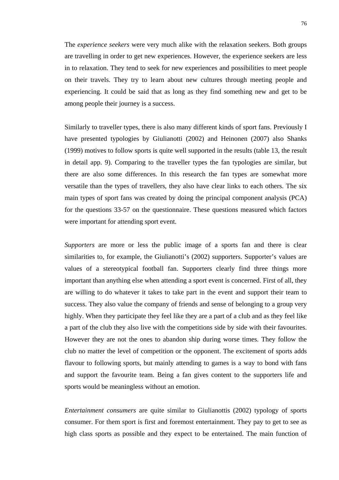The *experience seekers* were very much alike with the relaxation seekers. Both groups are travelling in order to get new experiences. However, the experience seekers are less in to relaxation. They tend to seek for new experiences and possibilities to meet people on their travels. They try to learn about new cultures through meeting people and experiencing. It could be said that as long as they find something new and get to be among people their journey is a success.

Similarly to traveller types, there is also many different kinds of sport fans. Previously I have presented typologies by Giulianotti (2002) and Heinonen (2007) also Shanks (1999) motives to follow sports is quite well supported in the results (table 13, the result in detail app. 9). Comparing to the traveller types the fan typologies are similar, but there are also some differences. In this research the fan types are somewhat more versatile than the types of travellers, they also have clear links to each others. The six main types of sport fans was created by doing the principal component analysis (PCA) for the questions 33-57 on the questionnaire. These questions measured which factors were important for attending sport event.

*Supporters* are more or less the public image of a sports fan and there is clear similarities to, for example, the Giulianotti's (2002) supporters. Supporter's values are values of a stereotypical football fan. Supporters clearly find three things more important than anything else when attending a sport event is concerned. First of all, they are willing to do whatever it takes to take part in the event and support their team to success. They also value the company of friends and sense of belonging to a group very highly. When they participate they feel like they are a part of a club and as they feel like a part of the club they also live with the competitions side by side with their favourites. However they are not the ones to abandon ship during worse times. They follow the club no matter the level of competition or the opponent. The excitement of sports adds flavour to following sports, but mainly attending to games is a way to bond with fans and support the favourite team. Being a fan gives content to the supporters life and sports would be meaningless without an emotion.

*Entertainment consumers* are quite similar to Giulianottis (2002) typology of sports consumer. For them sport is first and foremost entertainment. They pay to get to see as high class sports as possible and they expect to be entertained. The main function of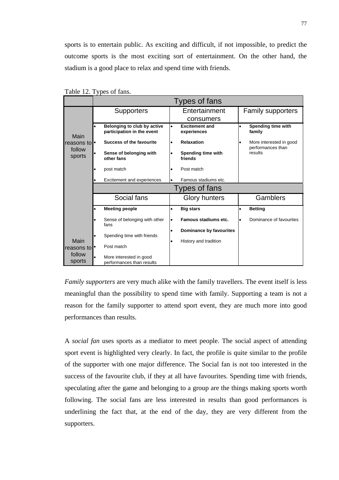sports is to entertain public. As exciting and difficult, if not impossible, to predict the outcome sports is the most exciting sort of entertainment. On the other hand, the stadium is a good place to relax and spend time with friends.

|                              |                                                                                       |                                     | Types of fans                                                       |           |                                                                              |
|------------------------------|---------------------------------------------------------------------------------------|-------------------------------------|---------------------------------------------------------------------|-----------|------------------------------------------------------------------------------|
|                              | <b>Supporters</b>                                                                     |                                     | Entertainment<br>consumers                                          |           | Family supporters                                                            |
| Main<br>reasons to<br>follow | Belonging to club by active<br>participation in the event<br>Success of the favourite | $\bullet$<br>$\bullet$              | <b>Excitement and</b><br>experiences<br><b>Relaxation</b>           | $\bullet$ | Spending time with<br>family<br>More interested in good<br>performances than |
| sports                       | Sense of belonging with<br>other fans<br>post match<br>Excitement and experiences     | $\bullet$<br>$\bullet$<br>$\bullet$ | Spending time with<br>friends<br>Post match<br>Famous stadiums etc. |           | results                                                                      |
|                              |                                                                                       |                                     | Types of fans                                                       |           |                                                                              |
|                              |                                                                                       |                                     |                                                                     |           |                                                                              |
|                              | Social fans                                                                           |                                     | <b>Glory hunters</b>                                                |           | Gamblers                                                                     |
|                              | <b>Meeting people</b>                                                                 | $\bullet$                           | <b>Big stars</b>                                                    | $\bullet$ | <b>Betting</b>                                                               |
|                              | Sense of belonging with other<br>fans                                                 | $\bullet$                           | Famous stadiums etc.                                                |           | Dominance of favourites                                                      |
| Main                         | Spending time with friends<br>Post match                                              | $\bullet$<br>$\bullet$              | Dominance by favourites<br>History and tradition                    |           |                                                                              |

Table 12. Types of fans.

*Family supporters* are very much alike with the family travellers. The event itself is less meaningful than the possibility to spend time with family. Supporting a team is not a reason for the family supporter to attend sport event, they are much more into good performances than results.

A *social fan* uses sports as a mediator to meet people. The social aspect of attending sport event is highlighted very clearly. In fact, the profile is quite similar to the profile of the supporter with one major difference. The Social fan is not too interested in the success of the favourite club, if they at all have favourites. Spending time with friends, speculating after the game and belonging to a group are the things making sports worth following. The social fans are less interested in results than good performances is underlining the fact that, at the end of the day, they are very different from the supporters.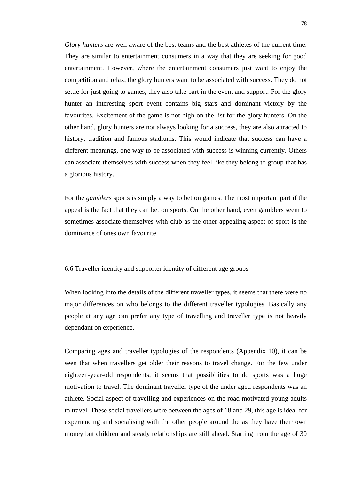*Glory hunters* are well aware of the best teams and the best athletes of the current time. They are similar to entertainment consumers in a way that they are seeking for good entertainment. However, where the entertainment consumers just want to enjoy the competition and relax, the glory hunters want to be associated with success. They do not settle for just going to games, they also take part in the event and support. For the glory hunter an interesting sport event contains big stars and dominant victory by the favourites. Excitement of the game is not high on the list for the glory hunters. On the other hand, glory hunters are not always looking for a success, they are also attracted to history, tradition and famous stadiums. This would indicate that success can have a different meanings, one way to be associated with success is winning currently. Others can associate themselves with success when they feel like they belong to group that has a glorious history.

For the *gamblers* sports is simply a way to bet on games. The most important part if the appeal is the fact that they can bet on sports. On the other hand, even gamblers seem to sometimes associate themselves with club as the other appealing aspect of sport is the dominance of ones own favourite.

## 6.6 Traveller identity and supporter identity of different age groups

When looking into the details of the different traveller types, it seems that there were no major differences on who belongs to the different traveller typologies. Basically any people at any age can prefer any type of travelling and traveller type is not heavily dependant on experience.

Comparing ages and traveller typologies of the respondents (Appendix 10), it can be seen that when travellers get older their reasons to travel change. For the few under eighteen-year-old respondents, it seems that possibilities to do sports was a huge motivation to travel. The dominant traveller type of the under aged respondents was an athlete. Social aspect of travelling and experiences on the road motivated young adults to travel. These social travellers were between the ages of 18 and 29, this age is ideal for experiencing and socialising with the other people around the as they have their own money but children and steady relationships are still ahead. Starting from the age of 30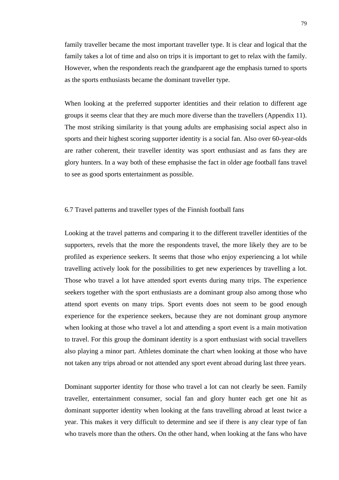family traveller became the most important traveller type. It is clear and logical that the family takes a lot of time and also on trips it is important to get to relax with the family. However, when the respondents reach the grandparent age the emphasis turned to sports as the sports enthusiasts became the dominant traveller type.

When looking at the preferred supporter identities and their relation to different age groups it seems clear that they are much more diverse than the travellers (Appendix 11). The most striking similarity is that young adults are emphasising social aspect also in sports and their highest scoring supporter identity is a social fan. Also over 60-year-olds are rather coherent, their traveller identity was sport enthusiast and as fans they are glory hunters. In a way both of these emphasise the fact in older age football fans travel to see as good sports entertainment as possible.

## 6.7 Travel patterns and traveller types of the Finnish football fans

Looking at the travel patterns and comparing it to the different traveller identities of the supporters, revels that the more the respondents travel, the more likely they are to be profiled as experience seekers. It seems that those who enjoy experiencing a lot while travelling actively look for the possibilities to get new experiences by travelling a lot. Those who travel a lot have attended sport events during many trips. The experience seekers together with the sport enthusiasts are a dominant group also among those who attend sport events on many trips. Sport events does not seem to be good enough experience for the experience seekers, because they are not dominant group anymore when looking at those who travel a lot and attending a sport event is a main motivation to travel. For this group the dominant identity is a sport enthusiast with social travellers also playing a minor part. Athletes dominate the chart when looking at those who have not taken any trips abroad or not attended any sport event abroad during last three years.

Dominant supporter identity for those who travel a lot can not clearly be seen. Family traveller, entertainment consumer, social fan and glory hunter each get one hit as dominant supporter identity when looking at the fans travelling abroad at least twice a year. This makes it very difficult to determine and see if there is any clear type of fan who travels more than the others. On the other hand, when looking at the fans who have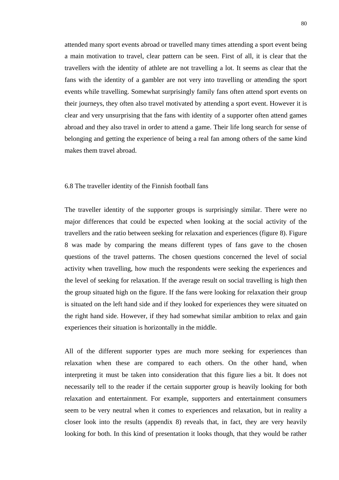attended many sport events abroad or travelled many times attending a sport event being a main motivation to travel, clear pattern can be seen. First of all, it is clear that the travellers with the identity of athlete are not travelling a lot. It seems as clear that the fans with the identity of a gambler are not very into travelling or attending the sport events while travelling. Somewhat surprisingly family fans often attend sport events on their journeys, they often also travel motivated by attending a sport event. However it is clear and very unsurprising that the fans with identity of a supporter often attend games abroad and they also travel in order to attend a game. Their life long search for sense of belonging and getting the experience of being a real fan among others of the same kind makes them travel abroad.

## 6.8 The traveller identity of the Finnish football fans

The traveller identity of the supporter groups is surprisingly similar. There were no major differences that could be expected when looking at the social activity of the travellers and the ratio between seeking for relaxation and experiences (figure 8). Figure 8 was made by comparing the means different types of fans gave to the chosen questions of the travel patterns. The chosen questions concerned the level of social activity when travelling, how much the respondents were seeking the experiences and the level of seeking for relaxation. If the average result on social travelling is high then the group situated high on the figure. If the fans were looking for relaxation their group is situated on the left hand side and if they looked for experiences they were situated on the right hand side. However, if they had somewhat similar ambition to relax and gain experiences their situation is horizontally in the middle.

All of the different supporter types are much more seeking for experiences than relaxation when these are compared to each others. On the other hand, when interpreting it must be taken into consideration that this figure lies a bit. It does not necessarily tell to the reader if the certain supporter group is heavily looking for both relaxation and entertainment. For example, supporters and entertainment consumers seem to be very neutral when it comes to experiences and relaxation, but in reality a closer look into the results (appendix 8) reveals that, in fact, they are very heavily looking for both. In this kind of presentation it looks though, that they would be rather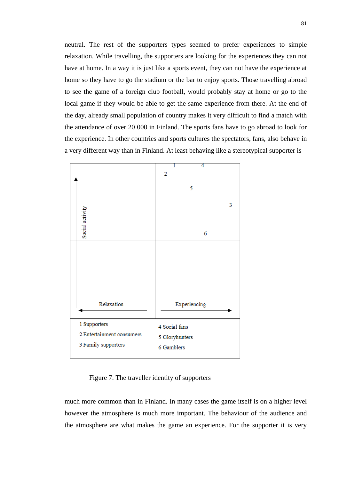neutral. The rest of the supporters types seemed to prefer experiences to simple relaxation. While travelling, the supporters are looking for the experiences they can not have at home. In a way it is just like a sports event, they can not have the experience at home so they have to go the stadium or the bar to enjoy sports. Those travelling abroad to see the game of a foreign club football, would probably stay at home or go to the local game if they would be able to get the same experience from there. At the end of the day, already small population of country makes it very difficult to find a match with the attendance of over 20 000 in Finland. The sports fans have to go abroad to look for the experience. In other countries and sports cultures the spectators, fans, also behave in a very different way than in Finland. At least behaving like a stereotypical supporter is



Figure 7. The traveller identity of supporters

much more common than in Finland. In many cases the game itself is on a higher level however the atmosphere is much more important. The behaviour of the audience and the atmosphere are what makes the game an experience. For the supporter it is very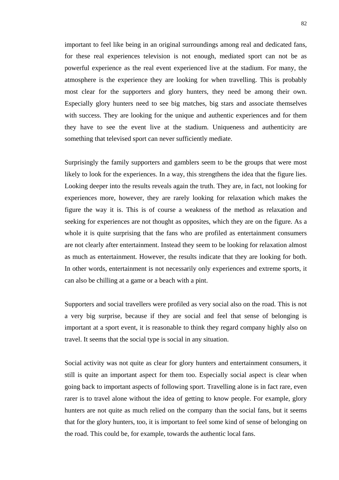important to feel like being in an original surroundings among real and dedicated fans, for these real experiences television is not enough, mediated sport can not be as powerful experience as the real event experienced live at the stadium. For many, the atmosphere is the experience they are looking for when travelling. This is probably most clear for the supporters and glory hunters, they need be among their own. Especially glory hunters need to see big matches, big stars and associate themselves with success. They are looking for the unique and authentic experiences and for them they have to see the event live at the stadium. Uniqueness and authenticity are something that televised sport can never sufficiently mediate.

Surprisingly the family supporters and gamblers seem to be the groups that were most likely to look for the experiences. In a way, this strengthens the idea that the figure lies. Looking deeper into the results reveals again the truth. They are, in fact, not looking for experiences more, however, they are rarely looking for relaxation which makes the figure the way it is. This is of course a weakness of the method as relaxation and seeking for experiences are not thought as opposites, which they are on the figure. As a whole it is quite surprising that the fans who are profiled as entertainment consumers are not clearly after entertainment. Instead they seem to be looking for relaxation almost as much as entertainment. However, the results indicate that they are looking for both. In other words, entertainment is not necessarily only experiences and extreme sports, it can also be chilling at a game or a beach with a pint.

Supporters and social travellers were profiled as very social also on the road. This is not a very big surprise, because if they are social and feel that sense of belonging is important at a sport event, it is reasonable to think they regard company highly also on travel. It seems that the social type is social in any situation.

Social activity was not quite as clear for glory hunters and entertainment consumers, it still is quite an important aspect for them too. Especially social aspect is clear when going back to important aspects of following sport. Travelling alone is in fact rare, even rarer is to travel alone without the idea of getting to know people. For example, glory hunters are not quite as much relied on the company than the social fans, but it seems that for the glory hunters, too, it is important to feel some kind of sense of belonging on the road. This could be, for example, towards the authentic local fans.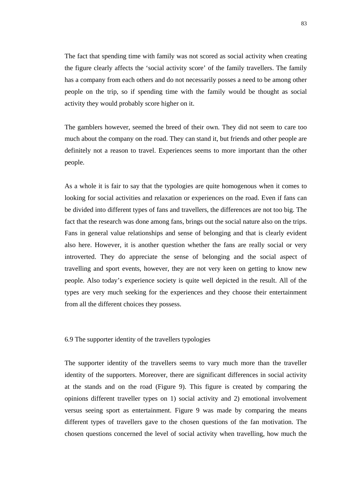The fact that spending time with family was not scored as social activity when creating the figure clearly affects the 'social activity score' of the family travellers. The family has a company from each others and do not necessarily posses a need to be among other people on the trip, so if spending time with the family would be thought as social activity they would probably score higher on it.

The gamblers however, seemed the breed of their own. They did not seem to care too much about the company on the road. They can stand it, but friends and other people are definitely not a reason to travel. Experiences seems to more important than the other people.

As a whole it is fair to say that the typologies are quite homogenous when it comes to looking for social activities and relaxation or experiences on the road. Even if fans can be divided into different types of fans and travellers, the differences are not too big. The fact that the research was done among fans, brings out the social nature also on the trips. Fans in general value relationships and sense of belonging and that is clearly evident also here. However, it is another question whether the fans are really social or very introverted. They do appreciate the sense of belonging and the social aspect of travelling and sport events, however, they are not very keen on getting to know new people. Also today's experience society is quite well depicted in the result. All of the types are very much seeking for the experiences and they choose their entertainment from all the different choices they possess.

6.9 The supporter identity of the travellers typologies

The supporter identity of the travellers seems to vary much more than the traveller identity of the supporters. Moreover, there are significant differences in social activity at the stands and on the road (Figure 9). This figure is created by comparing the opinions different traveller types on 1) social activity and 2) emotional involvement versus seeing sport as entertainment. Figure 9 was made by comparing the means different types of travellers gave to the chosen questions of the fan motivation. The chosen questions concerned the level of social activity when travelling, how much the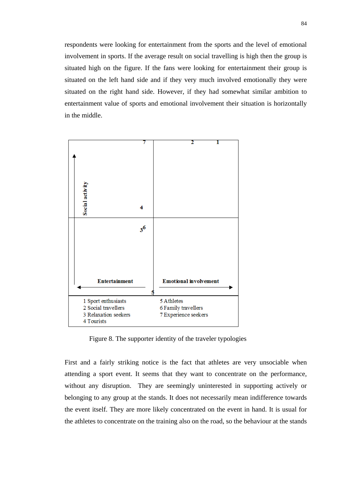respondents were looking for entertainment from the sports and the level of emotional involvement in sports. If the average result on social travelling is high then the group is situated high on the figure. If the fans were looking for entertainment their group is situated on the left hand side and if they very much involved emotionally they were situated on the right hand side. However, if they had somewhat similar ambition to entertainment value of sports and emotional involvement their situation is horizontally in the middle.



Figure 8. The supporter identity of the traveler typologies

First and a fairly striking notice is the fact that athletes are very unsociable when attending a sport event. It seems that they want to concentrate on the performance, without any disruption. They are seemingly uninterested in supporting actively or belonging to any group at the stands. It does not necessarily mean indifference towards the event itself. They are more likely concentrated on the event in hand. It is usual for the athletes to concentrate on the training also on the road, so the behaviour at the stands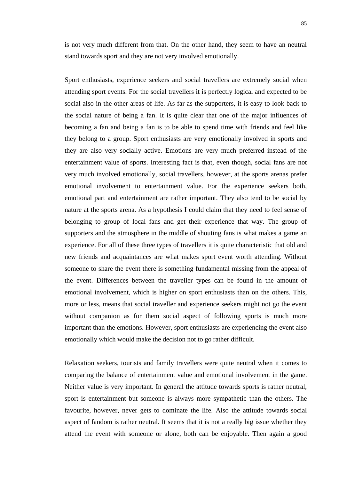is not very much different from that. On the other hand, they seem to have an neutral stand towards sport and they are not very involved emotionally.

Sport enthusiasts, experience seekers and social travellers are extremely social when attending sport events. For the social travellers it is perfectly logical and expected to be social also in the other areas of life. As far as the supporters, it is easy to look back to the social nature of being a fan. It is quite clear that one of the major influences of becoming a fan and being a fan is to be able to spend time with friends and feel like they belong to a group. Sport enthusiasts are very emotionally involved in sports and they are also very socially active. Emotions are very much preferred instead of the entertainment value of sports. Interesting fact is that, even though, social fans are not very much involved emotionally, social travellers, however, at the sports arenas prefer emotional involvement to entertainment value. For the experience seekers both, emotional part and entertainment are rather important. They also tend to be social by nature at the sports arena. As a hypothesis I could claim that they need to feel sense of belonging to group of local fans and get their experience that way. The group of supporters and the atmosphere in the middle of shouting fans is what makes a game an experience. For all of these three types of travellers it is quite characteristic that old and new friends and acquaintances are what makes sport event worth attending. Without someone to share the event there is something fundamental missing from the appeal of the event. Differences between the traveller types can be found in the amount of emotional involvement, which is higher on sport enthusiasts than on the others. This, more or less, means that social traveller and experience seekers might not go the event without companion as for them social aspect of following sports is much more important than the emotions. However, sport enthusiasts are experiencing the event also emotionally which would make the decision not to go rather difficult.

Relaxation seekers, tourists and family travellers were quite neutral when it comes to comparing the balance of entertainment value and emotional involvement in the game. Neither value is very important. In general the attitude towards sports is rather neutral, sport is entertainment but someone is always more sympathetic than the others. The favourite, however, never gets to dominate the life. Also the attitude towards social aspect of fandom is rather neutral. It seems that it is not a really big issue whether they attend the event with someone or alone, both can be enjoyable. Then again a good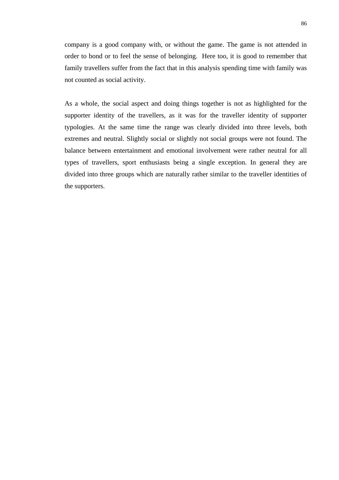company is a good company with, or without the game. The game is not attended in order to bond or to feel the sense of belonging. Here too, it is good to remember that family travellers suffer from the fact that in this analysis spending time with family was not counted as social activity.

As a whole, the social aspect and doing things together is not as highlighted for the supporter identity of the travellers, as it was for the traveller identity of supporter typologies. At the same time the range was clearly divided into three levels, both extremes and neutral. Slightly social or slightly not social groups were not found. The balance between entertainment and emotional involvement were rather neutral for all types of travellers, sport enthusiasts being a single exception. In general they are divided into three groups which are naturally rather similar to the traveller identities of the supporters.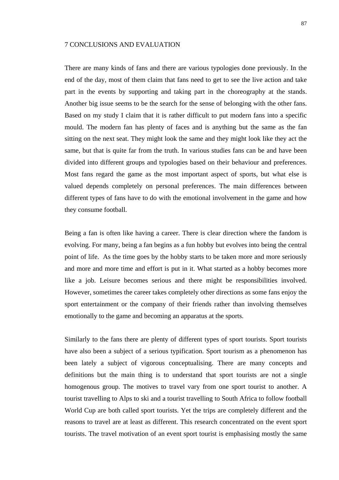## 7 CONCLUSIONS AND EVALUATION

There are many kinds of fans and there are various typologies done previously. In the end of the day, most of them claim that fans need to get to see the live action and take part in the events by supporting and taking part in the choreography at the stands. Another big issue seems to be the search for the sense of belonging with the other fans. Based on my study I claim that it is rather difficult to put modern fans into a specific mould. The modern fan has plenty of faces and is anything but the same as the fan sitting on the next seat. They might look the same and they might look like they act the same, but that is quite far from the truth. In various studies fans can be and have been divided into different groups and typologies based on their behaviour and preferences. Most fans regard the game as the most important aspect of sports, but what else is valued depends completely on personal preferences. The main differences between different types of fans have to do with the emotional involvement in the game and how they consume football.

Being a fan is often like having a career. There is clear direction where the fandom is evolving. For many, being a fan begins as a fun hobby but evolves into being the central point of life. As the time goes by the hobby starts to be taken more and more seriously and more and more time and effort is put in it. What started as a hobby becomes more like a job. Leisure becomes serious and there might be responsibilities involved. However, sometimes the career takes completely other directions as some fans enjoy the sport entertainment or the company of their friends rather than involving themselves emotionally to the game and becoming an apparatus at the sports.

Similarly to the fans there are plenty of different types of sport tourists. Sport tourists have also been a subject of a serious typification. Sport tourism as a phenomenon has been lately a subject of vigorous conceptualising. There are many concepts and definitions but the main thing is to understand that sport tourists are not a single homogenous group. The motives to travel vary from one sport tourist to another. A tourist travelling to Alps to ski and a tourist travelling to South Africa to follow football World Cup are both called sport tourists. Yet the trips are completely different and the reasons to travel are at least as different. This research concentrated on the event sport tourists. The travel motivation of an event sport tourist is emphasising mostly the same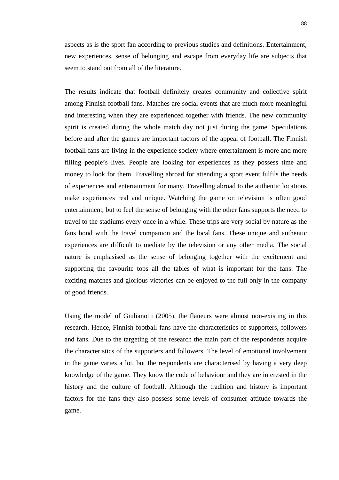aspects as is the sport fan according to previous studies and definitions. Entertainment, new experiences, sense of belonging and escape from everyday life are subjects that seem to stand out from all of the literature.

The results indicate that football definitely creates community and collective spirit among Finnish football fans. Matches are social events that are much more meaningful and interesting when they are experienced together with friends. The new community spirit is created during the whole match day not just during the game. Speculations before and after the games are important factors of the appeal of football. The Finnish football fans are living in the experience society where entertainment is more and more filling people's lives. People are looking for experiences as they possess time and money to look for them. Travelling abroad for attending a sport event fulfils the needs of experiences and entertainment for many. Travelling abroad to the authentic locations make experiences real and unique. Watching the game on television is often good entertainment, but to feel the sense of belonging with the other fans supports the need to travel to the stadiums every once in a while. These trips are very social by nature as the fans bond with the travel companion and the local fans. These unique and authentic experiences are difficult to mediate by the television or any other media. The social nature is emphasised as the sense of belonging together with the excitement and supporting the favourite tops all the tables of what is important for the fans. The exciting matches and glorious victories can be enjoyed to the full only in the company of good friends.

Using the model of Giulianotti (2005), the flaneurs were almost non-existing in this research. Hence, Finnish football fans have the characteristics of supporters, followers and fans. Due to the targeting of the research the main part of the respondents acquire the characteristics of the supporters and followers. The level of emotional involvement in the game varies a lot, but the respondents are characterised by having a very deep knowledge of the game. They know the code of behaviour and they are interested in the history and the culture of football. Although the tradition and history is important factors for the fans they also possess some levels of consumer attitude towards the game.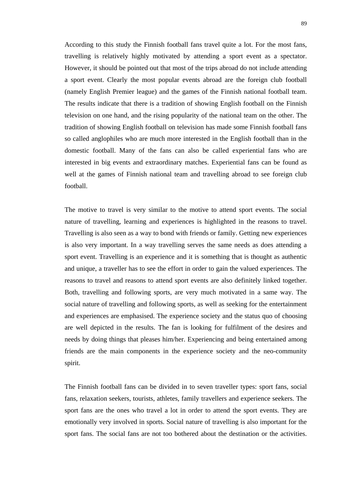According to this study the Finnish football fans travel quite a lot. For the most fans, travelling is relatively highly motivated by attending a sport event as a spectator. However, it should be pointed out that most of the trips abroad do not include attending a sport event. Clearly the most popular events abroad are the foreign club football (namely English Premier league) and the games of the Finnish national football team. The results indicate that there is a tradition of showing English football on the Finnish television on one hand, and the rising popularity of the national team on the other. The tradition of showing English football on television has made some Finnish football fans so called anglophiles who are much more interested in the English football than in the domestic football. Many of the fans can also be called experiential fans who are interested in big events and extraordinary matches. Experiential fans can be found as well at the games of Finnish national team and travelling abroad to see foreign club football.

The motive to travel is very similar to the motive to attend sport events. The social nature of travelling, learning and experiences is highlighted in the reasons to travel. Travelling is also seen as a way to bond with friends or family. Getting new experiences is also very important. In a way travelling serves the same needs as does attending a sport event. Travelling is an experience and it is something that is thought as authentic and unique, a traveller has to see the effort in order to gain the valued experiences. The reasons to travel and reasons to attend sport events are also definitely linked together. Both, travelling and following sports, are very much motivated in a same way. The social nature of travelling and following sports, as well as seeking for the entertainment and experiences are emphasised. The experience society and the status quo of choosing are well depicted in the results. The fan is looking for fulfilment of the desires and needs by doing things that pleases him/her. Experiencing and being entertained among friends are the main components in the experience society and the neo-community spirit.

The Finnish football fans can be divided in to seven traveller types: sport fans, social fans, relaxation seekers, tourists, athletes, family travellers and experience seekers. The sport fans are the ones who travel a lot in order to attend the sport events. They are emotionally very involved in sports. Social nature of travelling is also important for the sport fans. The social fans are not too bothered about the destination or the activities.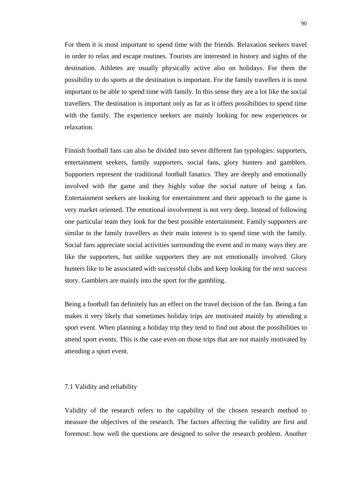For them it is most important to spend time with the friends. Relaxation seekers travel in order to relax and escape routines. Tourists are interested in history and sights of the destination. Athletes are usually physically active also on holidays. For them the possibility to do sports at the destination is important. For the family travellers it is most important to be able to spend time with family. In this sense they are a lot like the social travellers. The destination is important only as far as it offers possibilities to spend time with the family. The experience seekers are mainly looking for new experiences or relaxation.

Finnish football fans can also be divided into seven different fan typologies: supporters, entertainment seekers, family supporters, social fans, glory hunters and gamblers. Supporters represent the traditional football fanatics. They are deeply and emotionally involved with the game and they highly value the social nature of being a fan. Entertainment seekers are looking for entertainment and their approach to the game is very market oriented. The emotional involvement is not very deep. Instead of following one particular team they look for the best possible entertainment. Family supporters are similar to the family travellers as their main interest is to spend time with the family. Social fans appreciate social activities surrounding the event and in many ways they are like the supporters, but unlike supporters they are not emotionally involved. Glory hunters like to be associated with successful clubs and keep looking for the next success story. Gamblers are mainly into the sport for the gambling.

Being a football fan definitely has an effect on the travel decision of the fan. Being a fan makes it very likely that sometimes holiday trips are motivated mainly by attending a sport event. When planning a holiday trip they tend to find out about the possibilities to attend sport events. This is the case even on those trips that are not mainly motivated by attending a sport event.

#### 7.1 Validity and reliability

Validity of the research refers to the capability of the chosen research method to measure the objectives of the research. The factors affecting the validity are first and foremost: how well the questions are designed to solve the research problem. Another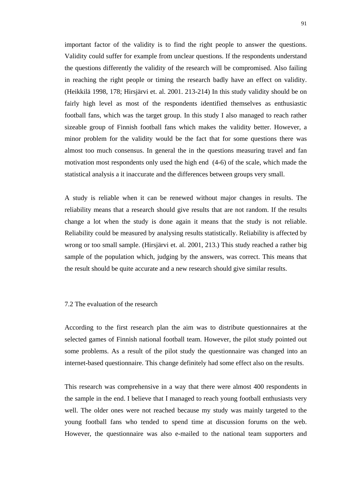important factor of the validity is to find the right people to answer the questions. Validity could suffer for example from unclear questions. If the respondents understand the questions differently the validity of the research will be compromised. Also failing in reaching the right people or timing the research badly have an effect on validity. (Heikkilä 1998, 178; Hirsjärvi et. al. 2001. 213-214) In this study validity should be on fairly high level as most of the respondents identified themselves as enthusiastic football fans, which was the target group. In this study I also managed to reach rather sizeable group of Finnish football fans which makes the validity better. However, a minor problem for the validity would be the fact that for some questions there was almost too much consensus. In general the in the questions measuring travel and fan motivation most respondents only used the high end (4-6) of the scale, which made the statistical analysis a it inaccurate and the differences between groups very small.

A study is reliable when it can be renewed without major changes in results. The reliability means that a research should give results that are not random. If the results change a lot when the study is done again it means that the study is not reliable. Reliability could be measured by analysing results statistically. Reliability is affected by wrong or too small sample. (Hirsjärvi et. al. 2001, 213.) This study reached a rather big sample of the population which, judging by the answers, was correct. This means that the result should be quite accurate and a new research should give similar results.

## 7.2 The evaluation of the research

According to the first research plan the aim was to distribute questionnaires at the selected games of Finnish national football team. However, the pilot study pointed out some problems. As a result of the pilot study the questionnaire was changed into an internet-based questionnaire. This change definitely had some effect also on the results.

This research was comprehensive in a way that there were almost 400 respondents in the sample in the end. I believe that I managed to reach young football enthusiasts very well. The older ones were not reached because my study was mainly targeted to the young football fans who tended to spend time at discussion forums on the web. However, the questionnaire was also e-mailed to the national team supporters and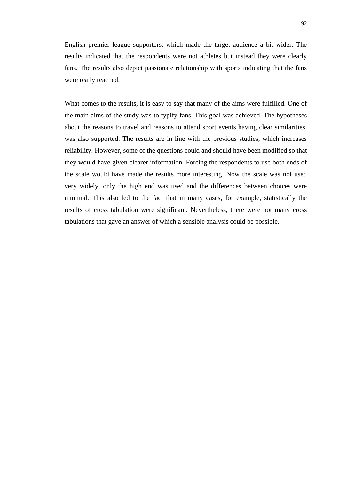English premier league supporters, which made the target audience a bit wider. The results indicated that the respondents were not athletes but instead they were clearly fans. The results also depict passionate relationship with sports indicating that the fans were really reached.

What comes to the results, it is easy to say that many of the aims were fulfilled. One of the main aims of the study was to typify fans. This goal was achieved. The hypotheses about the reasons to travel and reasons to attend sport events having clear similarities, was also supported. The results are in line with the previous studies, which increases reliability. However, some of the questions could and should have been modified so that they would have given clearer information. Forcing the respondents to use both ends of the scale would have made the results more interesting. Now the scale was not used very widely, only the high end was used and the differences between choices were minimal. This also led to the fact that in many cases, for example, statistically the results of cross tabulation were significant. Nevertheless, there were not many cross tabulations that gave an answer of which a sensible analysis could be possible.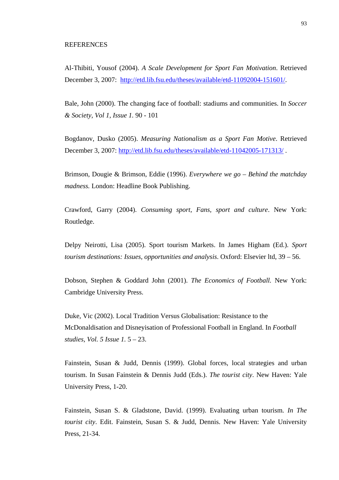### **REFERENCES**

Al-Thibiti, Yousof (2004). *A Scale Development for Sport Fan Motivation*. Retrieved December 3, 2007: [http://etd.lib.fsu.edu/theses/available/etd-11092004-151601/.](http://etd.lib.fsu.edu/theses/available/etd-11092004-151601/)

Bale, John (2000). The changing face of football: stadiums and communities. In *Soccer & Society, Vol 1, Issue 1.* 90 - 101

Bogdanov, Dusko (2005). *Measuring Nationalism as a Sport Fan Motive*. Retrieved December 3, 2007:<http://etd.lib.fsu.edu/theses/available/etd-11042005-171313/>.

Brimson, Dougie & Brimson, Eddie (1996). *Everywhere we go – Behind the matchday madness.* London: Headline Book Publishing.

Crawford, Garry (2004). *Consuming sport, Fans, sport and culture*. New York: Routledge.

Delpy Neirotti, Lisa (2005). Sport tourism Markets. In James Higham (Ed.). *Sport tourism destinations: Issues, opportunities and analysis*. Oxford: Elsevier ltd, 39 – 56.

Dobson, Stephen & Goddard John (2001). *The Economics of Football.* New York: Cambridge University Press.

Duke, Vic (2002). Local Tradition Versus Globalisation: Resistance to the McDonaldisation and Disneyisation of Professional Football in England. In *Football studies, Vol. 5 Issue 1.* 5 – 23.

Fainstein, Susan & Judd, Dennis (1999). Global forces, local strategies and urban tourism. In Susan Fainstein & Dennis Judd (Eds.). *The tourist city*. New Haven: Yale University Press, 1-20.

Fainstein, Susan S. & Gladstone, David. (1999). Evaluating urban tourism. *In The tourist city*. Edit. Fainstein, Susan S. & Judd, Dennis. New Haven: Yale University Press, 21-34.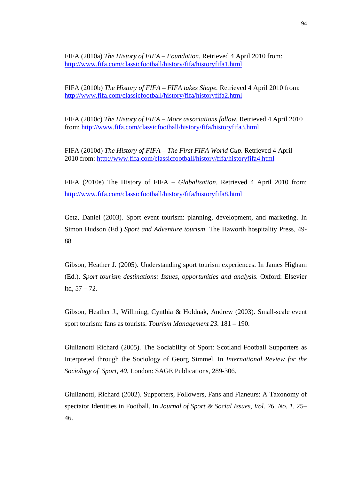FIFA (2010a) *The History of FIFA – Foundation.* Retrieved 4 April 2010 from: <http://www.fifa.com/classicfootball/history/fifa/historyfifa1.html>

FIFA (2010b) *The History of FIFA – FIFA takes Shape.* Retrieved 4 April 2010 from: <http://www.fifa.com/classicfootball/history/fifa/historyfifa2.html>

FIFA (2010c) *The History of FIFA – More associations follow.* Retrieved 4 April 2010 from:<http://www.fifa.com/classicfootball/history/fifa/historyfifa3.html>

FIFA (2010d) *The History of FIFA – The First FIFA World Cup*. Retrieved 4 April 2010 from:<http://www.fifa.com/classicfootball/history/fifa/historyfifa4.html>

FIFA (2010e) The History of FIFA – *Glabalisation*. Retrieved 4 April 2010 from: <http://www.fifa.com/classicfootball/history/fifa/historyfifa8.html>

Getz, Daniel (2003). Sport event tourism: planning, development, and marketing. In Simon Hudson (Ed.) *Sport and Adventure tourism*. The Haworth hospitality Press, 49- 88

Gibson, Heather J. (2005). Understanding sport tourism experiences. In James Higham (Ed.). *Sport tourism destinations: Issues, opportunities and analysis.* Oxford: Elsevier ltd, 57 – 72.

Gibson, Heather J., Willming, Cynthia & Holdnak, Andrew (2003). Small-scale event sport tourism: fans as tourists. *Tourism Management 23.* 181 – 190.

Giulianotti Richard (2005). The Sociability of Sport: Scotland Football Supporters as Interpreted through the Sociology of Georg Simmel. In *International Review for the Sociology of Sport, 40.* London: SAGE Publications, 289-306.

Giulianotti, Richard (2002). Supporters, Followers, Fans and Flaneurs: A Taxonomy of spectator Identities in Football. In *Journal of Sport & Social Issues, Vol. 26, No. 1*, 25– 46.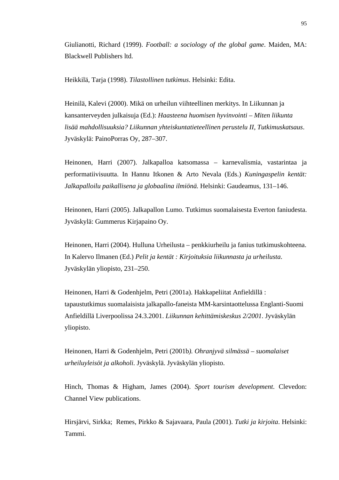Giulianotti, Richard (1999). *Football: a sociology of the global game*. Maiden, MA: Blackwell Publishers ltd.

Heikkilä, Tarja (1998). *Tilastollinen tutkimus*. Helsinki: Edita.

Heinilä, Kalevi (2000). Mikä on urheilun viihteellinen merkitys. In Liikunnan ja kansanterveyden julkaisuja (Ed.): *Haasteena huomisen hyvinvointi – Miten liikunta lisää mahdollisuuksia? Liikunnan yhteiskuntatieteellinen perustelu II, Tutkimuskatsaus*. Jyväskylä: PainoPorras Oy, 287–307.

Heinonen, Harri (2007). Jalkapalloa katsomassa – karnevalismia, vastarintaa ja performatiivisuutta. In Hannu Itkonen & Arto Nevala (Eds.) *Kuningaspelin kentät: Jalkapalloilu paikallisena ja globaalina ilmiönä.* Helsinki: Gaudeamus, 131–146.

Heinonen, Harri (2005). Jalkapallon Lumo. Tutkimus suomalaisesta Everton faniudesta. Jyväskylä: Gummerus Kirjapaino Oy.

Heinonen, Harri (2004). Hulluna Urheilusta – penkkiurheilu ja fanius tutkimuskohteena. In Kalervo Ilmanen (Ed.) *Pelit ja kentät : Kirjoituksia liikunnasta ja urheilusta*. Jyväskylän yliopisto, 231–250.

Heinonen, Harri & Godenhjelm, Petri (2001a). Hakkapeliitat Anfieldillä : tapaustutkimus suomalaisista jalkapallo-faneista MM-karsintaottelussa Englanti-Suomi Anfieldillä Liverpoolissa 24.3.2001. *Liikunnan kehittämiskeskus 2/2001*. Jyväskylän yliopisto.

Heinonen, Harri & Godenhjelm, Petri (2001b*). Ohranjyvä silmässä – suomalaiset urheiluyleisöt ja alkoholi*. Jyväskylä. Jyväskylän yliopisto.

Hinch, Thomas & Higham, James (2004). *Sport tourism development*. Clevedon: Channel View publications.

Hirsjärvi, Sirkka; Remes, Pirkko & Sajavaara, Paula (2001). *Tutki ja kirjoita*. Helsinki: Tammi.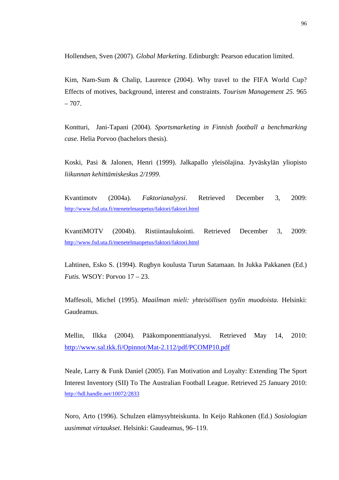Hollendsen, Sven (2007). *Global Marketing*. Edinburgh: Pearson education limited.

Kim, Nam-Sum & Chalip, Laurence (2004). Why travel to the FIFA World Cup? Effects of motives, background, interest and constraints. *Tourism Management 25.* 965  $-707.$ 

Kontturi, Jani-Tapani (2004). *Sportsmarketing in Finnish football a benchmarking case.* Helia Porvoo (bachelors thesis).

Koski, Pasi & Jalonen, Henri (1999). Jalkapallo yleisölajina. Jyväskylän yliopisto *liikunnan kehittämiskeskus 2/1999*.

Kvantimotv (2004a). *Faktorianalyysi*. Retrieved December 3, 2009: <http://www.fsd.uta.fi/menetelmaopetus/faktori/faktori.html>

KvantiMOTV (2004b). Ristiintaulukointi. Retrieved December 3, 2009: <http://www.fsd.uta.fi/menetelmaopetus/faktori/faktori.html>

Lahtinen, Esko S. (1994). Rugbyn koulusta Turun Satamaan. In Jukka Pakkanen (Ed.) *Futis.* WSOY: Porvoo 17 – 23.

Maffesoli, Michel (1995). *Maailman mieli: yhteisöllisen tyylin muodoista.* Helsinki: Gaudeamus.

Mellin, Ilkka (2004). Pääkomponenttianalyysi. Retrieved May 14, 2010: <http://www.sal.tkk.fi/Opinnot/Mat-2.112/pdf/PCOMP10.pdf>

Neale, Larry & Funk Daniel (2005). Fan Motivation and Loyalty: Extending The Sport Interest Inventory (SII) To The Australian Football League. Retrieved 25 January 2010: <http://hdl.handle.net/10072/2833>

Noro, Arto (1996). Schulzen elämysyhteiskunta. In Keijo Rahkonen (Ed.) *Sosiologian uusimmat virtaukset*. Helsinki: Gaudeamus, 96–119.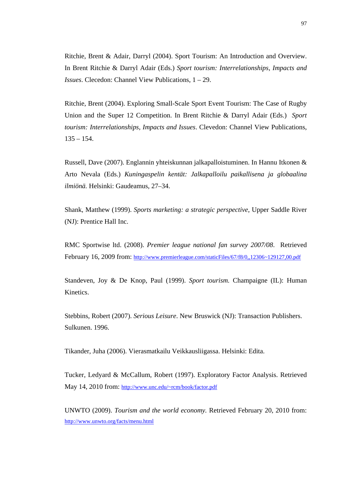Ritchie, Brent & Adair, Darryl (2004). Sport Tourism: An Introduction and Overview. In Brent Ritchie & Darryl Adair (Eds.) *Sport tourism: Interrelationships, Impacts and Issues*. Clecedon: Channel View Publications, 1 – 29.

Ritchie, Brent (2004). Exploring Small-Scale Sport Event Tourism: The Case of Rugby Union and the Super 12 Competition. In Brent Ritchie & Darryl Adair (Eds.) *Sport tourism: Interrelationships, Impacts and Issues*. Clevedon: Channel View Publications,  $135 - 154$ .

Russell, Dave (2007). Englannin yhteiskunnan jalkapalloistuminen. In Hannu Itkonen & Arto Nevala (Eds.) *Kuningaspelin kentät: Jalkapalloilu paikallisena ja globaalina ilmiönä.* Helsinki: Gaudeamus, 27–34.

Shank, Matthew (1999). *Sports marketing: a strategic perspective*, Upper Saddle River (NJ): Prentice Hall Inc.

RMC Sportwise ltd. (2008). *Premier league national fan survey 2007/08*. Retrieved February 16, 2009 from:<http://www.premierleague.com/staticFiles/67/f8/0,,12306~129127,00.pdf>

Standeven, Joy & De Knop, Paul (1999). *Sport tourism.* Champaigne (IL): Human Kinetics.

Stebbins, Robert (2007). *Serious Leisure*. New Bruswick (NJ): Transaction Publishers. Sulkunen. 1996.

Tikander, Juha (2006). Vierasmatkailu Veikkausliigassa. Helsinki: Edita.

Tucker, Ledyard & McCallum, Robert (1997). Exploratory Factor Analysis. Retrieved May 14, 2010 from:<http://www.unc.edu/~rcm/book/factor.pdf>

UNWTO (2009). *Tourism and the world economy.* Retrieved February 20, 2010 from: <http://www.unwto.org/facts/menu.html>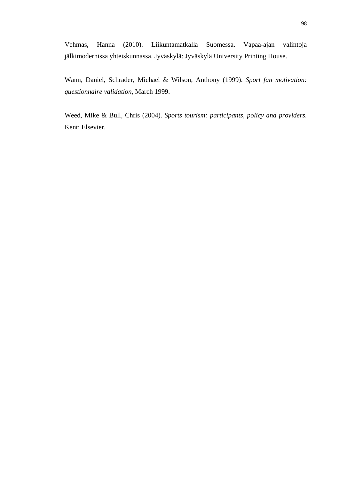Vehmas, Hanna (2010). Liikuntamatkalla Suomessa. Vapaa-ajan valintoja jälkimodernissa yhteiskunnassa. Jyväskylä: Jyväskylä University Printing House.

Wann, Daniel, Schrader, Michael & Wilson, Anthony (1999). *Sport fan motivation: questionnaire validation*, March 1999.

Weed, Mike & Bull, Chris (2004). *Sports tourism: participants, policy and providers*. Kent: Elsevier.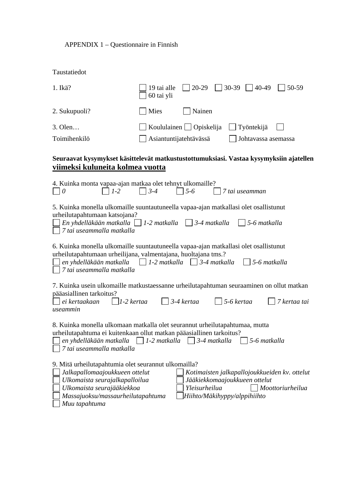## APPENDIX 1 – Questionnaire in Finnish

| Taustatiedot                                                                                                                                                                                                          |                           |                                               |                                                                                |                  |
|-----------------------------------------------------------------------------------------------------------------------------------------------------------------------------------------------------------------------|---------------------------|-----------------------------------------------|--------------------------------------------------------------------------------|------------------|
| $1.$ Ikä?                                                                                                                                                                                                             | 19 tai alle<br>60 tai yli | $20-29$                                       | 30-39<br>40-49                                                                 | 50-59            |
| 2. Sukupuoli?                                                                                                                                                                                                         | Mies                      | Nainen                                        |                                                                                |                  |
| 3. Olen                                                                                                                                                                                                               |                           | Koululainen $\Box$ Opiskelija                 | Työntekijä                                                                     |                  |
| Toimihenkilö                                                                                                                                                                                                          | Asiantuntijatehtävässä    |                                               | Johtavassa asemassa                                                            |                  |
| Seuraavat kysymykset käsittelevät matkustustottumuksiasi. Vastaa kysymyksiin ajatellen<br>viimeksi kuluneita kolmea vuotta                                                                                            |                           |                                               |                                                                                |                  |
| 4. Kuinka monta vapaa-ajan matkaa olet tehnyt ulkomaille?<br>$1-2$<br>$\theta$                                                                                                                                        | $3 - 4$                   | $5 - 6$                                       | 7 tai useamman                                                                 |                  |
| 5. Kuinka monella ulkomaille suuntautuneella vapaa-ajan matkallasi olet osallistunut<br>urheilutapahtumaan katsojana?<br>En yhdelläkään matkalla $\Box$ 1-2 matkalla $\Box$ 3-4 matkalla<br>7 tai useammalla matkalla |                           |                                               | 5-6 matkalla                                                                   |                  |
| 6. Kuinka monella ulkomaille suuntautuneella vapaa-ajan matkallasi olet osallistunut<br>urheilutapahtumaan urheilijana, valmentajana, huoltajana tms.?<br>en yhdelläkään matkalla<br>7 tai useammalla matkalla        |                           | $1-2$ matkalla   $3-4$ matkalla               | 5-6 matkalla                                                                   |                  |
| 7. Kuinka usein ulkomaille matkustaessanne urheilutapahtuman seuraaminen on ollut matkan<br>pääasiallinen tarkoitus?<br>$ 1-2 $ kertaa<br>ei kertaakaan<br>useammin                                                   |                           | $\vert$ 3-4 kertaa                            | 5-6 kertaa                                                                     | 7 kertaa tai     |
| 8. Kuinka monella ulkomaan matkalla olet seurannut urheilutapahtumaa, mutta<br>urheilutapahtuma ei kuitenkaan ollut matkan pääasiallinen tarkoitus?<br>en yhdelläkään matkalla<br>7 tai useammalla matkalla           | $\Box$ 1-2 matkalla       | $ $ 3-4 matkalla                              | 5-6 matkalla                                                                   |                  |
| 9. Mitä urheilutapahtumia olet seurannut ulkomailla?<br>Jalkapallomaajoukkueen ottelut<br>Ulkomaista seurajalkapalloilua<br>Ulkomaista seurajääkiekkoa<br>Massajuoksu/massaurheilutapahtuma<br>Muu tapahtuma          |                           | Yleisurheilua<br>Hiihto/Mäkihyppy/alppihiihto | Kotimaisten jalkapallojoukkueiden kv. ottelut<br>Jääkiekkomaajoukkueen ottelut | Moottoriurheilua |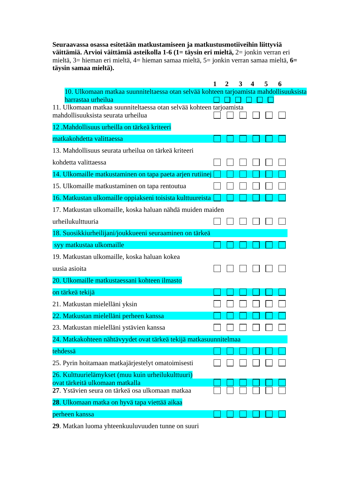**Seuraavassa osassa esitetään matkustamiseen ja matkustusmotiiveihin liittyviä väittämiä. Arvioi väittämiä asteikolla 1-6 (1= täysin eri mieltä,** 2= jonkin verran eri mieltä, 3= hieman eri mieltä, 4= hieman samaa mieltä, 5= jonkin verran samaa mieltä, **6= täysin samaa mieltä).** 

|                                                                                           | 2 | 3 | 4 | 5 | 6 |
|-------------------------------------------------------------------------------------------|---|---|---|---|---|
| 10. Ulkomaan matkaa suunniteltaessa otan selvää kohteen tarjoamista mahdollisuuksista     |   |   |   |   |   |
| harrastaa urheilua<br>11. Ulkomaan matkaa suunniteltaessa otan selvää kohteen tarjoamista |   |   |   |   |   |
| mahdollisuuksista seurata urheilua                                                        |   |   |   |   |   |
| 12 .Mahdollisuus urheilla on tärkeä kriteeri                                              |   |   |   |   |   |
| matkakohdetta valittaessa                                                                 |   |   |   |   |   |
| 13. Mahdollisuus seurata urheilua on tärkeä kriteeri                                      |   |   |   |   |   |
| kohdetta valittaessa                                                                      |   |   |   |   |   |
| 14. Ulkomaille matkustaminen on tapa paeta arjen rutiinej                                 |   |   |   |   |   |
| 15. Ulkomaille matkustaminen on tapa rentoutua                                            |   |   |   |   |   |
| 16. Matkustan ulkomaille oppiakseni toisista kulttuureista                                |   |   |   |   |   |
| 17. Matkustan ulkomaille, koska haluan nähdä muiden maiden                                |   |   |   |   |   |
| urheilukulttuuria                                                                         |   |   |   |   |   |
| 18. Suosikkiurheilijani/joukkueeni seuraaminen on tärkeä                                  |   |   |   |   |   |
| syy matkustaa ulkomaille                                                                  |   |   |   |   |   |
| 19. Matkustan ulkomaille, koska haluan kokea                                              |   |   |   |   |   |
| uusia asioita                                                                             |   |   |   |   |   |
| 20. Ulkomaille matkustaessani kohteen ilmasto                                             |   |   |   |   |   |
| on tärkeä tekijä                                                                          |   |   |   |   |   |
| 21. Matkustan mielelläni yksin                                                            |   |   |   |   |   |
| 22. Matkustan mielelläni perheen kanssa                                                   |   |   |   |   |   |
| 23. Matkustan mielelläni ystävien kanssa                                                  |   |   |   |   |   |
| 24. Matkakohteen nähtävyydet ovat tärkeä tekijä matkasuunnitelmaa                         |   |   |   |   |   |
| tehdessä                                                                                  |   |   |   |   |   |
| 25. Pyrin hoitamaan matkajärjestelyt omatoimisesti                                        |   |   |   |   |   |
| 26. Kulttuurielämykset (muu kuin urheilukulttuuri)                                        |   |   |   |   |   |
| ovat tärkeitä ulkomaan matkalla<br>27. Ystävien seura on tärkeä osa ulkomaan matkaa       |   |   |   |   |   |
| 28. Ulkomaan matka on hyvä tapa viettää aikaa                                             |   |   |   |   |   |
| perheen kanssa                                                                            |   |   |   |   |   |
|                                                                                           |   |   |   |   |   |

**29**. Matkan luoma yhteenkuuluvuuden tunne on suuri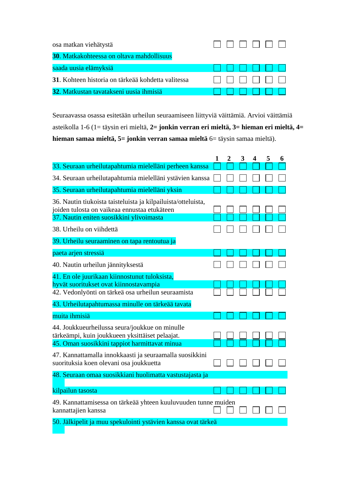| osa matkan viehätystä                              |  |
|----------------------------------------------------|--|
| 30. Matkakohteessa on oltava mahdollisuus          |  |
| saada uusia elämyksiä                              |  |
| 31. Kohteen historia on tärkeää kohdetta valitessa |  |
| 32. Matkustan tavatakseni uusia ihmisiä            |  |

Seuraavassa osassa esitetään urheilun seuraamiseen liittyviä väittämiä. Arvioi väittämiä asteikolla 1-6 (1= täysin eri mieltä, **2= jonkin verran eri mieltä, 3= hieman eri mieltä, 4= hieman samaa mieltä, 5= jonkin verran samaa mieltä** 6= täysin samaa mieltä).

|                                                                                                                                                                                                    | 1 | $\overline{2}$ | 3 | $\overline{\mathbf{4}}$ | 5 | 6 |
|----------------------------------------------------------------------------------------------------------------------------------------------------------------------------------------------------|---|----------------|---|-------------------------|---|---|
| 33. Seuraan urheilutapahtumia mielelläni perheen kanssa                                                                                                                                            |   |                |   |                         |   |   |
| 34. Seuraan urheilutapahtumia mielelläni ystävien kanssa                                                                                                                                           |   |                |   |                         |   |   |
| 35. Seuraan urheilutapahtumia mielelläni yksin                                                                                                                                                     |   |                |   |                         |   |   |
| 36. Nautin tiukoista taisteluista ja kilpailuista/otteluista,<br>joiden tulosta on vaikeaa ennustaa etukäteen<br>37. Nautin eniten suosikkini ylivoimasta                                          |   |                |   |                         |   |   |
| 38. Urheilu on viihdettä                                                                                                                                                                           |   |                |   |                         |   |   |
| 39. Urheilu seuraaminen on tapa rentoutua ja                                                                                                                                                       |   |                |   |                         |   |   |
| paeta arjen stressiä                                                                                                                                                                               |   |                |   |                         |   |   |
| 40. Nautin urheilun jännityksestä                                                                                                                                                                  |   |                |   |                         |   |   |
| 41. En ole juurikaan kiinnostunut tuloksista,<br>hyvät suoritukset ovat kiinnostavampia<br>42. Vedonlyönti on tärkeä osa urheilun seuraamista<br>43. Urheilutapahtumassa minulle on tärkeää tavata |   |                |   |                         |   |   |
| muita ihmisiä                                                                                                                                                                                      |   |                |   |                         |   |   |
| 44. Joukkueurheilussa seura/joukkue on minulle<br>tärkeämpi, kuin joukkueen yksittäiset pelaajat.<br>45. Oman suosikkini tappiot harmittavat minua                                                 |   |                |   |                         |   |   |
| 47. Kannattamalla innokkaasti ja seuraamalla suosikkini<br>suorituksia koen olevani osa joukkuetta                                                                                                 |   |                |   |                         |   |   |
| 48. Seuraan omaa suosikkiani huolimatta vastustajasta ja                                                                                                                                           |   |                |   |                         |   |   |
| kilpailun tasosta                                                                                                                                                                                  |   |                |   |                         |   |   |
| 49. Kannattamisessa on tärkeää yhteen kuuluvuuden tunne muiden<br>kannattajien kanssa                                                                                                              |   |                |   |                         |   |   |
| 50. Jälkipelit ja muu spekulointi ystävien kanssa ovat tärkeä                                                                                                                                      |   |                |   |                         |   |   |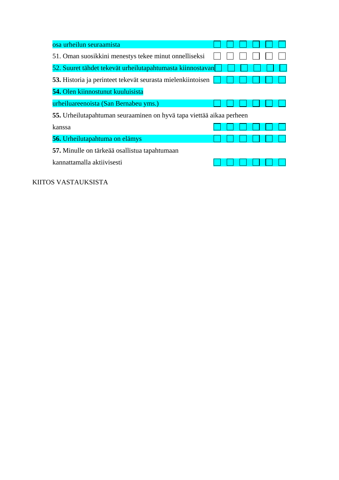| osa urheilun seuraamista                                             |  |  |  |
|----------------------------------------------------------------------|--|--|--|
| 51. Oman suosikkini menestys tekee minut onnelliseksi                |  |  |  |
| 52. Suuret tähdet tekevät urheilutapahtumasta kiinnostavan           |  |  |  |
| 53. Historia ja perinteet tekevät seurasta mielenkiintoisen          |  |  |  |
| 54. Olen kiinnostunut kuuluisista                                    |  |  |  |
| urheiluareenoista (San Bernabeu yms.)                                |  |  |  |
| 55. Urheilutapahtuman seuraaminen on hyvä tapa viettää aikaa perheen |  |  |  |
| kanssa                                                               |  |  |  |
| <b>56.</b> Urheilutapahtuma on elämys                                |  |  |  |
| 57. Minulle on tärkeää osallistua tapahtumaan                        |  |  |  |
| kannattamalla aktiivisesti                                           |  |  |  |

KIITOS VASTAUKSISTA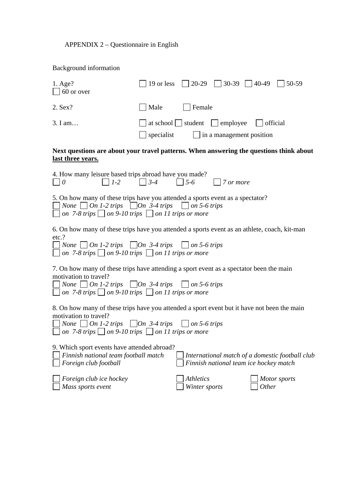## APPENDIX 2 – Questionnaire in English

# Background information

| $1. \text{Age?}$<br>$\Box$ 60 or over                                                                                                                                                                                                                                  |            | 19 or less $\vert$ 20-29                 | $ $ 30-39 $ $ 40-49                    |              | 50-59                                           |
|------------------------------------------------------------------------------------------------------------------------------------------------------------------------------------------------------------------------------------------------------------------------|------------|------------------------------------------|----------------------------------------|--------------|-------------------------------------------------|
| 2. Sex?                                                                                                                                                                                                                                                                | Male       | $\vert$ Female                           |                                        |              |                                                 |
| 3. I am                                                                                                                                                                                                                                                                | specialist | at school $\Box$ student $\Box$ employee | $\Box$ in a management position        | official     |                                                 |
| Next questions are about your travel patterns. When answering the questions think about<br>last three years.                                                                                                                                                           |            |                                          |                                        |              |                                                 |
| 4. How many leisure based trips abroad have you made?<br>$\vert$   1-2<br>$\Box$ 0                                                                                                                                                                                     | $3-4$      | $\vert$ 5-6                              | 7 or more                              |              |                                                 |
| 5. On how many of these trips have you attended a sports event as a spectator?<br>None $\Box$ On 1-2 trips $\Box$ On 3-4 trips $\Box$ on 5-6 trips<br>$\Box$ on 7-8 trips $\Box$ on 9-10 trips $\Box$ on 11 trips or more                                              |            |                                          |                                        |              |                                                 |
| 6. On how many of these trips have you attended a sports event as an athlete, coach, kit-man<br>etc.?<br>◯ None ◯ On 1-2 trips ◯ On 3-4 trips ◯ on 5-6 trips<br>$\Box$ on 7-8 trips $\Box$ on 9-10 trips $\Box$ on 11 trips or more                                    |            |                                          |                                        |              |                                                 |
| 7. On how many of these trips have attending a sport event as a spectator been the main<br>motivation to travel?<br>$\Box$ None $\Box$ On 1-2 trips $\Box$ On 3-4 trips $\Box$ on 5-6 trips<br>$\Box$ on 7-8 trips $\Box$ on 9-10 trips $\Box$ on 11 trips or more     |            |                                          |                                        |              |                                                 |
| 8. On how many of these trips have you attended a sport event but it have not been the main<br>motivation to travel?<br>$\Box$ None $\Box$ On 1-2 trips $\Box$ On 3-4 trips $\Box$ on 5-6 trips<br>$\Box$ on 7-8 trips $\Box$ on 9-10 trips $\Box$ on 11 trips or more |            |                                          |                                        |              |                                                 |
| 9. Which sport events have attended abroad?<br>Finnish national team football match<br>Foreign club football                                                                                                                                                           |            |                                          | Finnish national team ice hockey match |              | International match of a domestic football club |
| Foreign club ice hockey<br>Mass sports event                                                                                                                                                                                                                           |            | <i>Athletics</i><br>Winter sports        |                                        | <i>Other</i> | Motor sports                                    |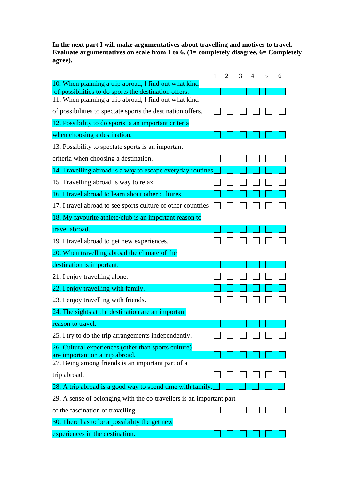**In the next part I will make argumentatives about travelling and motives to travel. Evaluate argumentatives on scale from 1 to 6. (1= completely disagree, 6= Completely agree).** 

|                                                                                                                | 1 | $\mathcal{D}_{\cdot}$ | 3 | 4 | 5 | 6 |
|----------------------------------------------------------------------------------------------------------------|---|-----------------------|---|---|---|---|
| 10. When planning a trip abroad, I find out what kind<br>of possibilities to do sports the destination offers. |   |                       |   |   |   |   |
| 11. When planning a trip abroad, I find out what kind                                                          |   |                       |   |   |   |   |
| of possibilities to spectate sports the destination offers.                                                    |   |                       |   |   |   |   |
| 12. Possibility to do sports is an important criteria                                                          |   |                       |   |   |   |   |
| when choosing a destination.                                                                                   |   |                       |   |   |   |   |
| 13. Possibility to spectate sports is an important                                                             |   |                       |   |   |   |   |
| criteria when choosing a destination.                                                                          |   |                       |   |   |   |   |
| 14. Travelling abroad is a way to escape everyday routines                                                     |   |                       |   |   |   |   |
| 15. Travelling abroad is way to relax.                                                                         |   |                       |   |   |   |   |
| 16. I travel abroad to learn about other cultures.                                                             |   |                       |   |   |   |   |
| 17. I travel abroad to see sports culture of other countries                                                   |   |                       |   |   |   |   |
| 18. My favourite athlete/club is an important reason to                                                        |   |                       |   |   |   |   |
| travel abroad.                                                                                                 |   |                       |   |   |   |   |
| 19. I travel abroad to get new experiences.                                                                    |   |                       |   |   |   |   |
| 20. When travelling abroad the climate of the                                                                  |   |                       |   |   |   |   |
| destination is important.                                                                                      |   |                       |   |   |   |   |
| 21. I enjoy travelling alone.                                                                                  |   |                       |   |   |   |   |
| 22. I enjoy travelling with family.                                                                            |   |                       |   |   |   |   |
| 23. I enjoy travelling with friends.                                                                           |   |                       |   |   |   |   |
| 24. The sights at the destination are an important                                                             |   |                       |   |   |   |   |
| reason to travel.                                                                                              |   |                       |   |   |   |   |
| 25. I try to do the trip arrangements independently.                                                           |   |                       |   |   |   |   |
| 26. Cultural experiences (other than sports culture)                                                           |   |                       |   |   |   |   |
| are important on a trip abroad.<br>27. Being among friends is an important part of a                           |   |                       |   |   |   |   |
| trip abroad.                                                                                                   |   |                       |   |   |   |   |
| 28. A trip abroad is a good way to spend time with family.                                                     |   |                       |   |   |   |   |
| 29. A sense of belonging with the co-travellers is an important part                                           |   |                       |   |   |   |   |
| of the fascination of travelling.                                                                              |   |                       |   |   |   |   |
| 30. There has to be a possibility the get new                                                                  |   |                       |   |   |   |   |
| experiences in the destination.                                                                                |   |                       |   |   |   |   |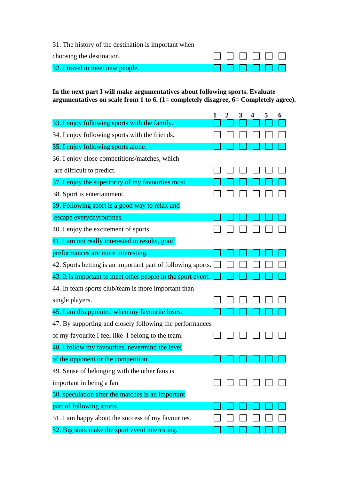31. The history of the destination is important when

| choosing the destination.        |        |  |  |  |
|----------------------------------|--------|--|--|--|
| 32. I travel to meet new people. | 000000 |  |  |  |

**In the next part I will make argumentatives about following sports. Evaluate argumentatives on scale from 1 to 6. (1= completely disagree, 6= Completely agree).** 

|                                                              | 1 | $\overline{2}$ | 3 | 4 | 5 | 6 |
|--------------------------------------------------------------|---|----------------|---|---|---|---|
| 33. I enjoy following sports with the family.                |   |                |   |   |   |   |
| 34. I enjoy following sports with the friends.               |   |                |   |   |   |   |
| 35. I enjoy following sports alone.                          |   |                |   |   |   |   |
| 36. I enjoy close competitions/matches, which                |   |                |   |   |   |   |
| are difficult to predict.                                    |   |                |   |   |   |   |
| 37. I enjoy the superiority of my favourites most            |   |                |   |   |   |   |
| 38. Sport is entertainment.                                  |   |                |   |   |   |   |
| 39. Following sport is a good way to relax and               |   |                |   |   |   |   |
| escape everydayroutines.                                     |   |                |   |   |   |   |
| 40. I enjoy the excitement of sports.                        |   |                |   |   |   |   |
| 41. I am not really interested in results, good              |   |                |   |   |   |   |
| preformances are more interesting.                           |   |                |   |   |   |   |
| 42. Sports betting is an important part of following sports. |   |                |   |   |   |   |
| 43. It is important to meet other people in the sport event. |   |                |   |   |   |   |
| 44. In team sports club/team is more important than          |   |                |   |   |   |   |
| single players.                                              |   |                |   |   |   |   |
| 45. I am disappointed when my favourite loses.               |   |                |   |   |   |   |
| 47. By supporting and closely following the performances     |   |                |   |   |   |   |
| of my favourite I feel like I belong to the team.            |   |                |   |   |   |   |
| 48. I follow my favourites, nevermind the level              |   |                |   |   |   |   |
| of the opponent or the competition.                          |   |                |   |   |   |   |
| 49. Sense of belonging with the other fans is                |   |                |   |   |   |   |
| important in being a fan                                     |   |                |   |   |   |   |
| 50. speculation after the matches is an important            |   |                |   |   |   |   |
| part of following sports                                     |   |                |   |   |   |   |
| 51. I am happy about the success of my favourites.           |   |                |   |   |   |   |
| 52. Big stars make the sport event interesting.              |   |                |   |   |   |   |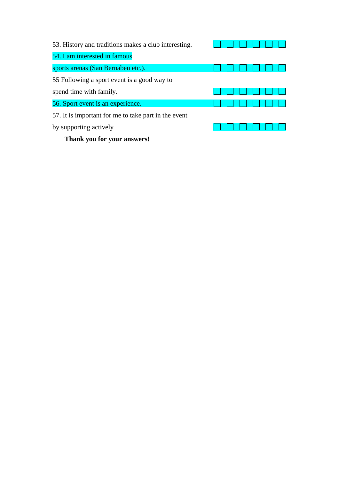| 53. History and traditions makes a club interesting. |  |
|------------------------------------------------------|--|
| 54. I am interested in famous                        |  |
| sports arenas (San Bernabeu etc.).                   |  |
| 55 Following a sport event is a good way to          |  |
| spend time with family.                              |  |
| 56. Sport event is an experience.                    |  |
| 57. It is important for me to take part in the event |  |
| by supporting actively                               |  |

**Thank you for your answers!**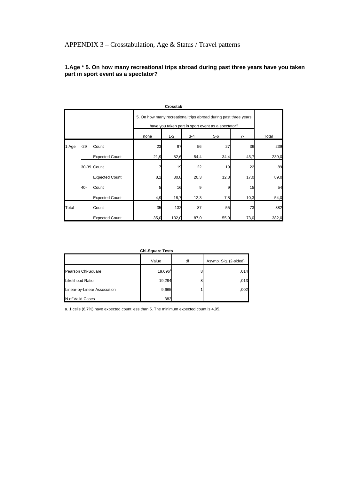### **1.Age \* 5. On how many recreational trips abroad during past three years have you taken part in sport event as a spectator?**

|       |        |                       |      | Crosstab                                                                                                               |         |       |      |       |  |
|-------|--------|-----------------------|------|------------------------------------------------------------------------------------------------------------------------|---------|-------|------|-------|--|
|       |        |                       |      | 5. On how many recreational trips abroad during past three years<br>have you taken part in sport event as a spectator? |         |       |      |       |  |
|       |        |                       | none | $1 - 2$                                                                                                                | $3 - 4$ | $5-6$ | $7-$ | Total |  |
| 1.Age | $-29$  | Count                 | 23   | 97                                                                                                                     | 56      | 27    | 36   | 239   |  |
|       |        | <b>Expected Count</b> | 21,9 | 82,6                                                                                                                   | 54,4    | 34,4  | 45,7 | 239,0 |  |
|       |        | 30-39 Count           |      | 19                                                                                                                     | 22      | 19    | 22   | 89    |  |
|       |        | <b>Expected Count</b> | 8,2  | 30,8                                                                                                                   | 20,3    | 12,8  | 17,0 | 89,0  |  |
|       | $40 -$ | Count                 | 5    | 16                                                                                                                     | 9       |       | 15   | 54    |  |
|       |        | <b>Expected Count</b> | 4,9  | 18,7                                                                                                                   | 12,3    | 7,8   | 10,3 | 54,0  |  |
| Total |        | Count                 | 35   | 132                                                                                                                    | 87      | 55    | 73   | 382   |  |
|       |        | <b>Expected Count</b> | 35,0 | 132,0                                                                                                                  | 87,0    | 55,0  | 73,0 | 382,0 |  |

|                              | <b>Chi-Square Tests</b> |    |                       |
|------------------------------|-------------------------|----|-----------------------|
|                              | Value                   | df | Asymp. Sig. (2-sided) |
| Pearson Chi-Square           | $19,096^{\circ}$        | 8  | ,014                  |
| Likelihood Ratio             | 19,294                  | 8  | ,013                  |
| Linear-by-Linear Association | 9,665                   |    | ,002                  |
| N of Valid Cases             | 382                     |    |                       |

a. 1 cells (6,7%) have expected count less than 5. The minimum expected count is 4,95.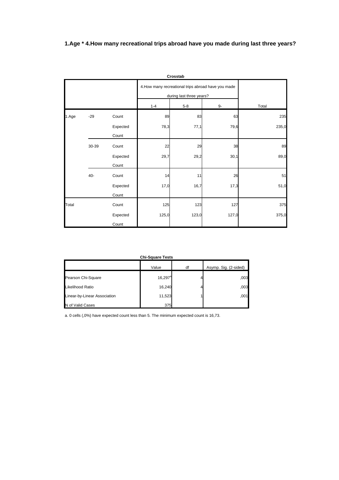# **1.Age \* 4.How many recreational trips abroad have you made during last three years?**

|       |       |                   |         | Crosstab                 |                                                     |       |
|-------|-------|-------------------|---------|--------------------------|-----------------------------------------------------|-------|
|       |       |                   |         | during last three years? | 4. How many recreational trips abroad have you made |       |
|       |       |                   | $1 - 4$ | $5-8$                    | 9-                                                  | Total |
| 1.Age | $-29$ | Count             | 89      | 83                       | 63                                                  | 235   |
|       |       | Expected<br>Count | 78,3    | 77,1                     | 79,6                                                | 235,0 |
|       | 30-39 | Count             | 22      | 29                       | 38                                                  | 89    |
|       |       | Expected<br>Count | 29,7    | 29,2                     | 30,1                                                | 89,0  |
|       | $40-$ | Count             | 14      | 11                       | 26                                                  | 51    |
|       |       | Expected<br>Count | 17,0    | 16,7                     | 17,3                                                | 51,0  |
| Total |       | Count             | 125     | 123                      | 127                                                 | 375   |
|       |       | Expected<br>Count | 125,0   | 123,0                    | 127,0                                               | 375,0 |

**Chi-Square Tests**

|                              | <b>Chi-Square Tests</b> |    |                       |
|------------------------------|-------------------------|----|-----------------------|
|                              | Value                   | df | Asymp. Sig. (2-sided) |
| Pearson Chi-Square           | $16,297^a$              |    | ,003                  |
| Likelihood Ratio             | 16,240                  |    | ,003                  |
| Linear-by-Linear Association | 11,523                  |    | ,001                  |
| N of Valid Cases             | 375                     |    |                       |

a. 0 cells (,0%) have expected count less than 5. The minimum expected count is 16,73.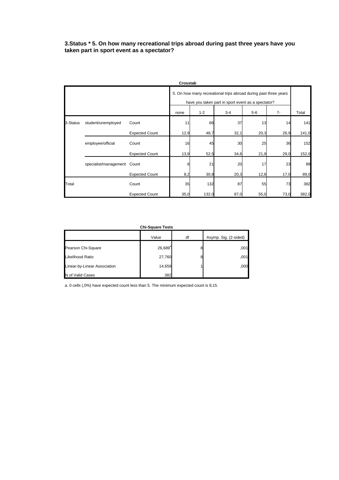#### **3.Status \* 5. On how many recreational trips abroad during past three years have you taken part in sport event as a spectator?**

|          |                             |                       | Crosstab |                                                                                                                                |         |       |      |       |  |
|----------|-----------------------------|-----------------------|----------|--------------------------------------------------------------------------------------------------------------------------------|---------|-------|------|-------|--|
|          |                             |                       | none     | 5. On how many recreational trips abroad during past three years<br>have you taken part in sport event as a spectator?<br>$7-$ |         |       |      |       |  |
|          |                             |                       |          | $1 - 2$                                                                                                                        | $3 - 4$ | $5-6$ |      | Total |  |
| 3.Status | student/unemployed          | Count                 | 11       | 66                                                                                                                             | 37      | 13    | 14   | 141   |  |
|          |                             | <b>Expected Count</b> | 12,9     | 48,7                                                                                                                           | 32,1    | 20,3  | 26,9 | 141,0 |  |
|          | employee/official           | Count                 | 16       | 45                                                                                                                             | 30      | 25    | 36   | 152   |  |
|          |                             | <b>Expected Count</b> | 13,9     | 52,5                                                                                                                           | 34,6    | 21,9  | 29,0 | 152,0 |  |
|          | specialist/management Count |                       |          | 21                                                                                                                             | 20      | 17    | 23   | 89    |  |
|          |                             | <b>Expected Count</b> | 8,2      | 30,8                                                                                                                           | 20,3    | 12,8  | 17,0 | 89,0  |  |
| Total    |                             | Count                 | 35       | 132                                                                                                                            | 87      | 55    | 73   | 382   |  |
|          |                             | <b>Expected Count</b> | 35,0     | 132,0                                                                                                                          | 87,0    | 55,0  | 73,0 | 382,0 |  |

| <b>Chi-Square Tests</b>      |            |    |                       |  |  |  |  |
|------------------------------|------------|----|-----------------------|--|--|--|--|
|                              | Value      | df | Asymp. Sig. (2-sided) |  |  |  |  |
| Pearson Chi-Square           | $26,689^a$ | 8  | ,001                  |  |  |  |  |
| Likelihood Ratio             | 27,760     | 8  | ,001                  |  |  |  |  |
| Linear-by-Linear Association | 14,659     |    | ,000                  |  |  |  |  |
| N of Valid Cases             | 382        |    |                       |  |  |  |  |

a. 0 cells (,0%) have expected count less than 5. The minimum expected count is 8,15.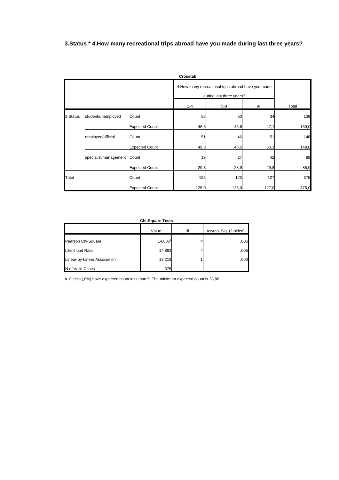**3.Status \* 4.How many recreational trips abroad have you made during last three years?** 

|           |                             |                       | Crosstab |                                                                                 |       |       |  |
|-----------|-----------------------------|-----------------------|----------|---------------------------------------------------------------------------------|-------|-------|--|
|           |                             |                       |          | 4. How many recreational trips abroad have you made<br>during last three years? |       |       |  |
|           |                             |                       | $1 - 4$  | $5-8$                                                                           | 9-    | Total |  |
| 3. Status | student/unemployed          | Count                 | 55       | 50                                                                              | 34    | 139   |  |
|           |                             | <b>Expected Count</b> | 46,3     | 45,6                                                                            | 47,1  | 139,0 |  |
|           | employee/official           | Count                 | 51       | 46                                                                              | 51    | 148   |  |
|           |                             | <b>Expected Count</b> | 49,3     | 48,5                                                                            | 50,1  | 148,0 |  |
|           | specialist/management Count |                       | 19       | 27                                                                              | 42    | 88    |  |
|           |                             | <b>Expected Count</b> | 29,3     | 28,9                                                                            | 29,8  | 88,0  |  |
| Total     |                             | Count                 | 125      | 123                                                                             | 127   | 375   |  |
|           |                             | <b>Expected Count</b> | 125,0    | 123,0                                                                           | 127,0 | 375,0 |  |

| <b>Chi-Square Tests</b>      |            |    |                       |  |  |  |  |
|------------------------------|------------|----|-----------------------|--|--|--|--|
|                              | Value      | df | Asymp. Sig. (2-sided) |  |  |  |  |
| Pearson Chi-Square           | $14,636^a$ |    | ,006                  |  |  |  |  |
| Likelihood Ratio             | 14,882     |    | ,005                  |  |  |  |  |
| Linear-by-Linear Association | 13,219     |    | ,000                  |  |  |  |  |
| N of Valid Cases             | 375        |    |                       |  |  |  |  |

a. 0 cells (,0%) have expected count less than 5. The minimum expected count is 28,86.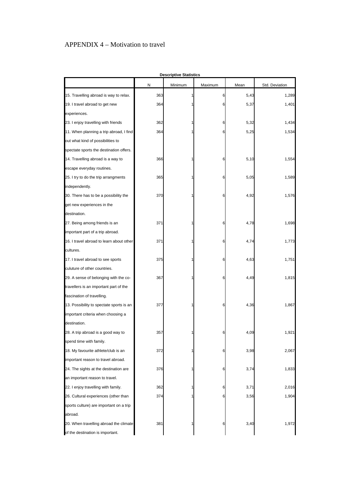# APPENDIX 4 – Motivation to travel

|                                          |     | <b>Descriptive Statistics</b> |         |      |                |
|------------------------------------------|-----|-------------------------------|---------|------|----------------|
|                                          | N   | Minimum                       | Maximum | Mean | Std. Deviation |
| 15. Travelling abroad is way to relax.   | 363 | 1                             | 6       | 5,43 | 1,289          |
| 19. I travel abroad to get new           | 364 |                               | 6       | 5,37 | 1,401          |
| experiences.                             |     |                               |         |      |                |
| 23. I enjoy travelling with friends      | 362 |                               | 6       | 5,32 | 1,434          |
| 11. When planning a trip abroad, I find  | 364 |                               | 6       | 5,25 | 1,534          |
| out what kind of possibilities to        |     |                               |         |      |                |
| spectate sports the destination offers.  |     |                               |         |      |                |
| 14. Travelling abroad is a way to        | 366 |                               | 6       | 5,10 | 1,554          |
| escape everyday routines.                |     |                               |         |      |                |
| 25. I try to do the trip arrangments     | 365 |                               | 6       | 5,05 | 1,589          |
| independently.                           |     |                               |         |      |                |
| 30. There has to be a possibility the    | 370 |                               |         | 4,92 | 1,576          |
| get new experiences in the               |     |                               |         |      |                |
| destination.                             |     |                               |         |      |                |
| 27. Being among friends is an            | 371 |                               | 6       | 4,78 | 1,698          |
| important part of a trip abroad.         |     |                               |         |      |                |
| 16. I travel abroad to learn about other | 371 |                               | 6       | 4,74 | 1,773          |
| cultures.                                |     |                               |         |      |                |
| 17. I travel abroad to see sports        | 375 |                               | 6       | 4,63 | 1,751          |
| culuture of other countries.             |     |                               |         |      |                |
| 29. A sense of belonging with the co-    | 367 |                               | 6       | 4,49 | 1,815          |
| travellers is an important part of the   |     |                               |         |      |                |
| fascination of travelling.               |     |                               |         |      |                |
| 13. Possibility to spectate sports is an | 377 |                               | 6       | 4,36 | 1,867          |
| important criteria when choosing a       |     |                               |         |      |                |
| destination.                             |     |                               |         |      |                |
| 28. A trip abroad is a good way to       | 357 |                               | 6       | 4,09 | 1,921          |
| spend time with family.                  |     |                               |         |      |                |
| 18. My favourite athlete/club is an      | 372 |                               | 6       | 3,98 | 2,067          |
| important reason to travel abroad.       |     |                               |         |      |                |
| 24. The sights at the destination are    | 376 |                               | 6       | 3,74 | 1,833          |
| an important reason to travel.           |     |                               |         |      |                |
| 22. I enjoy travelling with family.      | 362 |                               | 6       | 3,71 | 2,016          |
| 26. Cultural experiences (other than     | 374 |                               | 6       | 3,56 | 1,904          |
| sports culture) are important on a trip  |     |                               |         |      |                |
| abroad.                                  |     |                               |         |      |                |
| 20. When travelling abroad the climate   | 381 |                               | 6       | 3,40 | 1,972          |
| of the destination is important.         |     |                               |         |      |                |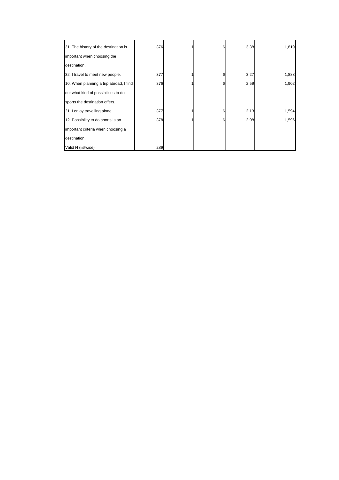| 31. The history of the destination is   | 376 | 6 | 3,38 | 1,819 |
|-----------------------------------------|-----|---|------|-------|
| important when choosing the             |     |   |      |       |
| destination.                            |     |   |      |       |
| 32. I travel to meet new people.        | 377 | 6 | 3,27 | 1,888 |
| 10. When planning a trip abroad, I find | 376 |   | 2,59 | 1,902 |
| out what kind of possibilities to do    |     |   |      |       |
| sports the destination offers.          |     |   |      |       |
| 21. I enjoy travelling alone.           | 377 |   | 2,13 | 1,594 |
| 12. Possibility to do sports is an      | 378 |   | 2,08 | 1,596 |
| important criteria when choosing a      |     |   |      |       |
| destination.                            |     |   |      |       |
| Valid N (listwise)                      | 289 |   |      |       |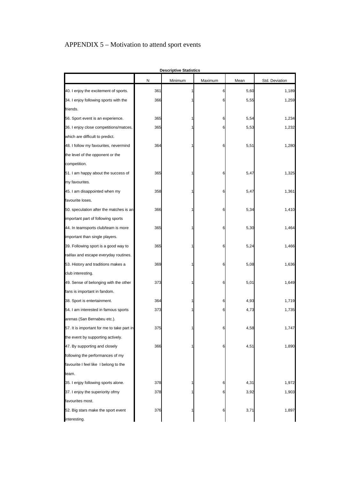# APPENDIX 5 – Motivation to attend sport events

|                                            |     | <b>Descriptive Statistics</b> |         |      |                |
|--------------------------------------------|-----|-------------------------------|---------|------|----------------|
|                                            | N   | Minimum                       | Maximum | Mean | Std. Deviation |
| 40. I enjoy the excitement of sports.      | 361 |                               | 6       | 5,60 | 1,189          |
| 34. I enjoy following sports with the      | 366 |                               | 6       | 5,55 | 1,259          |
| friends.                                   |     |                               |         |      |                |
| 56. Sport event is an experience.          | 365 |                               | 6       | 5,54 | 1,234          |
| 36. I enjoy close competitions/matces,     | 365 |                               | 6       | 5,53 | 1,232          |
| which are difficult to predict.            |     |                               |         |      |                |
| 48. I follow my favourites, nevermind      | 364 |                               | 6       | 5,51 | 1,280          |
| the level of the opponent or the           |     |                               |         |      |                |
| competition.                               |     |                               |         |      |                |
| 51. I am happy about the success of        | 365 |                               | 6       | 5,47 | 1,325          |
| my favourites.                             |     |                               |         |      |                |
| 45. I am disappointed when my              | 358 |                               | 6       | 5,47 | 1,361          |
| favourite loses.                           |     |                               |         |      |                |
| 50. speculation after the matches is an    | 366 |                               | 6       | 5,34 | 1,410          |
| important part of following sports         |     |                               |         |      |                |
| 44. In teamsports club/team is more        | 365 |                               | 6       | 5,30 | 1,464          |
| important than single players.             |     |                               |         |      |                |
| 39. Following sport is a good way to       | 365 |                               | 6       | 5,24 | 1,466          |
| raélax and escape everyday routines.       |     |                               |         |      |                |
| 53. History and traditions makes a         | 369 |                               | 6       | 5,08 | 1,636          |
| club interesting.                          |     |                               |         |      |                |
| 49. Sense of belonging with the other      | 373 |                               | 6       | 5,01 | 1,649          |
| fans is important in fandom.               |     |                               |         |      |                |
| 38. Sport is entertainment.                | 364 |                               | 6       | 4,93 | 1,719          |
| 54. I am interested in famous sports       | 373 |                               | 6       | 4,73 | 1,735          |
| arenas (San Bernabeu etc.).                |     |                               |         |      |                |
| 57. It is important for me to take part in | 375 |                               | 6       | 4,58 | 1,747          |
| the event by supporting actively.          |     |                               |         |      |                |
| 47. By supporting and closely              | 366 |                               | 6       | 4,51 | 1,890          |
| following the performances of my           |     |                               |         |      |                |
| favourite I feel like I belong to the      |     |                               |         |      |                |
| team.                                      |     |                               |         |      |                |
| 35. I enjpy following sports alone.        | 378 |                               | 6       | 4,31 | 1,972          |
| 37. I enjoy the superiority ofmy           | 378 |                               | 6       | 3,92 | 1,903          |
| favourites most.                           |     |                               |         |      |                |
| 52. Big stars make the sport event         | 376 |                               | 6       | 3,71 | 1,897          |
| interesting.                               |     |                               |         |      |                |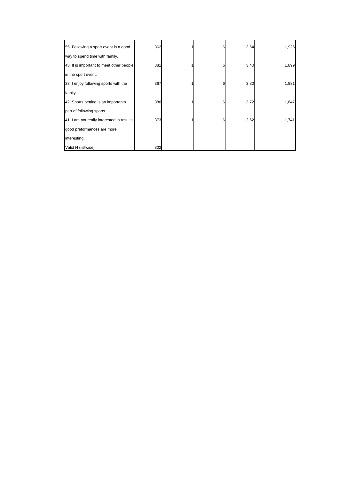| 55. Following a sport event is a good      | 362 |  | 3,64 | 1,925 |
|--------------------------------------------|-----|--|------|-------|
| way to spend time with family.             |     |  |      |       |
| 43. It is important to meet other people   | 381 |  | 3,40 | 1,899 |
| in the sport event.                        |     |  |      |       |
| 33. I enjoy following sports with the      | 367 |  | 3,30 | 1,881 |
| family.                                    |     |  |      |       |
| 42. Sports betting is an importantn        | 380 |  | 2,72 | 1,847 |
| part of following sports.                  |     |  |      |       |
| 41. I am not really interested in results, | 373 |  | 2,62 | 1,741 |
| good preformances are more                 |     |  |      |       |
| interesting.                               |     |  |      |       |
| Valid N (listwise)                         | 302 |  |      |       |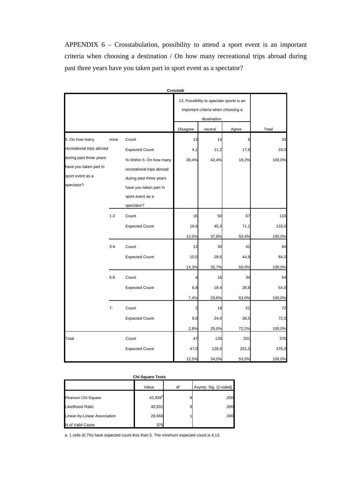APPENDIX 6 – Crosstabulation, possibility to attend a sport event is an important criteria when choosing a destination / On how many recreational trips abroad during past three years have you taken part in sport event as a spectator?

|                           |         |                           | Crosstab                                                                       |         |       |        |
|---------------------------|---------|---------------------------|--------------------------------------------------------------------------------|---------|-------|--------|
|                           |         |                           | 13. Possibility to spectate sports is an<br>important criteria when choosing a |         |       |        |
|                           |         |                           | <b>Disagree</b>                                                                | neutral | Agree | Total  |
| 5. On how many            | none    | Count                     | 13                                                                             | 14      | 6     | 33     |
| recreational trips abroad |         | <b>Expected Count</b>     | 4,1                                                                            | 11,2    | 17,6  | 33,0   |
| during past three years   |         | % Within 5. On how many   | 39,4%                                                                          | 42,4%   | 18,2% | 100,0% |
| have you taken part in    |         | recreational trips abroad |                                                                                |         |       |        |
| sport event as a          |         | during past three years   |                                                                                |         |       |        |
| spectator?                |         | have you taken part in    |                                                                                |         |       |        |
|                           |         | sport event as a          |                                                                                |         |       |        |
|                           |         | spectator?                |                                                                                |         |       |        |
|                           | $1 - 2$ | Count                     | 16                                                                             | 50      | 67    | 133    |
|                           |         | <b>Expected Count</b>     | 16,6                                                                           | 45,3    | 71,1  | 133,0  |
|                           |         |                           | 12,0%                                                                          | 37,6%   | 50,4% | 100,0% |
|                           | $3 - 4$ | Count                     | 12                                                                             | 30      | 42    | 84     |
|                           |         | <b>Expected Count</b>     | 10,5                                                                           | 28,6    | 44,9  | 84,0   |
|                           |         |                           | 14,3%                                                                          | 35,7%   | 50,0% | 100,0% |
|                           | $5-6$   | Count                     | 4                                                                              | 16      | 34    | 54     |
|                           |         | <b>Expected Count</b>     | 6,8                                                                            | 18,4    | 28,9  | 54,0   |
|                           |         |                           | 7,4%                                                                           | 29,6%   | 63,0% | 100,0% |
|                           | $7-$    | Count                     | $\overline{c}$                                                                 | 18      | 52    | 72     |
|                           |         | <b>Expected Count</b>     | 9,0                                                                            | 24,5    | 38,5  | 72,0   |
|                           |         |                           | 2,8%                                                                           | 25,0%   | 72,2% | 100,0% |
| Total                     |         | Count                     | 47                                                                             | 128     | 201   | 376    |
|                           |         | <b>Expected Count</b>     | 47,0                                                                           | 128,0   | 201,0 | 376,0  |
|                           |         |                           | 12,5%                                                                          | 34,0%   | 53,5% | 100,0% |

#### **Chi-Square Tests**

|                              | Value      | df | Asymp. Sig. (2-sided) |
|------------------------------|------------|----|-----------------------|
| Pearson Chi-Square           | $42,939^a$ | 8  | ,000                  |
| Likelihood Ratio             | 40,931     | 8  | ,000                  |
| Linear-by-Linear Association | 28,666     |    | ,000                  |
| N of Valid Cases             | 376        |    |                       |

a. 1 cells (6,7%) have expected count less than 5. The minimum expected count is 4,13.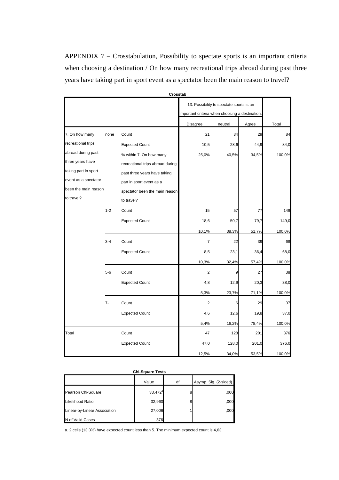APPENDIX 7 – Crosstabulation, Possibility to spectate sports is an important criteria when choosing a destination / On how many recreational trips abroad during past three years have taking part in sport event as a spectator been the main reason to travel?

|                      |         | Crosstab                         |                                                                                             |         |       |        |
|----------------------|---------|----------------------------------|---------------------------------------------------------------------------------------------|---------|-------|--------|
|                      |         |                                  | 13. Possibility to spectate sports is an<br>important criteria when choosing a destination. |         |       |        |
|                      |         |                                  | <b>Disagree</b>                                                                             | neutral | Agree | Total  |
| 7. On how many       | none    | Count                            | 21                                                                                          | 34      | 29    | 84     |
| recreational trips   |         | <b>Expected Count</b>            | 10,5                                                                                        | 28,6    | 44,9  | 84,0   |
| abroad during past   |         | % within 7. On how many          | 25,0%                                                                                       | 40,5%   | 34,5% | 100,0% |
| three years have     |         | recreational trips abroad during |                                                                                             |         |       |        |
| taking part in sport |         | past three years have taking     |                                                                                             |         |       |        |
| event as a spectator |         | part in sport event as a         |                                                                                             |         |       |        |
| been the main reason |         | spectator been the main reason   |                                                                                             |         |       |        |
| to travel?           |         | to travel?                       |                                                                                             |         |       |        |
|                      | $1 - 2$ | Count                            | 15                                                                                          | 57      | 77    | 149    |
|                      |         | <b>Expected Count</b>            | 18,6                                                                                        | 50,7    | 79,7  | 149,0  |
|                      |         |                                  | 10,1%                                                                                       | 38,3%   | 51,7% | 100,0% |
|                      | $3 - 4$ | Count                            | 7                                                                                           | 22      | 39    | 68     |
|                      |         | <b>Expected Count</b>            | 8,5                                                                                         | 23,1    | 36,4  | 68,0   |
|                      |         |                                  | 10,3%                                                                                       | 32,4%   | 57,4% | 100,0% |
|                      | $5-6$   | Count                            | 2                                                                                           | q       | 27    | 38     |
|                      |         | <b>Expected Count</b>            | 4,8                                                                                         | 12,9    | 20,3  | 38,0   |
|                      |         |                                  | 5,3%                                                                                        | 23,7%   | 71,1% | 100,0% |
|                      | $7-$    | Count                            | 2                                                                                           | F       | 29    | 37     |
|                      |         | <b>Expected Count</b>            | 4,6                                                                                         | 12,6    | 19,8  | 37,0   |
|                      |         |                                  | 5,4%                                                                                        | 16,2%   | 78,4% | 100,0% |
| Total                |         | Count                            | 47                                                                                          | 128     | 201   | 376    |
|                      |         | <b>Expected Count</b>            | 47,0                                                                                        | 128,0   | 201,0 | 376,0  |
|                      |         |                                  | 12,5%                                                                                       | 34,0%   | 53,5% | 100,0% |

| <b>Chi-Square Tests</b>      |            |    |                       |  |  |  |
|------------------------------|------------|----|-----------------------|--|--|--|
|                              | Value      | df | Asymp. Sig. (2-sided) |  |  |  |
| Pearson Chi-Square           | $33,472^a$ | 8  | ,000                  |  |  |  |
| Likelihood Ratio             | 32,960     | 8  | ,000                  |  |  |  |
| Linear-by-Linear Association | 27,006     |    | ,000                  |  |  |  |
| N of Valid Cases             | 376        |    |                       |  |  |  |

a. 2 cells (13,3%) have expected count less than 5. The minimum expected count is 4,63.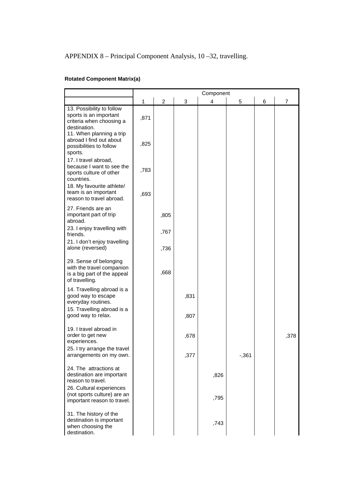# APPENDIX 8 – Principal Component Analysis, 10 –32, travelling.

## **Rotated Component Matrix(a)**

|                                                                                                                                                        |      |      |      | Component |          |   |      |
|--------------------------------------------------------------------------------------------------------------------------------------------------------|------|------|------|-----------|----------|---|------|
|                                                                                                                                                        | 1    | 2    | 3    | 4         | 5        | 6 | 7    |
| 13. Possibility to follow<br>sports is an important<br>criteria when choosing a<br>destination.<br>11. When planning a trip<br>abroad I find out about | ,871 |      |      |           |          |   |      |
| possibilities to follow<br>sports.                                                                                                                     | ,825 |      |      |           |          |   |      |
| 17. I travel abroad,<br>because I want to see the<br>sports culture of other<br>countries.                                                             | ,783 |      |      |           |          |   |      |
| 18. My favourite athlete/<br>team is an important<br>reason to travel abroad.                                                                          | ,693 |      |      |           |          |   |      |
| 27. Friends are an<br>important part of trip<br>abroad.                                                                                                |      | ,805 |      |           |          |   |      |
| 23. I enjoy travelling with<br>friends.                                                                                                                |      | ,767 |      |           |          |   |      |
| 21. I don't enjoy travelling<br>alone (reversed)                                                                                                       |      | ,736 |      |           |          |   |      |
| 29. Sense of belonging<br>with the travel companion<br>is a big part of the appeal<br>of travelling.                                                   |      | ,668 |      |           |          |   |      |
| 14. Travelling abroad is a<br>good way to escape<br>everyday routines.<br>15. Travelling abroad is a                                                   |      |      | ,831 |           |          |   |      |
| good way to relax.                                                                                                                                     |      |      | ,807 |           |          |   |      |
| 19. I travel abroad in<br>order to get new<br>experiences.                                                                                             |      |      | ,678 |           |          |   | ,378 |
| 25. I try arrange the travel<br>arrangements on my own.                                                                                                |      |      | ,377 |           | $-0.361$ |   |      |
| 24. The attractions at<br>destination are important<br>reason to travel.                                                                               |      |      |      | ,826      |          |   |      |
| 26. Cultural experiences<br>(not sports culture) are an<br>important reason to travel.                                                                 |      |      |      | ,795      |          |   |      |
| 31. The history of the<br>destination is important<br>when choosing the<br>destination.                                                                |      |      |      | ,743      |          |   |      |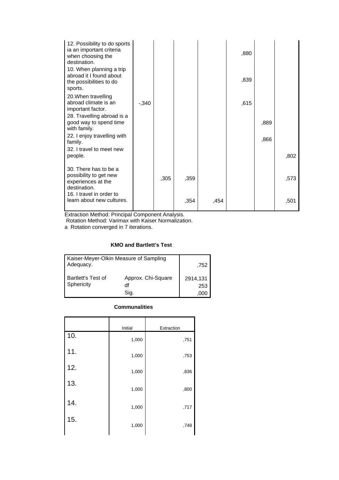| 12. Possibility to do sports<br>ia an important criteria<br>when choosing the<br>destination.<br>10. When planning a trip<br>abroad it I found about<br>the possibilities to do<br>sports. |         |      |      |      | ,880<br>,839 |      |      |
|--------------------------------------------------------------------------------------------------------------------------------------------------------------------------------------------|---------|------|------|------|--------------|------|------|
| 20. When travelling<br>abroad climate is an<br>important factor.                                                                                                                           | $-.340$ |      |      |      | ,615         |      |      |
| 28. Travelling abroad is a<br>good way to spend time<br>with family.                                                                                                                       |         |      |      |      |              | ,889 |      |
| 22. I enjoy travelling with<br>family.                                                                                                                                                     |         |      |      |      |              | ,866 |      |
| 32. I travel to meet new<br>people.                                                                                                                                                        |         |      |      |      |              |      | ,802 |
| 30. There has to be a<br>possibility to get new<br>experiences at the<br>destination.                                                                                                      |         | ,305 | ,359 |      |              |      | ,573 |
| 16. I travel in order to<br>learn about new cultures.                                                                                                                                      |         |      | ,354 | ,454 |              |      | ,501 |

Rotation Method: Varimax with Kaiser Normalization.

a Rotation converged in 7 iterations.

## **KMO and Bartlett's Test**

| Kaiser-Meyer-Olkin Measure of Sampling<br>Adequacy. | ,752                             |                         |
|-----------------------------------------------------|----------------------------------|-------------------------|
| <b>Bartlett's Test of</b><br>Sphericity             | Approx. Chi-Square<br>df<br>Sig. | 2914,131<br>253<br>.000 |

#### **Communalities**

|     | Initial | Extraction |
|-----|---------|------------|
| 10. | 1,000   | ,751       |
| 11. | 1,000   | ,753       |
| 12. | 1,000   | ,836       |
| 13. | 1,000   | ,800       |
| 14. | 1,000   | ,717       |
| 15. | 1,000   | ,748       |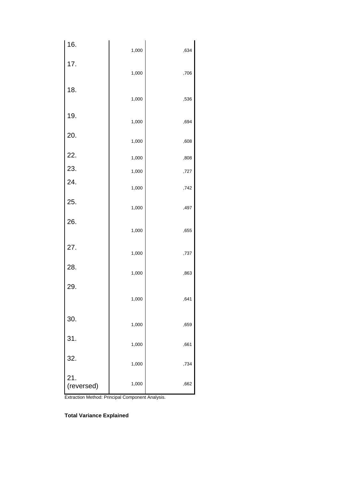| 16.        | 1,000 | ,634 |
|------------|-------|------|
| 17.        |       |      |
|            | 1,000 | ,706 |
| 18.        | 1,000 | ,536 |
| 19.        | 1,000 | ,694 |
| 20.        | 1,000 | ,608 |
| 22.        | 1,000 | ,808 |
| 23.        | 1,000 | ,727 |
| 24.        | 1,000 | ,742 |
| 25.        | 1,000 | ,497 |
| 26.        |       |      |
|            | 1,000 | ,655 |
| 27.        | 1,000 | ,737 |
| 28.        | 1,000 | ,863 |
| 29.        |       |      |
|            | 1,000 | ,641 |
| 30.        | 1,000 | ,659 |
| 31.        | 1,000 | ,661 |
| 32.        |       |      |
| 21.        | 1,000 | ,734 |
| (reversed) | 1,000 | ,662 |

**Total Variance Explained**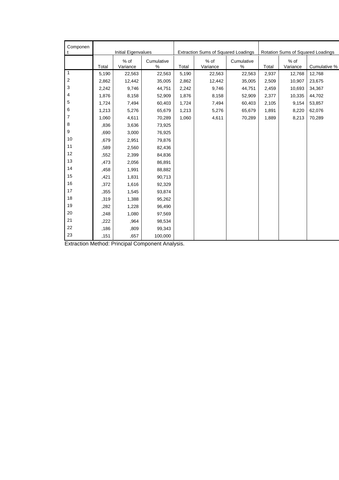| Componen                  |       |                     |                 |                                     |                    |                                   |       |                  |              |
|---------------------------|-------|---------------------|-----------------|-------------------------------------|--------------------|-----------------------------------|-------|------------------|--------------|
| t                         |       | Initial Eigenvalues |                 | Extraction Sums of Squared Loadings |                    | Rotation Sums of Squared Loadings |       |                  |              |
|                           | Total | % of<br>Variance    | Cumulative<br>% | Total                               | $%$ of<br>Variance | Cumulative<br>%                   | Total | % of<br>Variance | Cumulative % |
| $\mathbf{1}$              | 5,190 | 22,563              | 22,563          | 5,190                               | 22,563             | 22,563                            | 2,937 | 12,768           | 12,768       |
| $\sqrt{2}$                | 2,862 | 12,442              | 35,005          | 2,862                               | 12,442             | 35,005                            | 2,509 | 10,907           | 23,675       |
| $\ensuremath{\mathsf{3}}$ | 2,242 | 9,746               | 44,751          | 2,242                               | 9,746              | 44,751                            | 2,459 | 10,693           | 34,367       |
| 4                         | 1,876 | 8,158               | 52,909          | 1,876                               | 8,158              | 52,909                            | 2,377 | 10,335           | 44,702       |
| 5                         | 1,724 | 7,494               | 60,403          | 1,724                               | 7,494              | 60,403                            | 2,105 | 9,154            | 53,857       |
| 6                         | 1,213 | 5,276               | 65,679          | 1,213                               | 5,276              | 65,679                            | 1,891 | 8,220            | 62,076       |
| 7                         | 1,060 | 4,611               | 70,289          | 1,060                               | 4,611              | 70,289                            | 1,889 | 8,213            | 70,289       |
| 8                         | ,836  | 3,636               | 73,925          |                                     |                    |                                   |       |                  |              |
| 9                         | ,690  | 3,000               | 76,925          |                                     |                    |                                   |       |                  |              |
| 10                        | ,679  | 2,951               | 79,876          |                                     |                    |                                   |       |                  |              |
| 11                        | ,589  | 2,560               | 82,436          |                                     |                    |                                   |       |                  |              |
| 12                        | ,552  | 2,399               | 84,836          |                                     |                    |                                   |       |                  |              |
| 13                        | ,473  | 2,056               | 86,891          |                                     |                    |                                   |       |                  |              |
| 14                        | ,458  | 1,991               | 88,882          |                                     |                    |                                   |       |                  |              |
| 15                        | ,421  | 1,831               | 90,713          |                                     |                    |                                   |       |                  |              |
| 16                        | ,372  | 1,616               | 92,329          |                                     |                    |                                   |       |                  |              |
| 17                        | ,355  | 1,545               | 93,874          |                                     |                    |                                   |       |                  |              |
| 18                        | ,319  | 1,388               | 95,262          |                                     |                    |                                   |       |                  |              |
| 19                        | ,282  | 1,228               | 96,490          |                                     |                    |                                   |       |                  |              |
| 20                        | ,248  | 1,080               | 97,569          |                                     |                    |                                   |       |                  |              |
| 21                        | ,222  | ,964                | 98,534          |                                     |                    |                                   |       |                  |              |
| 22                        | ,186  | ,809                | 99,343          |                                     |                    |                                   |       |                  |              |
| 23                        | ,151  | ,657                | 100,000         |                                     |                    |                                   |       |                  |              |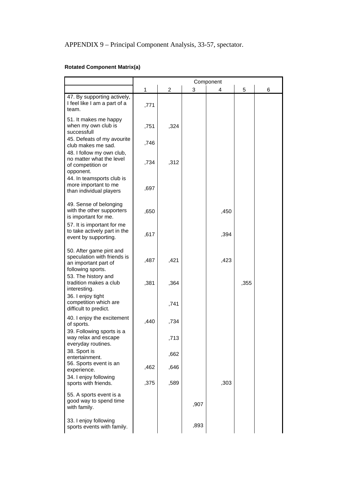## **Rotated Component Matrix(a)**

|                                                                                                     | Component    |                |      |      |      |   |
|-----------------------------------------------------------------------------------------------------|--------------|----------------|------|------|------|---|
|                                                                                                     | $\mathbf{1}$ | $\overline{c}$ | 3    | 4    | 5    | 6 |
| 47. By supporting actively,<br>I feel like I am a part of a<br>team.                                | ,771         |                |      |      |      |   |
| 51. It makes me happy<br>when my own club is<br>successfull                                         | ,751         | ,324           |      |      |      |   |
| 45. Defeats of my avourite<br>club makes me sad.<br>48. I follow my own club,                       | ,746         |                |      |      |      |   |
| no matter what the level<br>of competition or<br>opponent.                                          | ,734         | ,312           |      |      |      |   |
| 44. In teamsports club is<br>more important to me<br>than individual players                        | ,697         |                |      |      |      |   |
| 49. Sense of belonging<br>with the other supporters<br>is important for me.                         | ,650         |                |      | ,450 |      |   |
| 57. It is important for me<br>to take actively part in the<br>event by supporting.                  | ,617         |                |      | ,394 |      |   |
| 50. After game pint and<br>speculation with friends is<br>an important part of<br>following sports. | ,487         | ,421           |      | ,423 |      |   |
| 53. The history and<br>tradition makes a club<br>interesting.<br>36. I enjoy tight                  | ,381         | ,364           |      |      | ,355 |   |
| competition which are<br>difficult to predict.                                                      |              | ,741           |      |      |      |   |
| 40. I enjoy the excitement<br>of sports.<br>39. Following sports is a                               | .440         | ,734           |      |      |      |   |
| way relax and escape<br>everyday routines.<br>38. Sport is                                          |              | ,713           |      |      |      |   |
| entertainment.<br>56. Sports event is an<br>experience.                                             | ,462         | ,662<br>,646   |      |      |      |   |
| 34. I enjoy following<br>sports with friends.                                                       | ,375         | ,589           |      | ,303 |      |   |
| 55. A sports event is a<br>good way to spend time<br>with family.                                   |              |                | ,907 |      |      |   |
| 33. I enjoy following<br>sports events with family.                                                 |              |                | ,893 |      |      |   |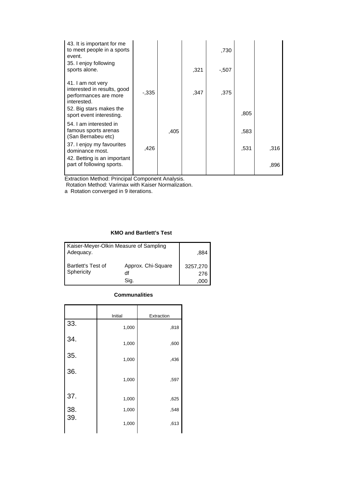| 43. It is important for me<br>to meet people in a sports<br>event.<br>35. I enjoy following<br>sports alone.                                    |          |      | ,321 | .730<br>-.507 |      |      |
|-------------------------------------------------------------------------------------------------------------------------------------------------|----------|------|------|---------------|------|------|
| 41. I am not very<br>interested in results, good<br>performances are more<br>interested.<br>52. Big stars makes the<br>sport event interesting. | $-0.335$ |      | ,347 | .375          | ,805 |      |
| 54. I am interested in<br>famous sports arenas<br>(San Bernabeu etc)                                                                            |          | .405 |      |               | ,583 |      |
| 37. I enjoy my favourites<br>dominance most.                                                                                                    | .426     |      |      |               | ,531 | ,316 |
| 42. Betting is an important<br>part of following sports.                                                                                        |          |      |      |               |      | ,896 |

Rotation Method: Varimax with Kaiser Normalization.

a Rotation converged in 9 iterations.

## **KMO and Bartlett's Test**

| Kaiser-Meyer-Olkin Measure of Sampling<br>Adequacy. | .884                             |                 |
|-----------------------------------------------------|----------------------------------|-----------------|
| <b>Bartlett's Test of</b><br>Sphericity             | Approx. Chi-Square<br>df<br>Sig. | 3257,270<br>276 |

### **Communalities**

|            | Initial | Extraction |
|------------|---------|------------|
| 33.        | 1,000   | ,818       |
| 34.        | 1,000   | ,600       |
| 35.        | 1,000   | ,436       |
| 36.        | 1,000   | ,597       |
| 37.        | 1,000   | ,625       |
| 38.<br>39. | 1,000   | ,548       |
|            | 1,000   | ,613       |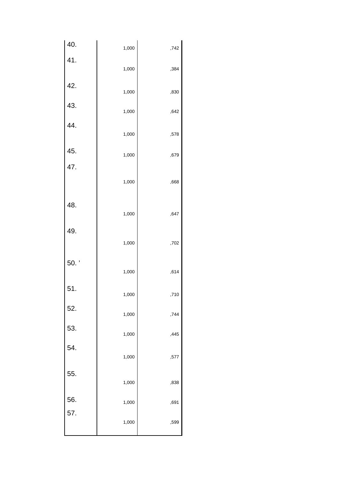| 40.        | 1,000 | ,742 |
|------------|-------|------|
| 41.        | 1,000 | ,384 |
| 42.        | 1,000 | ,830 |
| 43.<br>44. | 1,000 | ,642 |
|            | 1,000 | ,578 |
| 45.        | 1,000 | ,679 |
| 47.        | 1,000 | ,668 |
| 48.        | 1,000 | ,647 |
| 49.        | 1,000 | ,702 |
| 50.'       | 1,000 | ,614 |
| 51.        | 1,000 | ,710 |
| 52.        | 1,000 | ,744 |
| 53.        | 1,000 | ,445 |
| 54.        | 1,000 | ,577 |
| 55.        | 1,000 | ,838 |
| 56.        | 1,000 | ,691 |
| 57.        | 1,000 | ,599 |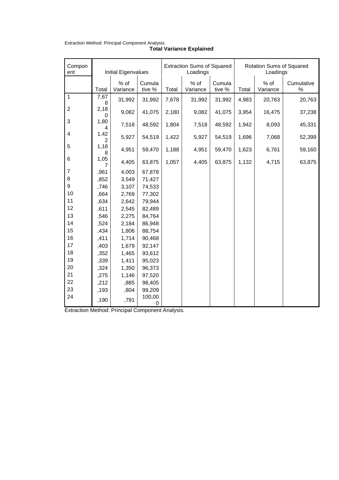| Compon<br>ent    | Initial Eigenvalues |                    |                  | <b>Extraction Sums of Squared</b><br>Loadings |                  |                  | Rotation Sums of Squared<br>Loadings |                  |                    |
|------------------|---------------------|--------------------|------------------|-----------------------------------------------|------------------|------------------|--------------------------------------|------------------|--------------------|
|                  | Total               | $%$ of<br>Variance | Cumula<br>tive % | Total                                         | % of<br>Variance | Cumula<br>tive % | Total                                | % of<br>Variance | Cumulative<br>$\%$ |
| $\overline{1}$   | 7,67<br>8           | 31,992             | 31,992           | 7,678                                         | 31,992           | 31,992           | 4,983                                | 20,763           | 20,763             |
| $\sqrt{2}$       | 2,18<br>0           | 9,082              | 41,075           | 2,180                                         | 9,082            | 41,075           | 3,954                                | 16,475           | 37,238             |
| $\mathbf{3}$     | 1,80<br>4           | 7,518              | 48,592           | 1,804                                         | 7,518            | 48,592           | 1,942                                | 8,093            | 45,331             |
| $\overline{4}$   | 1,42<br>2           | 5,927              | 54,519           | 1,422                                         | 5,927            | 54,519           | 1,696                                | 7,068            | 52,399             |
| 5                | 1,18<br>8           | 4,951              | 59,470           | 1,188                                         | 4,951            | 59,470           | 1,623                                | 6,761            | 59,160             |
| 6                | 1,05<br>7           | 4,405              | 63,875           | 1,057                                         | 4,405            | 63,875           | 1,132                                | 4,715            | 63,875             |
| $\overline{7}$   | ,961                | 4,003              | 67,878           |                                               |                  |                  |                                      |                  |                    |
| 8                | ,852                | 3,549              | 71,427           |                                               |                  |                  |                                      |                  |                    |
| $\boldsymbol{9}$ | ,746                | 3,107              | 74,533           |                                               |                  |                  |                                      |                  |                    |
| 10               | ,664                | 2,769              | 77,302           |                                               |                  |                  |                                      |                  |                    |
| 11               | ,634                | 2,642              | 79,944           |                                               |                  |                  |                                      |                  |                    |
| 12               | ,611                | 2,545              | 82,489           |                                               |                  |                  |                                      |                  |                    |
| 13               | ,546                | 2,275              | 84,764           |                                               |                  |                  |                                      |                  |                    |
| 14               | ,524                | 2,184              | 86,948           |                                               |                  |                  |                                      |                  |                    |
| 15               | ,434                | 1,806              | 88,754           |                                               |                  |                  |                                      |                  |                    |
| 16               | ,411                | 1,714              | 90,468           |                                               |                  |                  |                                      |                  |                    |
| 17               | ,403                | 1,679              | 92,147           |                                               |                  |                  |                                      |                  |                    |
| 18               | ,352                | 1,465              | 93,612           |                                               |                  |                  |                                      |                  |                    |
| 19               | ,339                | 1,411              | 95,023           |                                               |                  |                  |                                      |                  |                    |
| 20               | ,324                | 1,350              | 96,373           |                                               |                  |                  |                                      |                  |                    |
| 21               | ,275                | 1,146              | 97,520           |                                               |                  |                  |                                      |                  |                    |
| 22               | ,212                | ,885               | 98,405           |                                               |                  |                  |                                      |                  |                    |
| 23               | ,193                | ,804               | 99,209           |                                               |                  |                  |                                      |                  |                    |
| 24               | ,190                | ,791               | 100,00<br>0      |                                               |                  |                  |                                      |                  |                    |

| <b>Total Variance Explained</b> |
|---------------------------------|

Extraction Method: Principal Component Analysis.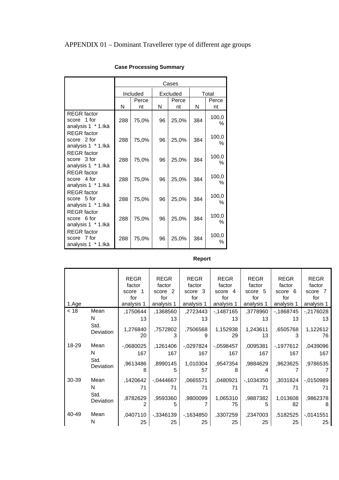| Total<br>Perce |
|----------------|
|                |
|                |
| nt             |
|                |
| 100,0<br>$\%$  |
|                |
|                |
| 100,0          |
| $\%$           |
|                |
| 100,0          |
| $\%$           |
|                |
| 100,0          |
| $\%$           |
|                |
| 100,0          |
| $\%$           |
|                |
| 100,0          |
| $\%$           |
|                |
| 100,0          |
| ℅              |
|                |

# **Case Processing Summary**

## **Report**

|       |                   | <b>REGR</b>    | <b>REGR</b>   | <b>REGR</b>    | <b>REGR</b>    | <b>REGR</b>    | <b>REGR</b>    | <b>REGR</b>    |
|-------|-------------------|----------------|---------------|----------------|----------------|----------------|----------------|----------------|
|       |                   | factor         | factor        | factor         | factor         | factor         | factor         | factor         |
|       |                   | score 1        | score 2       | score 3        | score 4        | score 5        | score 6        | score 7        |
|       |                   | for            | for           | for            | for            | for            | for            | for            |
| 1.Age |                   | analysis 1     | analysis 1    | analysis 1     | analysis 1     | analysis 1     | analysis 1     | analysis 1     |
| < 18  | Mean              | ,1750644       | ,1368560      | ,2723443       | -,1487165      | ,3778960       | $-1868745$     | $-2176028$     |
|       | N                 | 13             | 13            | 13             | 13             | 13             | 13             | 13             |
|       | Std.<br>Deviation | 1,276840<br>20 | ,7572802      | ,7506568<br>9  | 1,152938<br>29 | 1,243611<br>13 | ,6505768       | 1,122612<br>76 |
| 18-29 | Mean              | $-0680025$     | ,1261406      | $-0.0297824$   | $-0598457$     | ,0095381       | -,1977612      | ,0439096       |
|       | N                 | 167            | 167           | 167            | 167            | 167            | 167            | 167            |
|       | Std.<br>Deviation | ,9613486<br>8  | ,8990145<br>5 | 1,010304<br>57 | ,9547354<br>8  | ,9884629<br>4  | ,9623625       | ,9786535       |
| 30-39 | Mean              | ,1420642       | $-0.444667$   | ,0665571       | ,0480921       | $-1034350$     | ,3031824       | $-0.150989$    |
|       | N                 | 71             | 71            | 71             | 71             | 71             | 71             | 71             |
|       | Std.<br>Deviation | ,8782629<br>2  | ,9593360<br>5 | ,9800099       | 1,065310<br>75 | ,9887382<br>5  | 1,013608<br>82 | ,9862378<br>8  |
| 40-49 | Mean              | ,0407110       | $-0.3346139$  | $-1634850$     | ,3307259       | ,2347003       | ,5182525       | $-0.141551$    |
|       | N                 | 25             | 25            | 25             | 25             | 25             | 25             | 25             |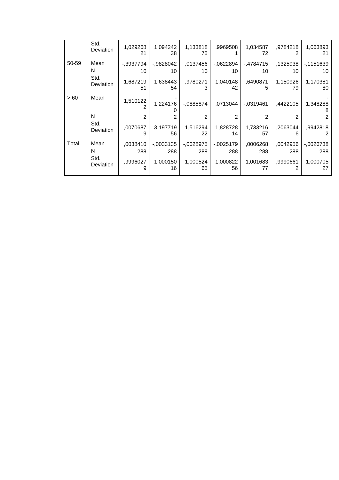|       | Std.<br>Deviation | 1,029268<br>21 | 1,094242<br>38 | 1,133818<br>75 | ,9969508       | 1,034587<br>72 | .9784218       | 1,063893<br>21 |
|-------|-------------------|----------------|----------------|----------------|----------------|----------------|----------------|----------------|
| 50-59 | Mean              | $-.3937794$    | $-0.9828042$   | ,0137456       | $-0622894$     | $-4784715$     | ,1325938       | $-1151639$     |
|       | N                 | 10             | 10             | 10             | 10             | 10             | 10             | 10             |
|       | Std.<br>Deviation | 1,687219<br>51 | 1,638443<br>54 | ,9780271<br>3  | 1,040148<br>42 | ,6490871<br>5  | 1,150926<br>79 | 1,170381<br>80 |
| >60   | Mean              | 1,510122       | 1,224176       | $-0885874$     | ,0713044       | $-0.0319461$   | ,4422105       | 1,348288<br>8  |
|       | N                 | 2              |                | 2              | 2              | $\mathfrak{p}$ |                | 2              |
|       | Std.<br>Deviation | ,0070687<br>9  | 3,197719<br>56 | 1,516294<br>22 | 1,828728<br>14 | 1,733216<br>57 | ,2063044       | ,9942818<br>2  |
| Total | Mean              | .0038410       | $-0.0033135$   | $-0028975$     | $-0025179$     | ,0006268       | ,0042956       | $-0026738$     |
|       | N                 | 288            | 288            | 288            | 288            | 288            | 288            | 288            |
|       | Std.<br>Deviation | .9996027<br>9  | 1,000150<br>16 | 1,000524<br>65 | 1,000822<br>56 | 1,001683<br>77 | ,9990661<br>2  | 1,000705<br>27 |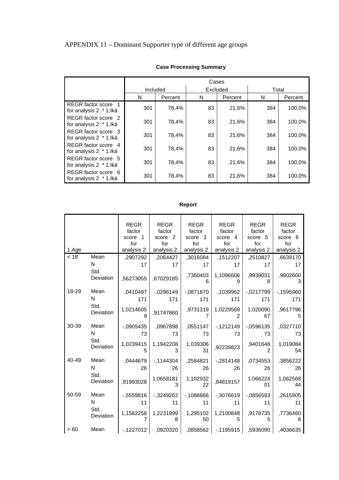|                                                | Cases    |         |    |          |       |         |  |  |  |
|------------------------------------------------|----------|---------|----|----------|-------|---------|--|--|--|
|                                                | Included |         |    | Excluded | Total |         |  |  |  |
|                                                | N        | Percent | N  | Percent  | N     | Percent |  |  |  |
| REGR factor score<br>for analysis 2 * 1.lkä    | 301      | 78,4%   | 83 | 21,6%    | 384   | 100,0%  |  |  |  |
| REGR factor score 2<br>for analysis 2 * 1. Ikä | 301      | 78,4%   | 83 | 21.6%    | 384   | 100,0%  |  |  |  |
| REGR factor score 3<br>for analysis 2 * 1. Ikä | 301      | 78,4%   | 83 | 21,6%    | 384   | 100,0%  |  |  |  |
| REGR factor score 4<br>for analysis 2 * 1. Ikä | 301      | 78,4%   | 83 | 21,6%    | 384   | 100,0%  |  |  |  |
| REGR factor score 5<br>for analysis 2 * 1. Ikä | 301      | 78,4%   | 83 | 21,6%    | 384   | 100,0%  |  |  |  |
| REGR factor score 6<br>for analysis 2 * 1.lkä  | 301      | 78,4%   | 83 | 21,6%    | 384   | 100,0%  |  |  |  |

## **Case Processing Summary**

## **Report**

| 1.Age |                   | <b>REGR</b><br>factor<br>score 1<br>for<br>analysis 2 | REGR<br>factor<br>score 2<br>for<br>analysis 2 | REGR<br>factor<br>score 3<br>for<br>analysis 2 | REGR<br>factor<br>score 4<br>for<br>analysis 2 | REGR<br>factor<br>score 5<br>for<br>analysis 2 | <b>REGR</b><br>factor<br>score 6<br>for<br>analysis 2 |
|-------|-------------------|-------------------------------------------------------|------------------------------------------------|------------------------------------------------|------------------------------------------------|------------------------------------------------|-------------------------------------------------------|
| < 18  | Mean              | .2907292                                              | ,2064427                                       | ,3016084                                       |                                                | ,1512207   ,2510827                            | ,6639170                                              |
|       | N.<br>Std.        | 17                                                    | 17                                             | 17                                             | 17                                             | 17                                             | 17                                                    |
|       | Deviation         | ,56273055                                             | ,67029185                                      | ,7360403<br>6                                  | 1,1096606<br>9                                 | ,9939031<br>8                                  | ,9802600<br>3                                         |
| 18-29 | Mean              | ,0410497                                              | $-0.0296149$                                   | $-.0871870$                                    | ,1039962                                       | $-0.0217799$                                   | $-1595960$                                            |
|       | N                 | 171                                                   | 171                                            | 171                                            | 171                                            | 171                                            | 171                                                   |
|       | Std.<br>Deviation | 1,0214605<br>9                                        | .91747860                                      | ,9731319<br>7                                  | 1,0229569<br>2                                 | 1,020090<br>67                                 | ,9617796<br>5                                         |
| 30-39 | Mean              | -,0905435                                             | ,0967898                                       | ,0551147                                       | $-1212149$                                     | $-0.0596135$                                   | ,0327710                                              |
|       | N.                | 73                                                    | 73                                             | 73                                             | 73                                             | 73                                             | 73                                                    |
|       | Std.<br>Deviation | 1,0239415<br>5                                        | 1,1942208<br>3                                 | 1,039306<br>31                                 | ,92239823                                      | ,9401648<br>$\mathfrak{p}$                     | 1,019084<br>54                                        |
| 40-49 | Mean              | .0444679                                              | $-1144304$                                     | ,2584821                                       | $-2814148$                                     | ,0734553                                       | ,3856222                                              |
|       | N.                | 26                                                    | 26                                             | 26                                             | 26                                             | 26                                             | 26                                                    |
|       | Std.<br>Deviation | ,91993028                                             | 1,0658181<br>3                                 | 1,102932<br>22                                 | ,84819157                                      | 1,066224<br>01                                 | 1,062568<br>44                                        |
| 50-59 | Mean              | $-0.5559816$                                          | -,3249262                                      | $-1088866$                                     | $-0.3076619$                                   | $-0.0856593$                                   | ,2615905                                              |
|       | N                 | 11                                                    | 11                                             | 11                                             | 11                                             | 11                                             | 11                                                    |
|       | Std.<br>Deviation | 1,1582258                                             | 1,2231899<br>8                                 | 1,295102<br>50                                 | 1,2100848<br>5                                 | ,9178735<br>5                                  | ,7736460<br>6                                         |
| > 60  | Mean              | $-1227012$                                            |                                                |                                                | ,5936090   1195915,   0858562.   0920320.      |                                                | ,4036635                                              |